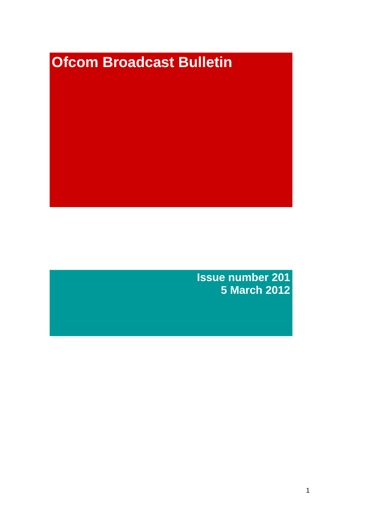# **Ofcom Broadcast Bulletin**

**Issue number 201 5 March 2012**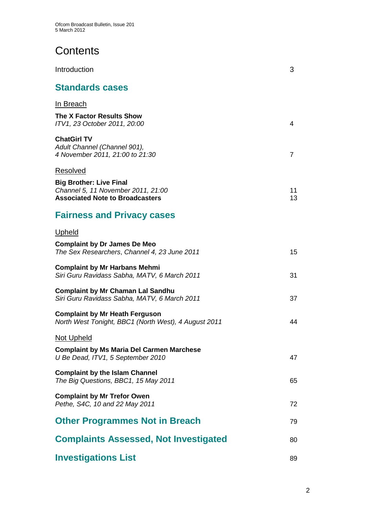# **Contents**

| Introduction                                                                                                               | 3        |
|----------------------------------------------------------------------------------------------------------------------------|----------|
| <b>Standards cases</b>                                                                                                     |          |
| In Breach<br>The X Factor Results Show<br>ITV1, 23 October 2011, 20:00                                                     | 4        |
| <b>ChatGirl TV</b><br>Adult Channel (Channel 901),<br>4 November 2011, 21:00 to 21:30                                      | 7        |
| Resolved<br><b>Big Brother: Live Final</b><br>Channel 5, 11 November 2011, 21:00<br><b>Associated Note to Broadcasters</b> | 11<br>13 |
| <b>Fairness and Privacy cases</b>                                                                                          |          |
| <b>Upheld</b>                                                                                                              |          |
| <b>Complaint by Dr James De Meo</b><br>The Sex Researchers, Channel 4, 23 June 2011                                        | 15       |
| <b>Complaint by Mr Harbans Mehmi</b><br>Siri Guru Ravidass Sabha, MATV, 6 March 2011                                       | 31       |
| <b>Complaint by Mr Chaman Lal Sandhu</b><br>Siri Guru Ravidass Sabha, MATV, 6 March 2011                                   | 37       |
| <b>Complaint by Mr Heath Ferguson</b><br>North West Tonight, BBC1 (North West), 4 August 2011                              | 44       |
| Not Upheld                                                                                                                 |          |
| <b>Complaint by Ms Maria Del Carmen Marchese</b><br>U Be Dead, ITV1, 5 September 2010                                      | 47       |
| <b>Complaint by the Islam Channel</b><br>The Big Questions, BBC1, 15 May 2011                                              | 65       |
| <b>Complaint by Mr Trefor Owen</b><br>Pethe, S4C, 10 and 22 May 2011                                                       | 72       |
| <b>Other Programmes Not in Breach</b>                                                                                      | 79       |
| <b>Complaints Assessed, Not Investigated</b>                                                                               | 80       |
| <b>Investigations List</b>                                                                                                 | 89       |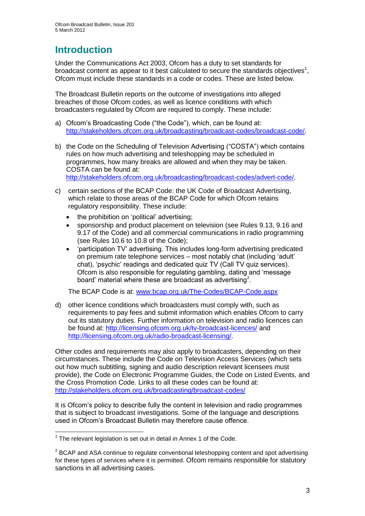# **Introduction**

Under the Communications Act 2003, Ofcom has a duty to set standards for broadcast content as appear to it best calculated to secure the standards objectives<sup>1</sup>, Ofcom must include these standards in a code or codes. These are listed below.

The Broadcast Bulletin reports on the outcome of investigations into alleged breaches of those Ofcom codes, as well as licence conditions with which broadcasters regulated by Ofcom are required to comply. These include:

- a) Ofcom"s Broadcasting Code ("the Code"), which, can be found at: [http://stakeholders.ofcom.org.uk/broadcasting/broadcast-codes/broadcast-code/.](http://stakeholders.ofcom.org.uk/broadcasting/broadcast-codes/broadcast-code/)
- b) the Code on the Scheduling of Television Advertising ("COSTA") which contains rules on how much advertising and teleshopping may be scheduled in programmes, how many breaks are allowed and when they may be taken. COSTA can be found at: [http://stakeholders.ofcom.org.uk/broadcasting/broadcast-codes/advert-code/.](http://stakeholders.ofcom.org.uk/broadcasting/broadcast-codes/advert-code/)

c) certain sections of the BCAP Code: the UK Code of Broadcast Advertising, which relate to those areas of the BCAP Code for which Ofcom retains regulatory responsibility. These include:

- the prohibition on 'political' advertising;
- sponsorship and product placement on television (see Rules 9.13, 9.16 and 9.17 of the Code) and all commercial communications in radio programming (see Rules 10.6 to 10.8 of the Code);
- "participation TV" advertising. This includes long-form advertising predicated on premium rate telephone services – most notably chat (including "adult" chat), "psychic" readings and dedicated quiz TV (Call TV quiz services). Ofcom is also responsible for regulating gambling, dating and "message board' material where these are broadcast as advertising<sup>2</sup>.

The BCAP Code is at: [www.bcap.org.uk/The-Codes/BCAP-Code.aspx](http://www.bcap.org.uk/The-Codes/BCAP-Code.aspx)

d) other licence conditions which broadcasters must comply with, such as requirements to pay fees and submit information which enables Ofcom to carry out its statutory duties. Further information on television and radio licences can be found at:<http://licensing.ofcom.org.uk/tv-broadcast-licences/> and [http://licensing.ofcom.org.uk/radio-broadcast-licensing/.](http://licensing.ofcom.org.uk/radio-broadcast-licensing/)

Other codes and requirements may also apply to broadcasters, depending on their circumstances. These include the Code on Television Access Services (which sets out how much subtitling, signing and audio description relevant licensees must provide), the Code on Electronic Programme Guides, the Code on Listed Events, and the Cross Promotion Code. Links to all these codes can be found at: <http://stakeholders.ofcom.org.uk/broadcasting/broadcast-codes/>

It is Ofcom"s policy to describe fully the content in television and radio programmes that is subject to broadcast investigations. Some of the language and descriptions used in Ofcom"s Broadcast Bulletin may therefore cause offence.

1

 $1$  The relevant legislation is set out in detail in Annex 1 of the Code.

 $2$  BCAP and ASA continue to regulate conventional teleshopping content and spot advertising for these types of services where it is permitted. Ofcom remains responsible for statutory sanctions in all advertising cases.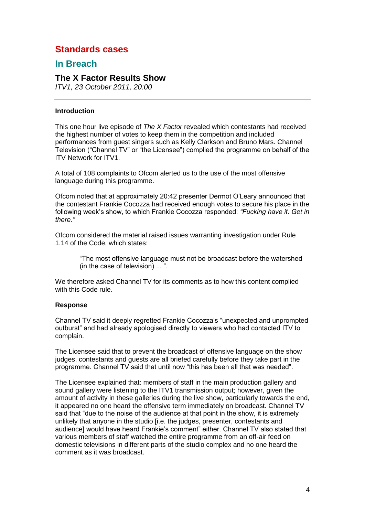# **Standards cases**

## **In Breach**

## **The X Factor Results Show**

*ITV1, 23 October 2011, 20:00*

## **Introduction**

This one hour live episode of *The X Factor* revealed which contestants had received the highest number of votes to keep them in the competition and included performances from guest singers such as Kelly Clarkson and Bruno Mars. Channel Television ("Channel TV" or "the Licensee") complied the programme on behalf of the ITV Network for ITV1.

A total of 108 complaints to Ofcom alerted us to the use of the most offensive language during this programme.

Ofcom noted that at approximately 20:42 presenter Dermot O"Leary announced that the contestant Frankie Cocozza had received enough votes to secure his place in the following week"s show, to which Frankie Cocozza responded: *"Fucking have it. Get in there."*

Ofcom considered the material raised issues warranting investigation under Rule 1.14 of the Code, which states:

> "The most offensive language must not be broadcast before the watershed (in the case of television) ... ".

We therefore asked Channel TV for its comments as to how this content complied with this Code rule.

## **Response**

Channel TV said it deeply regretted Frankie Cocozza"s "unexpected and unprompted outburst" and had already apologised directly to viewers who had contacted ITV to complain.

The Licensee said that to prevent the broadcast of offensive language on the show judges, contestants and guests are all briefed carefully before they take part in the programme. Channel TV said that until now "this has been all that was needed".

The Licensee explained that: members of staff in the main production gallery and sound gallery were listening to the ITV1 transmission output; however, given the amount of activity in these galleries during the live show, particularly towards the end, it appeared no one heard the offensive term immediately on broadcast. Channel TV said that "due to the noise of the audience at that point in the show, it is extremely unlikely that anyone in the studio [i.e. the judges, presenter, contestants and audience] would have heard Frankie"s comment" either. Channel TV also stated that various members of staff watched the entire programme from an off-air feed on domestic televisions in different parts of the studio complex and no one heard the comment as it was broadcast.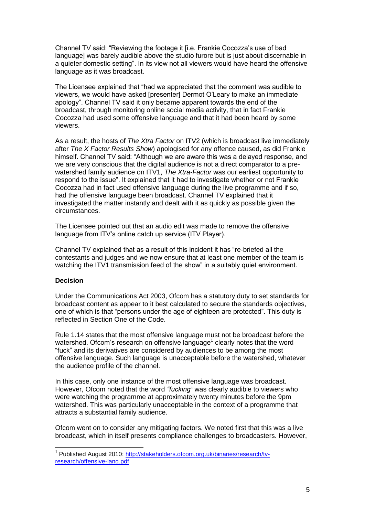Channel TV said: "Reviewing the footage it [i.e. Frankie Cocozza"s use of bad language] was barely audible above the studio furore but is just about discernable in a quieter domestic setting". In its view not all viewers would have heard the offensive language as it was broadcast.

The Licensee explained that "had we appreciated that the comment was audible to viewers, we would have asked [presenter] Dermot O"Leary to make an immediate apology". Channel TV said it only became apparent towards the end of the broadcast, through monitoring online social media activity, that in fact Frankie Cocozza had used some offensive language and that it had been heard by some viewers.

As a result, the hosts of *The Xtra Factor* on ITV2 (which is broadcast live immediately after *The X Factor Results Show*) apologised for any offence caused, as did Frankie himself. Channel TV said: "Although we are aware this was a delayed response, and we are very conscious that the digital audience is not a direct comparator to a prewatershed family audience on ITV1, *The Xtra-Factor* was our earliest opportunity to respond to the issue". It explained that it had to investigate whether or not Frankie Cocozza had in fact used offensive language during the live programme and if so, had the offensive language been broadcast. Channel TV explained that it investigated the matter instantly and dealt with it as quickly as possible given the circumstances.

The Licensee pointed out that an audio edit was made to remove the offensive language from ITV"s online catch up service (ITV Player).

Channel TV explained that as a result of this incident it has "re-briefed all the contestants and judges and we now ensure that at least one member of the team is watching the ITV1 transmission feed of the show" in a suitably quiet environment.

## **Decision**

1

Under the Communications Act 2003, Ofcom has a statutory duty to set standards for broadcast content as appear to it best calculated to secure the standards objectives, one of which is that "persons under the age of eighteen are protected". This duty is reflected in Section One of the Code.

Rule 1.14 states that the most offensive language must not be broadcast before the watershed. Ofcom's research on offensive language<sup>1</sup> clearly notes that the word "fuck" and its derivatives are considered by audiences to be among the most offensive language. Such language is unacceptable before the watershed, whatever the audience profile of the channel.

In this case, only one instance of the most offensive language was broadcast. However, Ofcom noted that the word *"fucking"* was clearly audible to viewers who were watching the programme at approximately twenty minutes before the 9pm watershed. This was particularly unacceptable in the context of a programme that attracts a substantial family audience.

Ofcom went on to consider any mitigating factors. We noted first that this was a live broadcast, which in itself presents compliance challenges to broadcasters. However,

<sup>&</sup>lt;sup>1</sup> Published August 2010: [http://stakeholders.ofcom.org.uk/binaries/research/tv](http://stakeholders.ofcom.org.uk/binaries/research/tv-research/offensive-lang.pdf)[research/offensive-lang.pdf](http://stakeholders.ofcom.org.uk/binaries/research/tv-research/offensive-lang.pdf)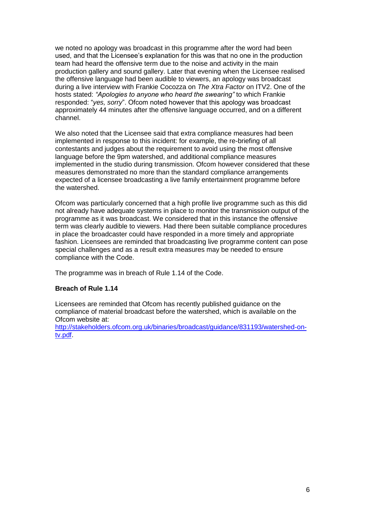we noted no apology was broadcast in this programme after the word had been used, and that the Licensee"s explanation for this was that no one in the production team had heard the offensive term due to the noise and activity in the main production gallery and sound gallery. Later that evening when the Licensee realised the offensive language had been audible to viewers, an apology was broadcast during a live interview with Frankie Cocozza on *The Xtra Factor* on ITV2. One of the hosts stated: *"Apologies to anyone who heard the swearing"* to which Frankie responded: "*yes, sorry*". Ofcom noted however that this apology was broadcast approximately 44 minutes after the offensive language occurred, and on a different channel.

We also noted that the Licensee said that extra compliance measures had been implemented in response to this incident: for example, the re-briefing of all contestants and judges about the requirement to avoid using the most offensive language before the 9pm watershed, and additional compliance measures implemented in the studio during transmission. Ofcom however considered that these measures demonstrated no more than the standard compliance arrangements expected of a licensee broadcasting a live family entertainment programme before the watershed.

Ofcom was particularly concerned that a high profile live programme such as this did not already have adequate systems in place to monitor the transmission output of the programme as it was broadcast. We considered that in this instance the offensive term was clearly audible to viewers. Had there been suitable compliance procedures in place the broadcaster could have responded in a more timely and appropriate fashion. Licensees are reminded that broadcasting live programme content can pose special challenges and as a result extra measures may be needed to ensure compliance with the Code.

The programme was in breach of Rule 1.14 of the Code.

## **Breach of Rule 1.14**

Licensees are reminded that Ofcom has recently published guidance on the compliance of material broadcast before the watershed, which is available on the Ofcom website at:

[http://stakeholders.ofcom.org.uk/binaries/broadcast/guidance/831193/watershed-on](http://stakeholders.ofcom.org.uk/binaries/broadcast/guidance/831193/watershed-on-tv.pdf)[tv.pdf.](http://stakeholders.ofcom.org.uk/binaries/broadcast/guidance/831193/watershed-on-tv.pdf)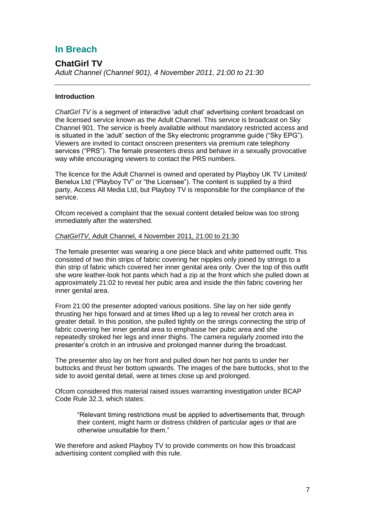# **In Breach**

## **ChatGirl TV**

*Adult Channel (Channel 901), 4 November 2011, 21:00 to 21:30* 

## **Introduction**

*ChatGirl TV* is a segment of interactive "adult chat" advertising content broadcast on the licensed service known as the Adult Channel. This service is broadcast on Sky Channel 901. The service is freely available without mandatory restricted access and is situated in the "adult" section of the Sky electronic programme guide ("Sky EPG"). Viewers are invited to contact onscreen presenters via premium rate telephony services ("PRS"). The female presenters dress and behave in a sexually provocative way while encouraging viewers to contact the PRS numbers.

The licence for the Adult Channel is owned and operated by Playboy UK TV Limited/ Benelux Ltd ("Playboy TV" or "the Licensee"). The content is supplied by a third party, Access All Media Ltd, but Playboy TV is responsible for the compliance of the service.

Ofcom received a complaint that the sexual content detailed below was too strong immediately after the watershed.

## *ChatGirlTV,* Adult Channel, 4 November 2011, 21:00 to 21:30

The female presenter was wearing a one piece black and white patterned outfit. This consisted of two thin strips of fabric covering her nipples only joined by strings to a thin strip of fabric which covered her inner genital area only. Over the top of this outfit she wore leather-look hot pants which had a zip at the front which she pulled down at approximately 21:02 to reveal her pubic area and inside the thin fabric covering her inner genital area.

From 21:00 the presenter adopted various positions. She lay on her side gently thrusting her hips forward and at times lifted up a leg to reveal her crotch area in greater detail. In this position, she pulled tightly on the strings connecting the strip of fabric covering her inner genital area to emphasise her pubic area and she repeatedly stroked her legs and inner thighs. The camera regularly zoomed into the presenter"s crotch in an intrusive and prolonged manner during the broadcast.

The presenter also lay on her front and pulled down her hot pants to under her buttocks and thrust her bottom upwards. The images of the bare buttocks, shot to the side to avoid genital detail, were at times close up and prolonged.

Ofcom considered this material raised issues warranting investigation under BCAP Code Rule 32.3, which states:

"Relevant timing restrictions must be applied to advertisements that, through their content, might harm or distress children of particular ages or that are otherwise unsuitable for them."

We therefore and asked Playboy TV to provide comments on how this broadcast advertising content complied with this rule.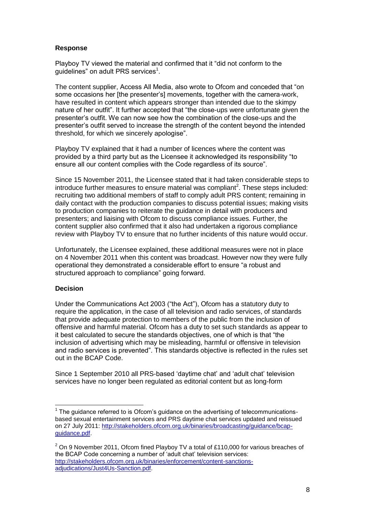## **Response**

Playboy TV viewed the material and confirmed that it "did not conform to the guidelines" on adult PRS services<sup>1</sup>.

The content supplier, Access All Media, also wrote to Ofcom and conceded that "on some occasions her [the presenter"s] movements, together with the camera-work, have resulted in content which appears stronger than intended due to the skimpy nature of her outfit". It further accepted that "the close-ups were unfortunate given the presenter"s outfit. We can now see how the combination of the close-ups and the presenter"s outfit served to increase the strength of the content beyond the intended threshold, for which we sincerely apologise".

Playboy TV explained that it had a number of licences where the content was provided by a third party but as the Licensee it acknowledged its responsibility "to ensure all our content complies with the Code regardless of its source".

Since 15 November 2011, the Licensee stated that it had taken considerable steps to introduce further measures to ensure material was compliant<sup>2</sup>. These steps included: recruiting two additional members of staff to comply adult PRS content; remaining in daily contact with the production companies to discuss potential issues; making visits to production companies to reiterate the guidance in detail with producers and presenters; and liaising with Ofcom to discuss compliance issues. Further, the content supplier also confirmed that it also had undertaken a rigorous compliance review with Playboy TV to ensure that no further incidents of this nature would occur.

Unfortunately, the Licensee explained, these additional measures were not in place on 4 November 2011 when this content was broadcast. However now they were fully operational they demonstrated a considerable effort to ensure "a robust and structured approach to compliance" going forward.

## **Decision**

1

Under the Communications Act 2003 ("the Act"), Ofcom has a statutory duty to require the application, in the case of all television and radio services, of standards that provide adequate protection to members of the public from the inclusion of offensive and harmful material. Ofcom has a duty to set such standards as appear to it best calculated to secure the standards objectives, one of which is that "the inclusion of advertising which may be misleading, harmful or offensive in television and radio services is prevented". This standards objective is reflected in the rules set out in the BCAP Code.

Since 1 September 2010 all PRS-based "daytime chat" and "adult chat" television services have no longer been regulated as editorial content but as long-form

 $1$  The guidance referred to is Ofcom's guidance on the advertising of telecommunicationsbased sexual entertainment services and PRS daytime chat services updated and reissued on 27 July 2011: [http://stakeholders.ofcom.org.uk/binaries/broadcasting/guidance/bcap](http://stakeholders.ofcom.org.uk/binaries/broadcasting/guidance/bcap-guidance.pdf)[guidance.pdf.](http://stakeholders.ofcom.org.uk/binaries/broadcasting/guidance/bcap-guidance.pdf)

 $2$  On 9 November 2011, Ofcom fined Playboy TV a total of £110,000 for various breaches of the BCAP Code concerning a number of "adult chat" television services: [http://stakeholders.ofcom.org.uk/binaries/enforcement/content-sanctions](http://stakeholders.ofcom.org.uk/binaries/enforcement/content-sanctions-adjudications/Just4Us-Sanction.pdf)[adjudications/Just4Us-Sanction.pdf.](http://stakeholders.ofcom.org.uk/binaries/enforcement/content-sanctions-adjudications/Just4Us-Sanction.pdf)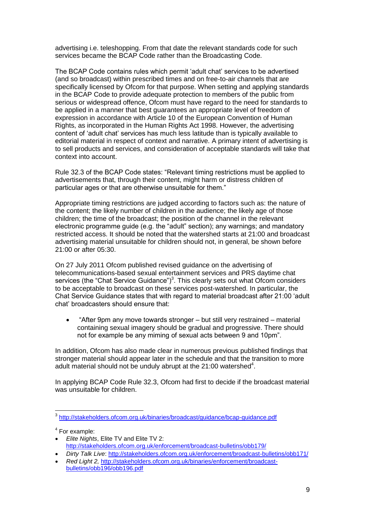advertising i.e. teleshopping. From that date the relevant standards code for such services became the BCAP Code rather than the Broadcasting Code.

The BCAP Code contains rules which permit "adult chat" services to be advertised (and so broadcast) within prescribed times and on free-to-air channels that are specifically licensed by Ofcom for that purpose. When setting and applying standards in the BCAP Code to provide adequate protection to members of the public from serious or widespread offence, Ofcom must have regard to the need for standards to be applied in a manner that best guarantees an appropriate level of freedom of expression in accordance with Article 10 of the European Convention of Human Rights, as incorporated in the Human Rights Act 1998. However, the advertising content of "adult chat" services has much less latitude than is typically available to editorial material in respect of context and narrative. A primary intent of advertising is to sell products and services, and consideration of acceptable standards will take that context into account.

Rule 32.3 of the BCAP Code states: "Relevant timing restrictions must be applied to advertisements that, through their content, might harm or distress children of particular ages or that are otherwise unsuitable for them."

Appropriate timing restrictions are judged according to factors such as: the nature of the content; the likely number of children in the audience; the likely age of those children; the time of the broadcast; the position of the channel in the relevant electronic programme guide (e.g. the "adult" section); any warnings; and mandatory restricted access. It should be noted that the watershed starts at 21:00 and broadcast advertising material unsuitable for children should not, in general, be shown before 21:00 or after 05:30.

On 27 July 2011 Ofcom published revised guidance on the advertising of telecommunications-based sexual entertainment services and PRS daytime chat services (the "Chat Service Guidance")<sup>3</sup>. This clearly sets out what Ofcom considers to be acceptable to broadcast on these services post-watershed. In particular, the Chat Service Guidance states that with regard to material broadcast after 21:00 "adult chat" broadcasters should ensure that:

 "After 9pm any move towards stronger – but still very restrained – material containing sexual imagery should be gradual and progressive. There should not for example be any miming of sexual acts between 9 and 10pm".

In addition, Ofcom has also made clear in numerous previous published findings that stronger material should appear later in the schedule and that the transition to more adult material should not be unduly abrupt at the  $21:00$  watershed<sup>4</sup>.

In applying BCAP Code Rule 32.3, Ofcom had first to decide if the broadcast material was unsuitable for children.

4 For example:

 $\overline{a}$ 

- *Elite Nights*, Elite TV and Elite TV 2: <http://stakeholders.ofcom.org.uk/enforcement/broadcast-bulletins/obb179/>
- *Dirty Talk Live*:<http://stakeholders.ofcom.org.uk/enforcement/broadcast-bulletins/obb171/>

 *Red Light 2,* [http://stakeholders.ofcom.org.uk/binaries/enforcement/broadcast](http://stakeholders.ofcom.org.uk/binaries/enforcement/broadcast-bulletins/obb196/obb196.pdf)[bulletins/obb196/obb196.pdf](http://stakeholders.ofcom.org.uk/binaries/enforcement/broadcast-bulletins/obb196/obb196.pdf)

<sup>&</sup>lt;sup>3</sup> <http://stakeholders.ofcom.org.uk/binaries/broadcast/guidance/bcap-guidance.pdf>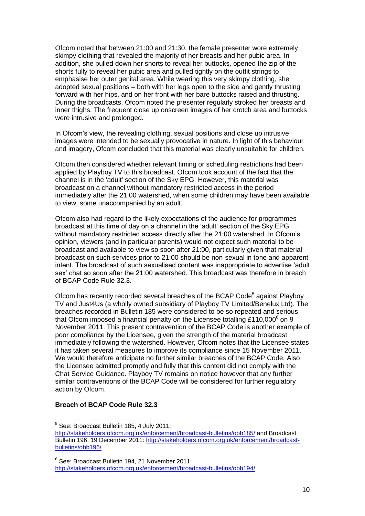Ofcom noted that between 21:00 and 21:30, the female presenter wore extremely skimpy clothing that revealed the majority of her breasts and her pubic area. In addition, she pulled down her shorts to reveal her buttocks, opened the zip of the shorts fully to reveal her pubic area and pulled tightly on the outfit strings to emphasise her outer genital area. While wearing this very skimpy clothing, she adopted sexual positions – both with her legs open to the side and gently thrusting forward with her hips, and on her front with her bare buttocks raised and thrusting. During the broadcasts, Ofcom noted the presenter regularly stroked her breasts and inner thighs. The frequent close up onscreen images of her crotch area and buttocks were intrusive and prolonged.

In Ofcom"s view, the revealing clothing, sexual positions and close up intrusive images were intended to be sexually provocative in nature. In light of this behaviour and imagery, Ofcom concluded that this material was clearly unsuitable for children.

Ofcom then considered whether relevant timing or scheduling restrictions had been applied by Playboy TV to this broadcast. Ofcom took account of the fact that the channel is in the 'adult' section of the Sky EPG. However, this material was broadcast on a channel without mandatory restricted access in the period immediately after the 21:00 watershed, when some children may have been available to view, some unaccompanied by an adult.

Ofcom also had regard to the likely expectations of the audience for programmes broadcast at this time of day on a channel in the "adult" section of the Sky EPG without mandatory restricted access directly after the 21:00 watershed. In Ofcom"s opinion, viewers (and in particular parents) would not expect such material to be broadcast and available to view so soon after 21:00, particularly given that material broadcast on such services prior to 21:00 should be non-sexual in tone and apparent intent. The broadcast of such sexualised content was inappropriate to advertise "adult sex" chat so soon after the 21:00 watershed. This broadcast was therefore in breach of BCAP Code Rule 32.3.

Ofcom has recently recorded several breaches of the BCAP Code<sup>5</sup> against Playboy TV and Just4Us (a wholly owned subsidiary of Playboy TV Limited/Benelux Ltd). The breaches recorded in Bulletin 185 were considered to be so repeated and serious that Ofcom imposed a financial penalty on the Licensee totalling £110,000 $^6$  on 9 November 2011. This present contravention of the BCAP Code is another example of poor compliance by the Licensee, given the strength of the material broadcast immediately following the watershed. However, Ofcom notes that the Licensee states it has taken several measures to improve its compliance since 15 November 2011. We would therefore anticipate no further similar breaches of the BCAP Code. Also the Licensee admitted promptly and fully that this content did not comply with the Chat Service Guidance. Playboy TV remains on notice however that any further similar contraventions of the BCAP Code will be considered for further regulatory action by Ofcom.

## **Breach of BCAP Code Rule 32.3**

1

<sup>&</sup>lt;sup>5</sup> See: Broadcast Bulletin 185, 4 July 2011:

<http://stakeholders.ofcom.org.uk/enforcement/broadcast-bulletins/obb185/> and Broadcast Bulletin 196, 19 December 2011: [http://stakeholders.ofcom.org.uk/enforcement/broadcast](http://stakeholders.ofcom.org.uk/enforcement/broadcast-bulletins/obb196/)[bulletins/obb196/](http://stakeholders.ofcom.org.uk/enforcement/broadcast-bulletins/obb196/)

<sup>6</sup> See: Broadcast Bulletin 194, 21 November 2011: <http://stakeholders.ofcom.org.uk/enforcement/broadcast-bulletins/obb194/>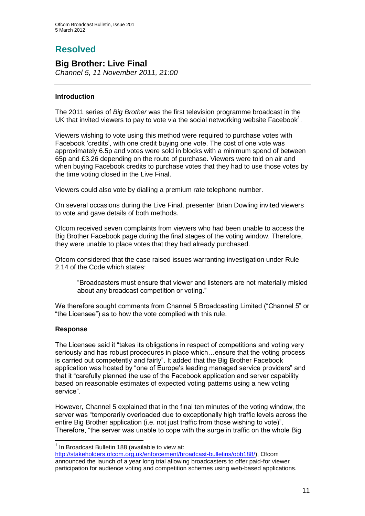# **Resolved**

## **Big Brother: Live Final**

*Channel 5, 11 November 2011, 21:00*

## **Introduction**

The 2011 series of *Big Brother* was the first television programme broadcast in the UK that invited viewers to pay to vote via the social networking website Facebook<sup>1</sup>.

Viewers wishing to vote using this method were required to purchase votes with Facebook 'credits', with one credit buying one vote. The cost of one vote was approximately 6.5p and votes were sold in blocks with a minimum spend of between 65p and £3.26 depending on the route of purchase. Viewers were told on air and when buying Facebook credits to purchase votes that they had to use those votes by the time voting closed in the Live Final.

Viewers could also vote by dialling a premium rate telephone number.

On several occasions during the Live Final, presenter Brian Dowling invited viewers to vote and gave details of both methods.

Ofcom received seven complaints from viewers who had been unable to access the Big Brother Facebook page during the final stages of the voting window. Therefore, they were unable to place votes that they had already purchased.

Ofcom considered that the case raised issues warranting investigation under Rule 2.14 of the Code which states:

"Broadcasters must ensure that viewer and listeners are not materially misled about any broadcast competition or voting."

We therefore sought comments from Channel 5 Broadcasting Limited ("Channel 5" or "the Licensee") as to how the vote complied with this rule.

## **Response**

The Licensee said it "takes its obligations in respect of competitions and voting very seriously and has robust procedures in place which…ensure that the voting process is carried out competently and fairly". It added that the Big Brother Facebook application was hosted by "one of Europe"s leading managed service providers" and that it "carefully planned the use of the Facebook application and server capability based on reasonable estimates of expected voting patterns using a new voting service".

However, Channel 5 explained that in the final ten minutes of the voting window, the server was "temporarily overloaded due to exceptionally high traffic levels across the entire Big Brother application (i.e. not just traffic from those wishing to vote)". Therefore, "the server was unable to cope with the surge in traffic on the whole Big

<sup>1</sup>  $1$  In Broadcast Bulletin 188 (available to view at:

[http://stakeholders.ofcom.org.uk/enforcement/broadcast-bulletins/obb188/\)](http://stakeholders.ofcom.org.uk/enforcement/broadcast-bulletins/obb188/), Ofcom announced the launch of a year long trial allowing broadcasters to offer paid-for viewer participation for audience voting and competition schemes using web-based applications.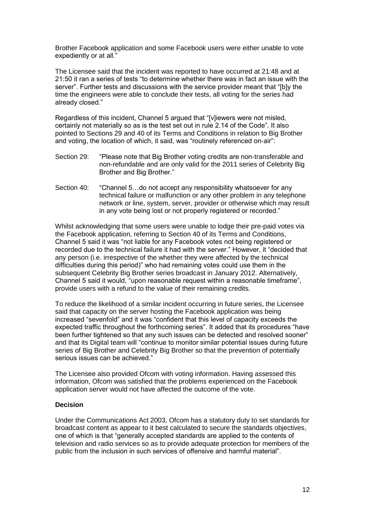Brother Facebook application and some Facebook users were either unable to vote expediently or at all."

The Licensee said that the incident was reported to have occurred at 21:48 and at 21:50 it ran a series of tests "to determine whether there was in fact an issue with the server". Further tests and discussions with the service provider meant that "[b]y the time the engineers were able to conclude their tests, all voting for the series had already closed."

Regardless of this incident, Channel 5 argued that "[v]iewers were not misled, certainly not materially so as is the test set out in rule 2.14 of the Code". It also pointed to Sections 29 and 40 of its Terms and Conditions in relation to Big Brother and voting, the location of which, it said, was "routinely referenced on-air":

- Section 29: "Please note that Big Brother voting credits are non-transferable and non-refundable and are only valid for the 2011 series of Celebrity Big Brother and Big Brother."
- Section 40: "Channel 5…do not accept any responsibility whatsoever for any technical failure or malfunction or any other problem in any telephone network or line, system, server, provider or otherwise which may result in any vote being lost or not properly registered or recorded."

Whilst acknowledging that some users were unable to lodge their pre-paid votes via the Facebook application, referring to Section 40 of its Terms and Conditions, Channel 5 said it was "not liable for any Facebook votes not being registered or recorded due to the technical failure it had with the server." However, it "decided that any person (i.e. irrespective of the whether they were affected by the technical difficulties during this period)" who had remaining votes could use them in the subsequent Celebrity Big Brother series broadcast in January 2012. Alternatively, Channel 5 said it would, "upon reasonable request within a reasonable timeframe", provide users with a refund to the value of their remaining credits.

To reduce the likelihood of a similar incident occurring in future series, the Licensee said that capacity on the server hosting the Facebook application was being increased "sevenfold" and it was "confident that this level of capacity exceeds the expected traffic throughout the forthcoming series". It added that its procedures "have been further tightened so that any such issues can be detected and resolved sooner" and that its Digital team will "continue to monitor similar potential issues during future series of Big Brother and Celebrity Big Brother so that the prevention of potentially serious issues can be achieved."

The Licensee also provided Ofcom with voting information. Having assessed this information, Ofcom was satisfied that the problems experienced on the Facebook application server would not have affected the outcome of the vote.

## **Decision**

Under the Communications Act 2003, Ofcom has a statutory duty to set standards for broadcast content as appear to it best calculated to secure the standards objectives, one of which is that "generally accepted standards are applied to the contents of television and radio services so as to provide adequate protection for members of the public from the inclusion in such services of offensive and harmful material".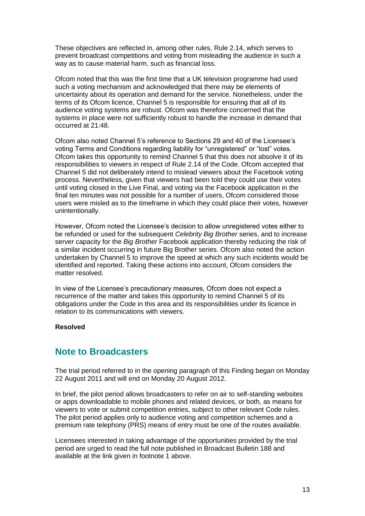These objectives are reflected in, among other rules, Rule 2.14, which serves to prevent broadcast competitions and voting from misleading the audience in such a way as to cause material harm, such as financial loss.

Ofcom noted that this was the first time that a UK television programme had used such a voting mechanism and acknowledged that there may be elements of uncertainty about its operation and demand for the service. Nonetheless, under the terms of its Ofcom licence, Channel 5 is responsible for ensuring that all of its audience voting systems are robust. Ofcom was therefore concerned that the systems in place were not sufficiently robust to handle the increase in demand that occurred at 21:48.

Ofcom also noted Channel 5"s reference to Sections 29 and 40 of the Licensee"s voting Terms and Conditions regarding liability for "unregistered" or "lost" votes. Ofcom takes this opportunity to remind Channel 5 that this does not absolve it of its responsibilities to viewers in respect of Rule 2.14 of the Code. Ofcom accepted that Channel 5 did not deliberately intend to mislead viewers about the Facebook voting process. Nevertheless, given that viewers had been told they could use their votes until voting closed in the Live Final, and voting via the Facebook application in the final ten minutes was not possible for a number of users, Ofcom considered those users were misled as to the timeframe in which they could place their votes, however unintentionally.

However, Ofcom noted the Licensee"s decision to allow unregistered votes either to be refunded or used for the subsequent *Celebrity Big Brother* series, and to increase server capacity for the *Big Brother* Facebook application thereby reducing the risk of a similar incident occurring in future Big Brother series. Ofcom also noted the action undertaken by Channel 5 to improve the speed at which any such incidents would be identified and reported. Taking these actions into account, Ofcom considers the matter resolved.

In view of the Licensee"s precautionary measures, Ofcom does not expect a recurrence of the matter and takes this opportunity to remind Channel 5 of its obligations under the Code in this area and its responsibilities under its licence in relation to its communications with viewers.

## **Resolved**

## **Note to Broadcasters**

The trial period referred to in the opening paragraph of this Finding began on Monday 22 August 2011 and will end on Monday 20 August 2012.

In brief, the pilot period allows broadcasters to refer on air to self-standing websites or apps downloadable to mobile phones and related devices, or both, as means for viewers to vote or submit competition entries, subject to other relevant Code rules. The pilot period applies only to audience voting and competition schemes and a premium rate telephony (PRS) means of entry must be one of the routes available.

Licensees interested in taking advantage of the opportunities provided by the trial period are urged to read the full note published in Broadcast Bulletin 188 and available at the link given in footnote 1 above.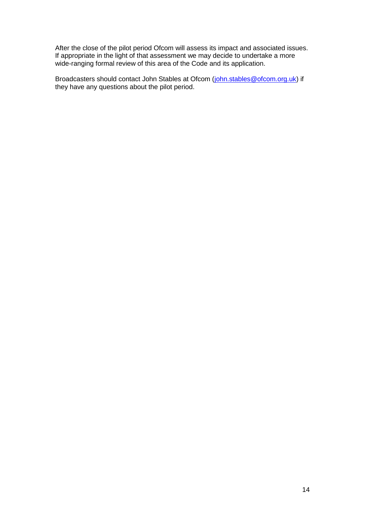After the close of the pilot period Ofcom will assess its impact and associated issues. If appropriate in the light of that assessment we may decide to undertake a more wide-ranging formal review of this area of the Code and its application.

Broadcasters should contact John Stables at Ofcom [\(john.stables@ofcom.org.uk\)](mailto:john.stables@ofcom.org.uk) if they have any questions about the pilot period.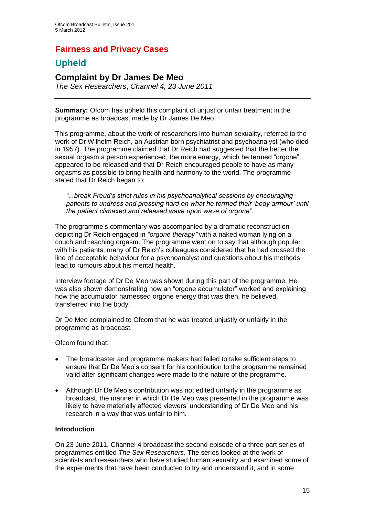# **Fairness and Privacy Cases**

# **Upheld**

## **Complaint by Dr James De Meo**

*The Sex Researchers*, *Channel 4, 23 June 2011*

**Summary:** Ofcom has upheld this complaint of unjust or unfair treatment in the programme as broadcast made by Dr James De Meo.

This programme, about the work of researchers into human sexuality, referred to the work of Dr Wilhelm Reich, an Austrian born psychiatrist and psychoanalyst (who died in 1957). The programme claimed that Dr Reich had suggested that the better the sexual orgasm a person experienced, the more energy, which he termed "orgone", appeared to be released and that Dr Reich encouraged people to have as many orgasms as possible to bring health and harmony to the world. The programme stated that Dr Reich began to:

*"...break Freud"s strict rules in his psychoanalytical sessions by encouraging patients to undress and pressing hard on what he termed their "body armour" until the patient climaxed and released wave upon wave of orgone".*

The programme"s commentary was accompanied by a dramatic reconstruction depicting Dr Reich engaged in *"orgone therapy"* with a naked woman lying on a couch and reaching orgasm. The programme went on to say that although popular with his patients, many of Dr Reich's colleagues considered that he had crossed the line of acceptable behaviour for a psychoanalyst and questions about his methods lead to rumours about his mental health.

Interview footage of Dr De Meo was shown during this part of the programme. He was also shown demonstrating how an "orgone accumulator" worked and explaining how the accumulator harnessed orgone energy that was then, he believed, transferred into the body.

Dr De Meo complained to Ofcom that he was treated unjustly or unfairly in the programme as broadcast.

Ofcom found that:

- The broadcaster and programme makers had failed to take sufficient steps to ensure that Dr De Meo"s consent for his contribution to the programme remained valid after significant changes were made to the nature of the programme.
- Although Dr De Meo"s contribution was not edited unfairly in the programme as broadcast, the manner in which Dr De Meo was presented in the programme was likely to have materially affected viewers" understanding of Dr De Meo and his research in a way that was unfair to him.

## **Introduction**

On 23 June 2011, Channel 4 broadcast the second episode of a three part series of programmes entitled *The Sex Researchers*. The series looked at the work of scientists and researchers who have studied human sexuality and examined some of the experiments that have been conducted to try and understand it, and in some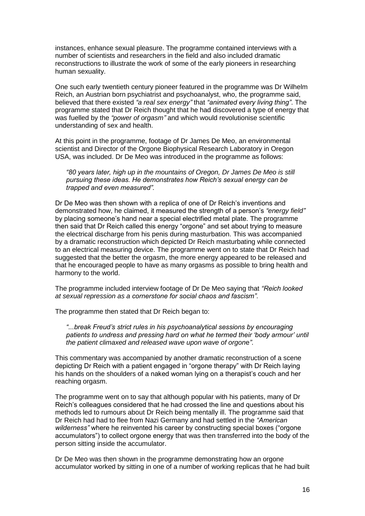instances, enhance sexual pleasure. The programme contained interviews with a number of scientists and researchers in the field and also included dramatic reconstructions to illustrate the work of some of the early pioneers in researching human sexuality.

One such early twentieth century pioneer featured in the programme was Dr Wilhelm Reich, an Austrian born psychiatrist and psychoanalyst, who, the programme said, believed that there existed *"a real sex energy"* that *"animated every living thing"*. The programme stated that Dr Reich thought that he had discovered a type of energy that was fuelled by the *"power of orgasm"* and which would revolutionise scientific understanding of sex and health.

At this point in the programme, footage of Dr James De Meo, an environmental scientist and Director of the Orgone Biophysical Research Laboratory in Oregon USA, was included. Dr De Meo was introduced in the programme as follows:

*"80 years later, high up in the mountains of Oregon, Dr James De Meo is still pursuing these ideas. He demonstrates how Reich"s sexual energy can be trapped and even measured".*

Dr De Meo was then shown with a replica of one of Dr Reich"s inventions and demonstrated how, he claimed, it measured the strength of a person"s *"energy field"* by placing someone"s hand near a special electrified metal plate. The programme then said that Dr Reich called this energy "orgone" and set about trying to measure the electrical discharge from his penis during masturbation. This was accompanied by a dramatic reconstruction which depicted Dr Reich masturbating while connected to an electrical measuring device. The programme went on to state that Dr Reich had suggested that the better the orgasm, the more energy appeared to be released and that he encouraged people to have as many orgasms as possible to bring health and harmony to the world.

The programme included interview footage of Dr De Meo saying that *"Reich looked at sexual repression as a cornerstone for social chaos and fascism"*.

The programme then stated that Dr Reich began to:

*"...break Freud"s strict rules in his psychoanalytical sessions by encouraging patients to undress and pressing hard on what he termed their "body armour" until the patient climaxed and released wave upon wave of orgon*e*"*.

This commentary was accompanied by another dramatic reconstruction of a scene depicting Dr Reich with a patient engaged in "orgone therapy" with Dr Reich laying his hands on the shoulders of a naked woman lying on a therapist's couch and her reaching orgasm.

The programme went on to say that although popular with his patients, many of Dr Reich"s colleagues considered that he had crossed the line and questions about his methods led to rumours about Dr Reich being mentally ill. The programme said that Dr Reich had had to flee from Nazi Germany and had settled in the *"American wilderness"* where he reinvented his career by constructing special boxes ("orgone accumulators") to collect orgone energy that was then transferred into the body of the person sitting inside the accumulator.

Dr De Meo was then shown in the programme demonstrating how an orgone accumulator worked by sitting in one of a number of working replicas that he had built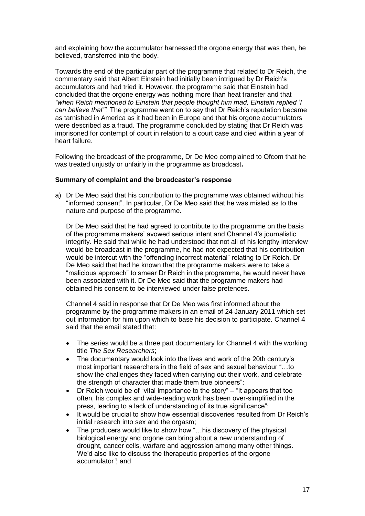and explaining how the accumulator harnessed the orgone energy that was then, he believed, transferred into the body.

Towards the end of the particular part of the programme that related to Dr Reich, the commentary said that Albert Einstein had initially been intrigued by Dr Reich"s accumulators and had tried it. However, the programme said that Einstein had concluded that the orgone energy was nothing more than heat transfer and that *"when Reich mentioned to Einstein that people thought him mad, Einstein replied* "*I can believe that""*. The programme went on to say that Dr Reich"s reputation became as tarnished in America as it had been in Europe and that his orgone accumulators were described as a fraud. The programme concluded by stating that Dr Reich was imprisoned for contempt of court in relation to a court case and died within a year of heart failure.

Following the broadcast of the programme, Dr De Meo complained to Ofcom that he was treated unjustly or unfairly in the programme as broadcast**.**

## **Summary of complaint and the broadcaster's response**

a) Dr De Meo said that his contribution to the programme was obtained without his "informed consent". In particular, Dr De Meo said that he was misled as to the nature and purpose of the programme.

Dr De Meo said that he had agreed to contribute to the programme on the basis of the programme makers" avowed serious intent and Channel 4"s journalistic integrity. He said that while he had understood that not all of his lengthy interview would be broadcast in the programme, he had not expected that his contribution would be intercut with the "offending incorrect material" relating to Dr Reich. Dr De Meo said that had he known that the programme makers were to take a "malicious approach" to smear Dr Reich in the programme, he would never have been associated with it. Dr De Meo said that the programme makers had obtained his consent to be interviewed under false pretences.

Channel 4 said in response that Dr De Meo was first informed about the programme by the programme makers in an email of 24 January 2011 which set out information for him upon which to base his decision to participate. Channel 4 said that the email stated that:

- The series would be a three part documentary for Channel 4 with the working title *The Sex Researchers*;
- The documentary would look into the lives and work of the 20th century's most important researchers in the field of sex and sexual behaviour "…to show the challenges they faced when carrying out their work, and celebrate the strength of character that made them true pioneers";
- Dr Reich would be of "vital importance to the story" "It appears that too often, his complex and wide-reading work has been over-simplified in the press, leading to a lack of understanding of its true significance";
- It would be crucial to show how essential discoveries resulted from Dr Reich"s initial research into sex and the orgasm;
- The producers would like to show how "...his discovery of the physical biological energy and orgone can bring about a new understanding of drought, cancer cells, warfare and aggression among many other things. We"d also like to discuss the therapeutic properties of the orgone accumulator*"*; and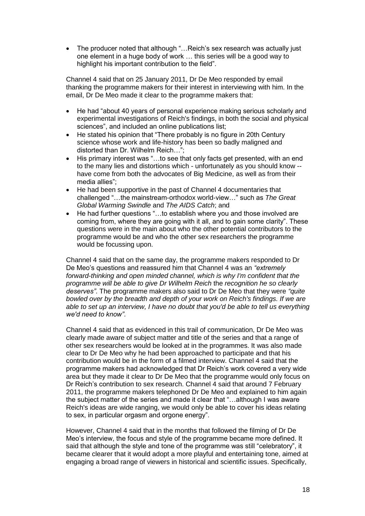The producer noted that although "…Reich"s sex research was actually just one element in a huge body of work … this series will be a good way to highlight his important contribution to the field".

Channel 4 said that on 25 January 2011, Dr De Meo responded by email thanking the programme makers for their interest in interviewing with him. In the email, Dr De Meo made it clear to the programme makers that:

- He had "about 40 years of personal experience making serious scholarly and experimental investigations of Reich's findings, in both the social and physical sciences", and included an online publications list;
- He stated his opinion that "There probably is no figure in 20th Century science whose work and life-history has been so badly maligned and distorted than Dr. Wilhelm Reich…";
- His primary interest was "...to see that only facts get presented, with an end to the many lies and distortions which - unfortunately as you should know - have come from both the advocates of Big Medicine, as well as from their media allies";
- He had been supportive in the past of Channel 4 documentaries that challenged "…the mainstream-orthodox world-view…" such as *The Great Global Warming Swindle* and *The AIDS Catch*; and
- He had further questions "…to establish where you and those involved are coming from, where they are going with it all, and to gain some clarity". These questions were in the main about who the other potential contributors to the programme would be and who the other sex researchers the programme would be focussing upon.

Channel 4 said that on the same day, the programme makers responded to Dr De Meo"s questions and reassured him that Channel 4 was an *"extremely forward-thinking and open minded channel, which is why I'm confident that the programme will be able to give Dr Wilhelm Reich* the *recognition he so clearly deserves"*. The programme makers also said to Dr De Meo that they were *"quite bowled over by the breadth and depth of your work on Reich's findings. If we are able to set up an interview, I have no doubt that you'd be able to tell us everything we'd need to know"*.

Channel 4 said that as evidenced in this trail of communication, Dr De Meo was clearly made aware of subject matter and title of the series and that a range of other sex researchers would be looked at in the programmes. It was also made clear to Dr De Meo why he had been approached to participate and that his contribution would be in the form of a filmed interview. Channel 4 said that the programme makers had acknowledged that Dr Reich"s work covered a very wide area but they made it clear to Dr De Meo that the programme would only focus on Dr Reich"s contribution to sex research. Channel 4 said that around 7 February 2011, the programme makers telephoned Dr De Meo and explained to him again the subject matter of the series and made it clear that "…although I was aware Reich's ideas are wide ranging, we would only be able to cover his ideas relating to sex, in particular orgasm and orgone energy".

However, Channel 4 said that in the months that followed the filming of Dr De Meo"s interview, the focus and style of the programme became more defined. It said that although the style and tone of the programme was still "celebratory", it became clearer that it would adopt a more playful and entertaining tone, aimed at engaging a broad range of viewers in historical and scientific issues. Specifically,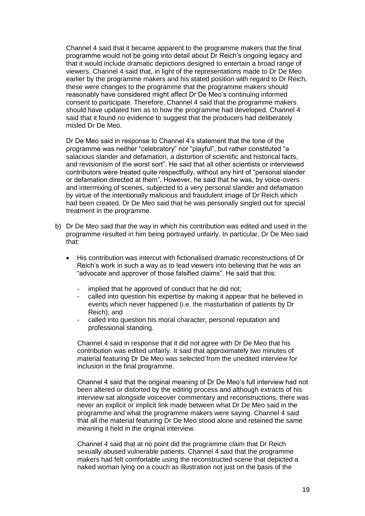Channel 4 said that it became apparent to the programme makers that the final programme would not be going into detail about Dr Reich"s ongoing legacy and that it would include dramatic depictions designed to entertain a broad range of viewers. Channel 4 said that, in light of the representations made to Dr De Meo earlier by the programme makers and his stated position with regard to Dr Reich, these were changes to the programme that the programme makers should reasonably have considered might affect Dr De Meo"s continuing informed consent to participate. Therefore, Channel 4 said that the programme makers should have updated him as to how the programme had developed. Channel 4 said that it found no evidence to suggest that the producers had deliberately misled Dr De Meo.

Dr De Meo said in response to Channel 4"s statement that the tone of the programme was neither "celebratory" nor "playful", but rather constituted "a salacious slander and defamation, a distortion of scientific and historical facts, and revisionism of the worst sort". He said that all other scientists or interviewed contributors were treated quite respectfully, without any hint of "personal slander or defamation directed at them". However, he said that he was, by voice-overs and intermixing of scenes, subjected to a very personal slander and defamation by virtue of the intentionally malicious and fraudulent image of Dr Reich which had been created. Dr De Meo said that he was personally singled out for special treatment in the programme.

- b) Dr De Meo said that the way in which his contribution was edited and used in the programme resulted in him being portrayed unfairly. In particular, Dr De Meo said that:
	- His contribution was intercut with fictionalised dramatic reconstructions of Dr Reich"s work in such a way as to lead viewers into believing that he was an "advocate and approver of those falsified claims". He said that this:
		- implied that he approved of conduct that he did not:
		- called into question his expertise by making it appear that he believed in events which never happened (i.e. the masturbation of patients by Dr Reich); and
		- called into question his moral character, personal reputation and professional standing.

Channel 4 said in response that it did not agree with Dr De Meo that his contribution was edited unfairly. It said that approximately two minutes of material featuring Dr De Meo was selected from the unedited interview for inclusion in the final programme.

Channel 4 said that the original meaning of Dr De Meo"s full interview had not been altered or distorted by the editing process and although extracts of his interview sat alongside voiceover commentary and reconstructions, there was never an explicit or implicit link made between what Dr De Meo said in the programme and what the programme makers were saying. Channel 4 said that all the material featuring Dr De Meo stood alone and retained the same meaning it held in the original interview.

Channel 4 said that at no point did the programme claim that Dr Reich sexually abused vulnerable patients. Channel 4 said that the programme makers had felt comfortable using the reconstructed scene that depicted a naked woman lying on a couch as illustration not just on the basis of the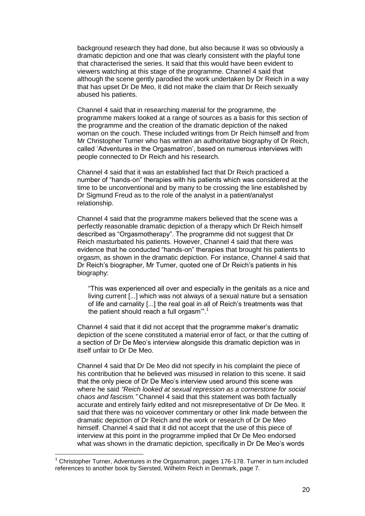background research they had done, but also because it was so obviously a dramatic depiction and one that was clearly consistent with the playful tone that characterised the series. It said that this would have been evident to viewers watching at this stage of the programme. Channel 4 said that although the scene gently parodied the work undertaken by Dr Reich in a way that has upset Dr De Meo, it did not make the claim that Dr Reich sexually abused his patients.

Channel 4 said that in researching material for the programme, the programme makers looked at a range of sources as a basis for this section of the programme and the creation of the dramatic depiction of the naked woman on the couch. These included writings from Dr Reich himself and from Mr Christopher Turner who has written an authoritative biography of Dr Reich, called 'Adventures in the Orgasmatron', based on numerous interviews with people connected to Dr Reich and his research.

Channel 4 said that it was an established fact that Dr Reich practiced a number of "hands-on" therapies with his patients which was considered at the time to be unconventional and by many to be crossing the line established by Dr Sigmund Freud as to the role of the analyst in a patient/analyst relationship.

Channel 4 said that the programme makers believed that the scene was a perfectly reasonable dramatic depiction of a therapy which Dr Reich himself described as "Orgasmotherapy". The programme did not suggest that Dr Reich masturbated his patients. However, Channel 4 said that there was evidence that he conducted "hands-on" therapies that brought his patients to orgasm, as shown in the dramatic depiction. For instance, Channel 4 said that Dr Reich"s biographer, Mr Turner, quoted one of Dr Reich"s patients in his biography:

"This was experienced all over and especially in the genitals as a nice and living current [...] which was not always of a sexual nature but a sensation of life and carnality [...] the real goal in all of Reich"s treatments was that the patient should reach a full orgasm"<sup>1</sup>

Channel 4 said that it did not accept that the programme maker"s dramatic depiction of the scene constituted a material error of fact, or that the cutting of a section of Dr De Meo"s interview alongside this dramatic depiction was in itself unfair to Dr De Meo.

Channel 4 said that Dr De Meo did not specify in his complaint the piece of his contribution that he believed was misused in relation to this scene. It said that the only piece of Dr De Meo"s interview used around this scene was where he said *"Reich looked at sexual repression as a cornerstone for social chaos and fascism."* Channel 4 said that this statement was both factually accurate and entirely fairly edited and not misrepresentative of Dr De Meo. It said that there was no voiceover commentary or other link made between the dramatic depiction of Dr Reich and the work or research of Dr De Meo himself. Channel 4 said that it did not accept that the use of this piece of interview at this point in the programme implied that Dr De Meo endorsed what was shown in the dramatic depiction, specifically in Dr De Meo's words

1

<sup>&</sup>lt;sup>1</sup> Christopher Turner, Adventures in the Orgasmatron, pages 176-178. Turner in turn included references to another book by Siersted, Wilhelm Reich in Denmark, page 7.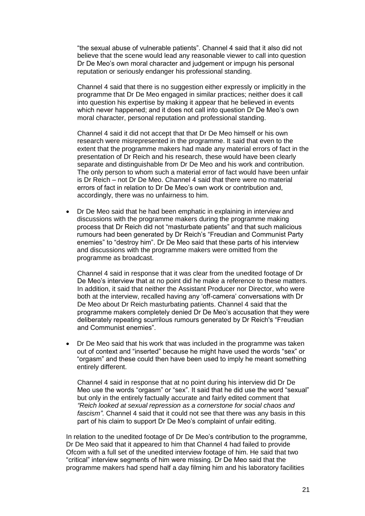"the sexual abuse of vulnerable patients". Channel 4 said that it also did not believe that the scene would lead any reasonable viewer to call into question Dr De Meo"s own moral character and judgement or impugn his personal reputation or seriously endanger his professional standing.

Channel 4 said that there is no suggestion either expressly or implicitly in the programme that Dr De Meo engaged in similar practices; neither does it call into question his expertise by making it appear that he believed in events which never happened; and it does not call into question Dr De Meo"s own moral character, personal reputation and professional standing.

Channel 4 said it did not accept that that Dr De Meo himself or his own research were misrepresented in the programme. It said that even to the extent that the programme makers had made any material errors of fact in the presentation of Dr Reich and his research, these would have been clearly separate and distinguishable from Dr De Meo and his work and contribution. The only person to whom such a material error of fact would have been unfair is Dr Reich – not Dr De Meo. Channel 4 said that there were no material errors of fact in relation to Dr De Meo's own work or contribution and. accordingly, there was no unfairness to him.

 Dr De Meo said that he had been emphatic in explaining in interview and discussions with the programme makers during the programme making process that Dr Reich did not "masturbate patients" and that such malicious rumours had been generated by Dr Reich"s "Freudian and Communist Party enemies" to "destroy him". Dr De Meo said that these parts of his interview and discussions with the programme makers were omitted from the programme as broadcast.

Channel 4 said in response that it was clear from the unedited footage of Dr De Meo"s interview that at no point did he make a reference to these matters. In addition, it said that neither the Assistant Producer nor Director, who were both at the interview, recalled having any "off-camera" conversations with Dr De Meo about Dr Reich masturbating patients. Channel 4 said that the programme makers completely denied Dr De Meo"s accusation that they were deliberately repeating scurrilous rumours generated by Dr Reich's "Freudian and Communist enemies".

 Dr De Meo said that his work that was included in the programme was taken out of context and "inserted" because he might have used the words "sex" or "orgasm" and these could then have been used to imply he meant something entirely different.

Channel 4 said in response that at no point during his interview did Dr De Meo use the words "orgasm" or "sex". It said that he did use the word "sexual" but only in the entirely factually accurate and fairly edited comment that *"Reich looked at sexual repression as a cornerstone for social chaos and fascism"*. Channel 4 said that it could not see that there was any basis in this part of his claim to support Dr De Meo's complaint of unfair editing.

In relation to the unedited footage of Dr De Meo"s contribution to the programme, Dr De Meo said that it appeared to him that Channel 4 had failed to provide Ofcom with a full set of the unedited interview footage of him. He said that two "critical" interview segments of him were missing. Dr De Meo said that the programme makers had spend half a day filming him and his laboratory facilities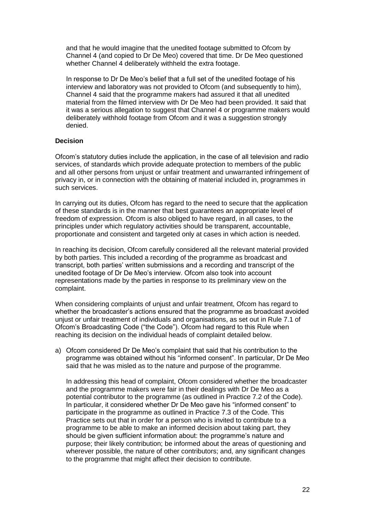and that he would imagine that the unedited footage submitted to Ofcom by Channel 4 (and copied to Dr De Meo) covered that time. Dr De Meo questioned whether Channel 4 deliberately withheld the extra footage.

In response to Dr De Meo"s belief that a full set of the unedited footage of his interview and laboratory was not provided to Ofcom (and subsequently to him), Channel 4 said that the programme makers had assured it that all unedited material from the filmed interview with Dr De Meo had been provided. It said that it was a serious allegation to suggest that Channel 4 or programme makers would deliberately withhold footage from Ofcom and it was a suggestion strongly denied.

## **Decision**

Ofcom"s statutory duties include the application, in the case of all television and radio services, of standards which provide adequate protection to members of the public and all other persons from unjust or unfair treatment and unwarranted infringement of privacy in, or in connection with the obtaining of material included in, programmes in such services.

In carrying out its duties, Ofcom has regard to the need to secure that the application of these standards is in the manner that best guarantees an appropriate level of freedom of expression. Ofcom is also obliged to have regard, in all cases, to the principles under which regulatory activities should be transparent, accountable, proportionate and consistent and targeted only at cases in which action is needed.

In reaching its decision, Ofcom carefully considered all the relevant material provided by both parties. This included a recording of the programme as broadcast and transcript, both parties" written submissions and a recording and transcript of the unedited footage of Dr De Meo"s interview. Ofcom also took into account representations made by the parties in response to its preliminary view on the complaint.

When considering complaints of unjust and unfair treatment, Ofcom has regard to whether the broadcaster"s actions ensured that the programme as broadcast avoided unjust or unfair treatment of individuals and organisations, as set out in Rule 7.1 of Ofcom"s Broadcasting Code ("the Code"). Ofcom had regard to this Rule when reaching its decision on the individual heads of complaint detailed below.

a) Ofcom considered Dr De Meo"s complaint that said that his contribution to the programme was obtained without his "informed consent". In particular, Dr De Meo said that he was misled as to the nature and purpose of the programme.

In addressing this head of complaint, Ofcom considered whether the broadcaster and the programme makers were fair in their dealings with Dr De Meo as a potential contributor to the programme (as outlined in Practice 7.2 of the Code). In particular, it considered whether Dr De Meo gave his "informed consent" to participate in the programme as outlined in Practice 7.3 of the Code. This Practice sets out that in order for a person who is invited to contribute to a programme to be able to make an informed decision about taking part, they should be given sufficient information about: the programme's nature and purpose; their likely contribution; be informed about the areas of questioning and wherever possible, the nature of other contributors; and, any significant changes to the programme that might affect their decision to contribute.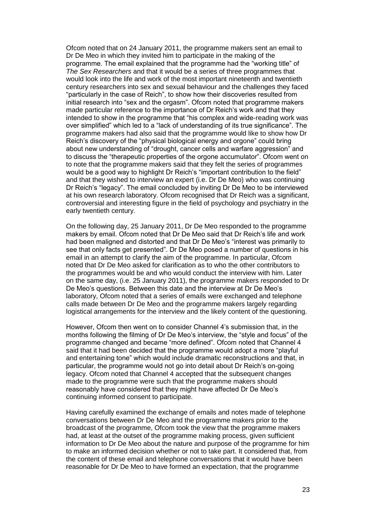Ofcom noted that on 24 January 2011, the programme makers sent an email to Dr De Meo in which they invited him to participate in the making of the programme. The email explained that the programme had the "working title" of *The Sex Researchers* and that it would be a series of three programmes that would look into the life and work of the most important nineteenth and twentieth century researchers into sex and sexual behaviour and the challenges they faced "particularly in the case of Reich", to show how their discoveries resulted from initial research into "sex and the orgasm". Ofcom noted that programme makers made particular reference to the importance of Dr Reich's work and that they intended to show in the programme that "his complex and wide-reading work was over simplified" which led to a "lack of understanding of its true significance". The programme makers had also said that the programme would like to show how Dr Reich"s discovery of the "physical biological energy and orgone" could bring about new understanding of "drought, cancer cells and warfare aggression" and to discuss the "therapeutic properties of the orgone accumulator". Ofcom went on to note that the programme makers said that they felt the series of programmes would be a good way to highlight Dr Reich's "important contribution to the field" and that they wished to interview an expert (i.e. Dr De Meo) who was continuing Dr Reich's "legacy". The email concluded by inviting Dr De Meo to be interviewed at his own research laboratory. Ofcom recognised that Dr Reich was a significant, controversial and interesting figure in the field of psychology and psychiatry in the early twentieth century.

On the following day, 25 January 2011, Dr De Meo responded to the programme makers by email. Ofcom noted that Dr De Meo said that Dr Reich"s life and work had been maligned and distorted and that Dr De Meo"s "interest was primarily to see that only facts get presented". Dr De Meo posed a number of questions in his email in an attempt to clarify the aim of the programme. In particular, Ofcom noted that Dr De Meo asked for clarification as to who the other contributors to the programmes would be and who would conduct the interview with him. Later on the same day, (i.e. 25 January 2011), the programme makers responded to Dr De Meo's questions. Between this date and the interview at Dr De Meo's laboratory, Ofcom noted that a series of emails were exchanged and telephone calls made between Dr De Meo and the programme makers largely regarding logistical arrangements for the interview and the likely content of the questioning.

However, Ofcom then went on to consider Channel 4"s submission that, in the months following the filming of Dr De Meo"s interview, the "style and focus" of the programme changed and became "more defined". Ofcom noted that Channel 4 said that it had been decided that the programme would adopt a more "playful and entertaining tone" which would include dramatic reconstructions and that, in particular, the programme would not go into detail about Dr Reich"s on-going legacy. Ofcom noted that Channel 4 accepted that the subsequent changes made to the programme were such that the programme makers should reasonably have considered that they might have affected Dr De Meo"s continuing informed consent to participate.

Having carefully examined the exchange of emails and notes made of telephone conversations between Dr De Meo and the programme makers prior to the broadcast of the programme, Ofcom took the view that the programme makers had, at least at the outset of the programme making process, given sufficient information to Dr De Meo about the nature and purpose of the programme for him to make an informed decision whether or not to take part. It considered that, from the content of these email and telephone conversations that it would have been reasonable for Dr De Meo to have formed an expectation, that the programme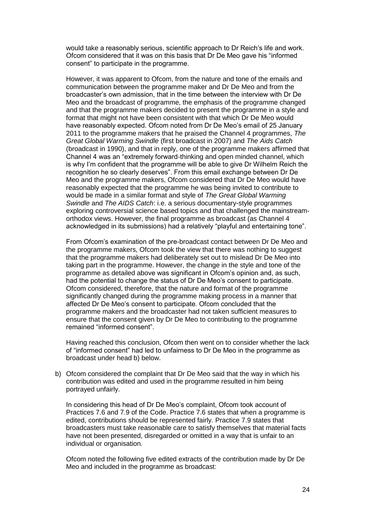would take a reasonably serious, scientific approach to Dr Reich"s life and work. Ofcom considered that it was on this basis that Dr De Meo gave his "informed consent" to participate in the programme.

However, it was apparent to Ofcom, from the nature and tone of the emails and communication between the programme maker and Dr De Meo and from the broadcaster"s own admission, that in the time between the interview with Dr De Meo and the broadcast of programme, the emphasis of the programme changed and that the programme makers decided to present the programme in a style and format that might not have been consistent with that which Dr De Meo would have reasonably expected. Ofcom noted from Dr De Meo"s email of 25 January 2011 to the programme makers that he praised the Channel 4 programmes, *The Great Global Warming Swindle* (first broadcast in 2007) and *The Aids Catch* (broadcast in 1990), and that in reply, one of the programme makers affirmed that Channel 4 was an "extremely forward-thinking and open minded channel, which is why I"m confident that the programme will be able to give Dr Wilhelm Reich the recognition he so clearly deserves". From this email exchange between Dr De Meo and the programme makers, Ofcom considered that Dr De Meo would have reasonably expected that the programme he was being invited to contribute to would be made in a similar format and style of *The Great Global Warming Swindle* and *The AIDS Catch*: i.e. a serious documentary-style programmes exploring controversial science based topics and that challenged the mainstreamorthodox views. However, the final programme as broadcast (as Channel 4 acknowledged in its submissions) had a relatively "playful and entertaining tone".

From Ofcom"s examination of the pre-broadcast contact between Dr De Meo and the programme makers, Ofcom took the view that there was nothing to suggest that the programme makers had deliberately set out to mislead Dr De Meo into taking part in the programme. However, the change in the style and tone of the programme as detailed above was significant in Ofcom"s opinion and, as such, had the potential to change the status of Dr De Meo"s consent to participate. Ofcom considered, therefore, that the nature and format of the programme significantly changed during the programme making process in a manner that affected Dr De Meo"s consent to participate. Ofcom concluded that the programme makers and the broadcaster had not taken sufficient measures to ensure that the consent given by Dr De Meo to contributing to the programme remained "informed consent".

Having reached this conclusion, Ofcom then went on to consider whether the lack of "informed consent" had led to unfairness to Dr De Meo in the programme as broadcast under head b) below.

b) Ofcom considered the complaint that Dr De Meo said that the way in which his contribution was edited and used in the programme resulted in him being portrayed unfairly.

In considering this head of Dr De Meo's complaint, Ofcom took account of Practices 7.6 and 7.9 of the Code. Practice 7.6 states that when a programme is edited, contributions should be represented fairly. Practice 7.9 states that broadcasters must take reasonable care to satisfy themselves that material facts have not been presented, disregarded or omitted in a way that is unfair to an individual or organisation.

Ofcom noted the following five edited extracts of the contribution made by Dr De Meo and included in the programme as broadcast: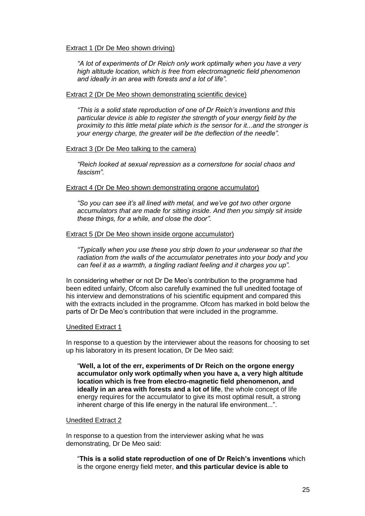### Extract 1 (Dr De Meo shown driving)

*"A lot of experiments of Dr Reich only work optimally when you have a very high altitude location, which is free from electromagnetic field phenomenon and ideally in an area with forests and a lot of life".*

#### Extract 2 (Dr De Meo shown demonstrating scientific device)

*"This is a solid state reproduction of one of Dr Reich"s inventions and this particular device is able to register the strength of your energy field by the proximity to this little metal plate which is the sensor for it...and the stronger is your energy charge, the greater will be the deflection of the needle".*

### Extract 3 (Dr De Meo talking to the camera)

*"Reich looked at sexual repression as a cornerstone for social chaos and fascism".*

#### Extract 4 (Dr De Meo shown demonstrating orgone accumulator)

*"So you can see it"s all lined with metal, and we"ve got two other orgone accumulators that are made for sitting inside. And then you simply sit inside these things, for a while, and close the door".*

#### Extract 5 (Dr De Meo shown inside orgone accumulator)

*"Typically when you use these you strip down to your underwear so that the radiation from the walls of the accumulator penetrates into your body and you can feel it as a warmth, a tingling radiant feeling and it charges you up".*

In considering whether or not Dr De Meo"s contribution to the programme had been edited unfairly, Ofcom also carefully examined the full unedited footage of his interview and demonstrations of his scientific equipment and compared this with the extracts included in the programme. Ofcom has marked in bold below the parts of Dr De Meo"s contribution that were included in the programme.

#### Unedited Extract 1

In response to a question by the interviewer about the reasons for choosing to set up his laboratory in its present location, Dr De Meo said:

"**Well, a lot of the err, experiments of Dr Reich on the orgone energy accumulator only work optimally when you have a, a very high altitude location which is free from electro-magnetic field phenomenon, and ideally in an area with forests and a lot of life**, the whole concept of life energy requires for the accumulator to give its most optimal result, a strong inherent charge of this life energy in the natural life environment...".

#### Unedited Extract 2

In response to a question from the interviewer asking what he was demonstrating, Dr De Meo said:

"**This is a solid state reproduction of one of Dr Reich's inventions** which is the orgone energy field meter, **and this particular device is able to**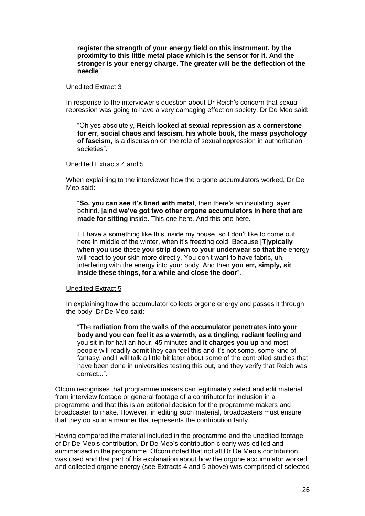**register the strength of your energy field on this instrument, by the proximity to this little metal place which is the sensor for it. And the stronger is your energy charge. The greater will be the deflection of the needle**".

### Unedited Extract 3

In response to the interviewer"s question about Dr Reich"s concern that sexual repression was going to have a very damaging effect on society, Dr De Meo said:

"Oh yes absolutely, **Reich looked at sexual repression as a cornerstone for err, social chaos and fascism, his whole book, the mass psychology of fascism**, is a discussion on the role of sexual oppression in authoritarian societies".

## Unedited Extracts 4 and 5

When explaining to the interviewer how the orgone accumulators worked, Dr De Meo said:

"**So, you can see it's lined with metal**, then there"s an insulating layer behind. [**a**]**nd we've got two other orgone accumulators in here that are made for sitting** inside. This one here. And this one here.

I, I have a something like this inside my house, so I don"t like to come out here in middle of the winter, when it"s freezing cold. Because [**T**]**ypically when you use** these **you strip down to your underwear so that the** energy will react to your skin more directly. You don't want to have fabric, uh, interfering with the energy into your body. And then **you err, simply, sit inside these things, for a while and close the door**".

## Unedited Extract 5

In explaining how the accumulator collects orgone energy and passes it through the body, Dr De Meo said:

"The **radiation from the walls of the accumulator penetrates into your body and you can feel it as a warmth, as a tingling, radiant feeling and** you sit in for half an hour, 45 minutes and **it charges you up** and most people will readily admit they can feel this and it"s not some, some kind of fantasy, and I will talk a little bit later about some of the controlled studies that have been done in universities testing this out, and they verify that Reich was correct...".

Ofcom recognises that programme makers can legitimately select and edit material from interview footage or general footage of a contributor for inclusion in a programme and that this is an editorial decision for the programme makers and broadcaster to make. However, in editing such material, broadcasters must ensure that they do so in a manner that represents the contribution fairly.

Having compared the material included in the programme and the unedited footage of Dr De Meo"s contribution, Dr De Meo"s contribution clearly was edited and summarised in the programme. Ofcom noted that not all Dr De Meo"s contribution was used and that part of his explanation about how the orgone accumulator worked and collected orgone energy (see Extracts 4 and 5 above) was comprised of selected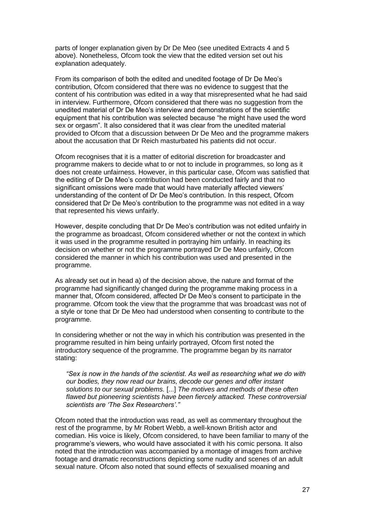parts of longer explanation given by Dr De Meo (see unedited Extracts 4 and 5 above). Nonetheless, Ofcom took the view that the edited version set out his explanation adequately.

From its comparison of both the edited and unedited footage of Dr De Meo"s contribution, Ofcom considered that there was no evidence to suggest that the content of his contribution was edited in a way that misrepresented what he had said in interview. Furthermore, Ofcom considered that there was no suggestion from the unedited material of Dr De Meo"s interview and demonstrations of the scientific equipment that his contribution was selected because "he might have used the word sex or orgasm". It also considered that it was clear from the unedited material provided to Ofcom that a discussion between Dr De Meo and the programme makers about the accusation that Dr Reich masturbated his patients did not occur.

Ofcom recognises that it is a matter of editorial discretion for broadcaster and programme makers to decide what to or not to include in programmes, so long as it does not create unfairness. However, in this particular case, Ofcom was satisfied that the editing of Dr De Meo"s contribution had been conducted fairly and that no significant omissions were made that would have materially affected viewers' understanding of the content of Dr De Meo"s contribution. In this respect, Ofcom considered that Dr De Meo"s contribution to the programme was not edited in a way that represented his views unfairly.

However, despite concluding that Dr De Meo"s contribution was not edited unfairly in the programme as broadcast, Ofcom considered whether or not the context in which it was used in the programme resulted in portraying him unfairly. In reaching its decision on whether or not the programme portrayed Dr De Meo unfairly, Ofcom considered the manner in which his contribution was used and presented in the programme.

As already set out in head a) of the decision above, the nature and format of the programme had significantly changed during the programme making process in a manner that, Ofcom considered, affected Dr De Meo"s consent to participate in the programme. Ofcom took the view that the programme that was broadcast was not of a style or tone that Dr De Meo had understood when consenting to contribute to the programme.

In considering whether or not the way in which his contribution was presented in the programme resulted in him being unfairly portrayed, Ofcom first noted the introductory sequence of the programme. The programme began by its narrator stating:

*"Sex is now in the hands of the scientist. As well as researching what we do with our bodies, they now read our brains, decode our genes and offer instant solutions to our sexual problems.* [...] *The motives and methods of these often flawed but pioneering scientists have been fiercely attacked. These controversial scientists are "The Sex Researchers"*.*"*

Ofcom noted that the introduction was read, as well as commentary throughout the rest of the programme, by Mr Robert Webb, a well-known British actor and comedian. His voice is likely, Ofcom considered, to have been familiar to many of the programme"s viewers, who would have associated it with his comic persona. It also noted that the introduction was accompanied by a montage of images from archive footage and dramatic reconstructions depicting some nudity and scenes of an adult sexual nature. Ofcom also noted that sound effects of sexualised moaning and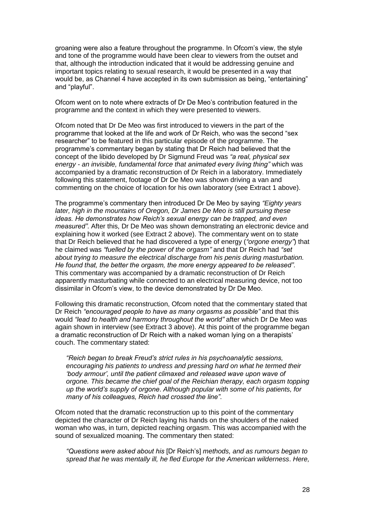groaning were also a feature throughout the programme. In Ofcom"s view, the style and tone of the programme would have been clear to viewers from the outset and that, although the introduction indicated that it would be addressing genuine and important topics relating to sexual research, it would be presented in a way that would be, as Channel 4 have accepted in its own submission as being, "entertaining" and "playful".

Ofcom went on to note where extracts of Dr De Meo"s contribution featured in the programme and the context in which they were presented to viewers.

Ofcom noted that Dr De Meo was first introduced to viewers in the part of the programme that looked at the life and work of Dr Reich, who was the second "sex researcher" to be featured in this particular episode of the programme. The programme"s commentary began by stating that Dr Reich had believed that the concept of the libido developed by Dr Sigmund Freud was *"a real, physical sex energy - an invisible, fundamental force that animated every living thing"* which was accompanied by a dramatic reconstruction of Dr Reich in a laboratory. Immediately following this statement, footage of Dr De Meo was shown driving a van and commenting on the choice of location for his own laboratory (see Extract 1 above).

The programme"s commentary then introduced Dr De Meo by saying *"Eighty years*  later, high in the mountains of Oregon, Dr James De Meo is still pursuing these *ideas. He demonstrates how Reich"s sexual energy can be trapped, and even measured"*. After this, Dr De Meo was shown demonstrating an electronic device and explaining how it worked (see Extract 2 above). The commentary went on to state that Dr Reich believed that he had discovered a type of energy (*"orgone energy"*) that he claimed was *"fuelled by the power of the orgasm"* and that Dr Reich had *"set about trying to measure the electrical discharge from his penis during masturbation. He found that, the better the orgasm, the more energy appeared to be released"*. This commentary was accompanied by a dramatic reconstruction of Dr Reich apparently masturbating while connected to an electrical measuring device, not too dissimilar in Ofcom"s view, to the device demonstrated by Dr De Meo.

Following this dramatic reconstruction, Ofcom noted that the commentary stated that Dr Reich *"encouraged people to have as many orgasms as possible"* and that this would *"lead to health and harmony throughout the world"* after which Dr De Meo was again shown in interview (see Extract 3 above). At this point of the programme began a dramatic reconstruction of Dr Reich with a naked woman lying on a therapists" couch. The commentary stated:

*"Reich began to break Freud"s strict rules in his psychoanalytic sessions, encouraging his patients to undress and pressing hard on what he termed their "body armour", until the patient climaxed and released wave upon wave of orgone. This became the chief goal of the Reichian therapy, each orgasm topping up the world"s supply of orgone*. *Although popular with some of his patients, for many of his colleagues, Reich had crossed the line"*.

Ofcom noted that the dramatic reconstruction up to this point of the commentary depicted the character of Dr Reich laying his hands on the shoulders of the naked woman who was, in turn, depicted reaching orgasm. This was accompanied with the sound of sexualized moaning. The commentary then stated:

*"Questions were asked about his* [Dr Reich"s] *methods, and as rumours began to spread that he was mentally ill, he fled Europe for the American wilderness*. *Here,*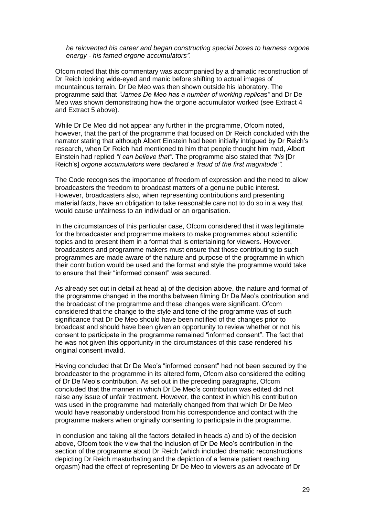*he reinvented his career and began constructing special boxes to harness orgone energy - his famed orgone accumulators"*.

Ofcom noted that this commentary was accompanied by a dramatic reconstruction of Dr Reich looking wide-eyed and manic before shifting to actual images of mountainous terrain. Dr De Meo was then shown outside his laboratory. The programme said that *"James De Meo has a number of working replica*s*"* and Dr De Meo was shown demonstrating how the orgone accumulator worked (see Extract 4 and Extract 5 above).

While Dr De Meo did not appear any further in the programme. Of com noted, however, that the part of the programme that focused on Dr Reich concluded with the narrator stating that although Albert Einstein had been initially intrigued by Dr Reich"s research, when Dr Reich had mentioned to him that people thought him mad, Albert Einstein had replied *"I can believe that"*. The programme also stated that *"his* [Dr Reich"s] *orgone accumulators were declared a "fraud of the first magnitude"".*

The Code recognises the importance of freedom of expression and the need to allow broadcasters the freedom to broadcast matters of a genuine public interest. However, broadcasters also, when representing contributions and presenting material facts, have an obligation to take reasonable care not to do so in a way that would cause unfairness to an individual or an organisation.

In the circumstances of this particular case, Ofcom considered that it was legitimate for the broadcaster and programme makers to make programmes about scientific topics and to present them in a format that is entertaining for viewers. However, broadcasters and programme makers must ensure that those contributing to such programmes are made aware of the nature and purpose of the programme in which their contribution would be used and the format and style the programme would take to ensure that their "informed consent" was secured.

As already set out in detail at head a) of the decision above, the nature and format of the programme changed in the months between filming Dr De Meo"s contribution and the broadcast of the programme and these changes were significant. Ofcom considered that the change to the style and tone of the programme was of such significance that Dr De Meo should have been notified of the changes prior to broadcast and should have been given an opportunity to review whether or not his consent to participate in the programme remained "informed consent". The fact that he was not given this opportunity in the circumstances of this case rendered his original consent invalid.

Having concluded that Dr De Meo"s "informed consent" had not been secured by the broadcaster to the programme in its altered form, Ofcom also considered the editing of Dr De Meo"s contribution. As set out in the preceding paragraphs, Ofcom concluded that the manner in which Dr De Meo"s contribution was edited did not raise any issue of unfair treatment. However, the context in which his contribution was used in the programme had materially changed from that which Dr De Meo would have reasonably understood from his correspondence and contact with the programme makers when originally consenting to participate in the programme.

In conclusion and taking all the factors detailed in heads a) and b) of the decision above, Ofcom took the view that the inclusion of Dr De Meo"s contribution in the section of the programme about Dr Reich (which included dramatic reconstructions depicting Dr Reich masturbating and the depiction of a female patient reaching orgasm) had the effect of representing Dr De Meo to viewers as an advocate of Dr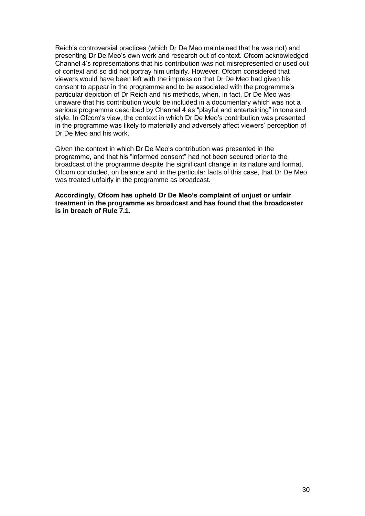Reich"s controversial practices (which Dr De Meo maintained that he was not) and presenting Dr De Meo"s own work and research out of context. Ofcom acknowledged Channel 4"s representations that his contribution was not misrepresented or used out of context and so did not portray him unfairly. However, Ofcom considered that viewers would have been left with the impression that Dr De Meo had given his consent to appear in the programme and to be associated with the programme"s particular depiction of Dr Reich and his methods, when, in fact, Dr De Meo was unaware that his contribution would be included in a documentary which was not a serious programme described by Channel 4 as "playful and entertaining" in tone and style. In Ofcom"s view, the context in which Dr De Meo"s contribution was presented in the programme was likely to materially and adversely affect viewers" perception of Dr De Meo and his work.

Given the context in which Dr De Meo"s contribution was presented in the programme, and that his "informed consent" had not been secured prior to the broadcast of the programme despite the significant change in its nature and format, Ofcom concluded, on balance and in the particular facts of this case, that Dr De Meo was treated unfairly in the programme as broadcast.

**Accordingly, Ofcom has upheld Dr De Meo's complaint of unjust or unfair treatment in the programme as broadcast and has found that the broadcaster is in breach of Rule 7.1.**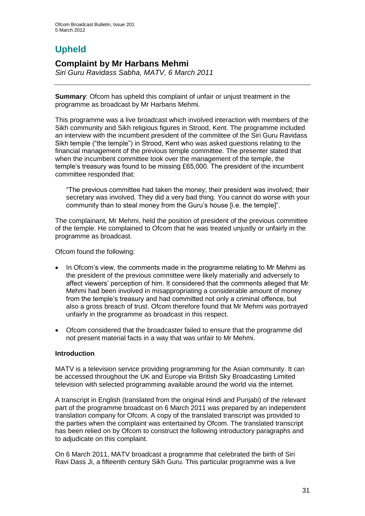# **Upheld**

## **Complaint by Mr Harbans Mehmi**

*Siri Guru Ravidass Sabha, MATV, 6 March 2011*

**Summary**: Ofcom has upheld this complaint of unfair or unjust treatment in the programme as broadcast by Mr Harbans Mehmi.

This programme was a live broadcast which involved interaction with members of the Sikh community and Sikh religious figures in Strood, Kent. The programme included an interview with the incumbent president of the committee of the Siri Guru Ravidass Sikh temple ("the temple") in Strood, Kent who was asked questions relating to the financial management of the previous temple committee. The presenter stated that when the incumbent committee took over the management of the temple, the temple"s treasury was found to be missing £65,000. The president of the incumbent committee responded that:

"The previous committee had taken the money; their president was involved; their secretary was involved. They did a very bad thing. You cannot do worse with your community than to steal money from the Guru"s house [i.e. the temple]".

The complainant, Mr Mehmi, held the position of president of the previous committee of the temple. He complained to Ofcom that he was treated unjustly or unfairly in the programme as broadcast.

Ofcom found the following:

- In Ofcom"s view, the comments made in the programme relating to Mr Mehmi as the president of the previous committee were likely materially and adversely to affect viewers" perception of him. It considered that the comments alleged that Mr Mehmi had been involved in misappropriating a considerable amount of money from the temple"s treasury and had committed not only a criminal offence, but also a gross breach of trust. Ofcom therefore found that Mr Mehmi was portrayed unfairly in the programme as broadcast in this respect.
- Ofcom considered that the broadcaster failed to ensure that the programme did not present material facts in a way that was unfair to Mr Mehmi.

## **Introduction**

MATV is a television service providing programming for the Asian community. It can be accessed throughout the UK and Europe via British Sky Broadcasting Limited television with selected programming available around the world via the internet.

A transcript in English (translated from the original Hindi and Punjabi) of the relevant part of the programme broadcast on 6 March 2011 was prepared by an independent translation company for Ofcom. A copy of the translated transcript was provided to the parties when the complaint was entertained by Ofcom. The translated transcript has been relied on by Ofcom to construct the following introductory paragraphs and to adjudicate on this complaint.

On 6 March 2011, MATV broadcast a programme that celebrated the birth of Siri Ravi Dass Ji, a fifteenth century Sikh Guru. This particular programme was a live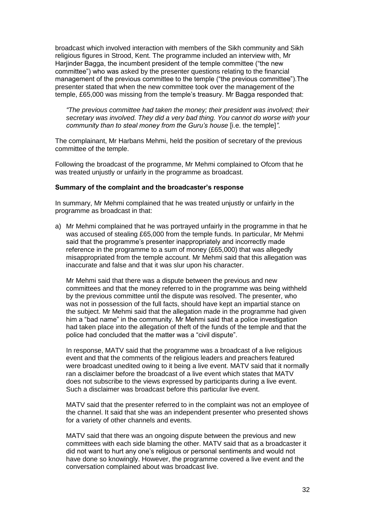broadcast which involved interaction with members of the Sikh community and Sikh religious figures in Strood, Kent. The programme included an interview with, Mr Harjinder Bagga, the incumbent president of the temple committee ("the new committee") who was asked by the presenter questions relating to the financial management of the previous committee to the temple ("the previous committee").The presenter stated that when the new committee took over the management of the temple, £65,000 was missing from the temple"s treasury. Mr Bagga responded that:

*"The previous committee had taken the money; their president was involved; their secretary was involved. They did a very bad thing. You cannot do worse with your community than to steal money from the Guru's house [i.e. the temple]*".

The complainant, Mr Harbans Mehmi, held the position of secretary of the previous committee of the temple.

Following the broadcast of the programme, Mr Mehmi complained to Ofcom that he was treated unjustly or unfairly in the programme as broadcast.

#### **Summary of the complaint and the broadcaster's response**

In summary, Mr Mehmi complained that he was treated unjustly or unfairly in the programme as broadcast in that:

a) Mr Mehmi complained that he was portrayed unfairly in the programme in that he was accused of stealing £65,000 from the temple funds. In particular, Mr Mehmi said that the programme"s presenter inappropriately and incorrectly made reference in the programme to a sum of money (£65,000) that was allegedly misappropriated from the temple account. Mr Mehmi said that this allegation was inaccurate and false and that it was slur upon his character.

Mr Mehmi said that there was a dispute between the previous and new committees and that the money referred to in the programme was being withheld by the previous committee until the dispute was resolved. The presenter, who was not in possession of the full facts, should have kept an impartial stance on the subject. Mr Mehmi said that the allegation made in the programme had given him a "bad name" in the community. Mr Mehmi said that a police investigation had taken place into the allegation of theft of the funds of the temple and that the police had concluded that the matter was a "civil dispute".

In response, MATV said that the programme was a broadcast of a live religious event and that the comments of the religious leaders and preachers featured were broadcast unedited owing to it being a live event. MATV said that it normally ran a disclaimer before the broadcast of a live event which states that MATV does not subscribe to the views expressed by participants during a live event. Such a disclaimer was broadcast before this particular live event.

MATV said that the presenter referred to in the complaint was not an employee of the channel. It said that she was an independent presenter who presented shows for a variety of other channels and events.

MATV said that there was an ongoing dispute between the previous and new committees with each side blaming the other. MATV said that as a broadcaster it did not want to hurt any one"s religious or personal sentiments and would not have done so knowingly. However, the programme covered a live event and the conversation complained about was broadcast live.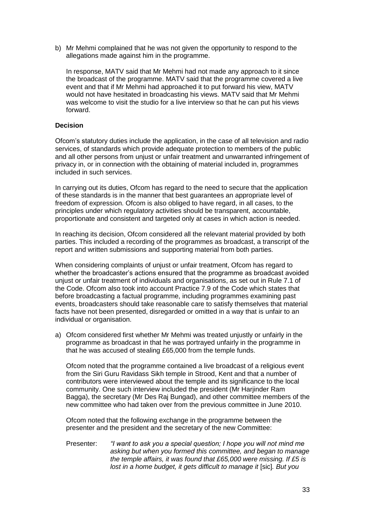b) Mr Mehmi complained that he was not given the opportunity to respond to the allegations made against him in the programme.

In response, MATV said that Mr Mehmi had not made any approach to it since the broadcast of the programme. MATV said that the programme covered a live event and that if Mr Mehmi had approached it to put forward his view, MATV would not have hesitated in broadcasting his views. MATV said that Mr Mehmi was welcome to visit the studio for a live interview so that he can put his views forward.

## **Decision**

Ofcom"s statutory duties include the application, in the case of all television and radio services, of standards which provide adequate protection to members of the public and all other persons from unjust or unfair treatment and unwarranted infringement of privacy in, or in connection with the obtaining of material included in, programmes included in such services.

In carrying out its duties, Ofcom has regard to the need to secure that the application of these standards is in the manner that best guarantees an appropriate level of freedom of expression. Ofcom is also obliged to have regard, in all cases, to the principles under which regulatory activities should be transparent, accountable, proportionate and consistent and targeted only at cases in which action is needed.

In reaching its decision, Ofcom considered all the relevant material provided by both parties. This included a recording of the programmes as broadcast, a transcript of the report and written submissions and supporting material from both parties.

When considering complaints of unjust or unfair treatment, Ofcom has regard to whether the broadcaster"s actions ensured that the programme as broadcast avoided unjust or unfair treatment of individuals and organisations, as set out in Rule 7.1 of the Code. Ofcom also took into account Practice 7.9 of the Code which states that before broadcasting a factual programme, including programmes examining past events, broadcasters should take reasonable care to satisfy themselves that material facts have not been presented, disregarded or omitted in a way that is unfair to an individual or organisation.

a) Ofcom considered first whether Mr Mehmi was treated unjustly or unfairly in the programme as broadcast in that he was portrayed unfairly in the programme in that he was accused of stealing £65,000 from the temple funds.

Ofcom noted that the programme contained a live broadcast of a religious event from the Siri Guru Ravidass Sikh temple in Strood, Kent and that a number of contributors were interviewed about the temple and its significance to the local community. One such interview included the president (Mr Harjinder Ram Bagga), the secretary (Mr Des Raj Bungad), and other committee members of the new committee who had taken over from the previous committee in June 2010.

Ofcom noted that the following exchange in the programme between the presenter and the president and the secretary of the new Committee:

Presenter: *"I want to ask you a special question; I hope you will not mind me asking but when you formed this committee, and began to manage the temple affairs, it was found that £65,000 were missing. If £5 is lost in a home budget, it gets difficult to manage it* [sic]*. But you*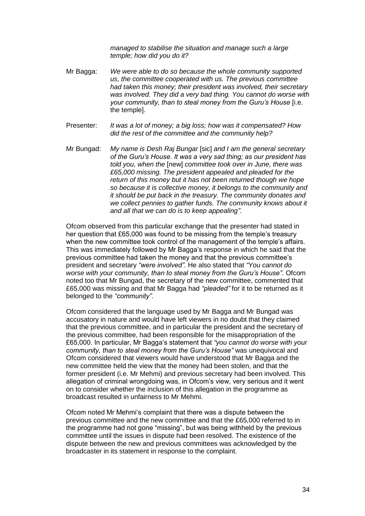*managed to stabilise the situation and manage such a large temple; how did you do it?*

- Mr Bagga: *We were able to do so because the whole community supported us, the committee cooperated with us. The previous committee had taken this money; their president was involved, their secretary was involved. They did a very bad thing. You cannot do worse with your community, than to steal money from the Guru"s House* [i.e. the temple].
- Presenter: *It was a lot of money; a big loss; how was it compensated? How did the rest of the committee and the community help?*
- Mr Bungad: *My name is Desh Raj Bungar* [sic] *and I am the general secretary of the Guru"s House. It was a very sad thing; as our president has told you, when the* [new] *committee took over in June, there was £65,000 missing. The president appealed and pleaded for the return of this money but it has not been returned though we hope so because it is collective money, it belongs to the community and it should be put back in the treasury. The community donates and we collect pennies to gather funds. The community knows about it and all that we can do is to keep appealing"*.

Ofcom observed from this particular exchange that the presenter had stated in her question that £65,000 was found to be missing from the temple's treasury when the new committee took control of the management of the temple's affairs. This was immediately followed by Mr Bagga"s response in which he said that the previous committee had taken the money and that the previous committee"s president and secretary *"were involved"*. He also stated that *"You cannot do worse with your community, than to steal money from the Guru"s House".* Ofcom noted too that Mr Bungad, the secretary of the new committee, commented that £65,000 was missing and that Mr Bagga had *"pleaded"* for it to be returned as it belonged to the *"community"*.

Ofcom considered that the language used by Mr Bagga and Mr Bungad was accusatory in nature and would have left viewers in no doubt that they claimed that the previous committee, and in particular the president and the secretary of the previous committee, had been responsible for the misappropriation of the £65,000. In particular, Mr Bagga"s statement that *"you cannot do worse with your community, than to steal money from the Guru"s House"* was unequivocal and Ofcom considered that viewers would have understood that Mr Bagga and the new committee held the view that the money had been stolen, and that the former president (i.e. Mr Mehmi) and previous secretary had been involved. This allegation of criminal wrongdoing was, in Ofcom"s view, very serious and it went on to consider whether the inclusion of this allegation in the programme as broadcast resulted in unfairness to Mr Mehmi.

Ofcom noted Mr Mehmi"s complaint that there was a dispute between the previous committee and the new committee and that the £65,000 referred to in the programme had not gone "missing", but was being withheld by the previous committee until the issues in dispute had been resolved. The existence of the dispute between the new and previous committees was acknowledged by the broadcaster in its statement in response to the complaint.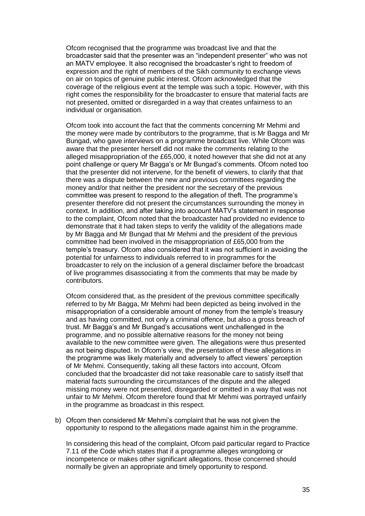Ofcom recognised that the programme was broadcast live and that the broadcaster said that the presenter was an "independent presenter" who was not an MATV employee. It also recognised the broadcaster"s right to freedom of expression and the right of members of the Sikh community to exchange views on air on topics of genuine public interest. Ofcom acknowledged that the coverage of the religious event at the temple was such a topic. However, with this right comes the responsibility for the broadcaster to ensure that material facts are not presented, omitted or disregarded in a way that creates unfairness to an individual or organisation.

Ofcom took into account the fact that the comments concerning Mr Mehmi and the money were made by contributors to the programme, that is Mr Bagga and Mr Bungad, who gave interviews on a programme broadcast live. While Ofcom was aware that the presenter herself did not make the comments relating to the alleged misappropriation of the £65,000, it noted however that she did not at any point challenge or query Mr Bagga's or Mr Bungad's comments. Of com noted too that the presenter did not intervene, for the benefit of viewers, to clarify that that there was a dispute between the new and previous committees regarding the money and/or that neither the president nor the secretary of the previous committee was present to respond to the allegation of theft. The programme"s presenter therefore did not present the circumstances surrounding the money in context. In addition, and after taking into account MATV"s statement in response to the complaint, Ofcom noted that the broadcaster had provided no evidence to demonstrate that it had taken steps to verify the validity of the allegations made by Mr Bagga and Mr Bungad that Mr Mehmi and the president of the previous committee had been involved in the misappropriation of £65,000 from the temple"s treasury. Ofcom also considered that it was not sufficient in avoiding the potential for unfairness to individuals referred to in programmes for the broadcaster to rely on the inclusion of a general disclaimer before the broadcast of live programmes disassociating it from the comments that may be made by contributors.

Ofcom considered that, as the president of the previous committee specifically referred to by Mr Bagga, Mr Mehmi had been depicted as being involved in the misappropriation of a considerable amount of money from the temple"s treasury and as having committed, not only a criminal offence, but also a gross breach of trust. Mr Bagga"s and Mr Bungad"s accusations went unchallenged in the programme, and no possible alternative reasons for the money not being available to the new committee were given. The allegations were thus presented as not being disputed. In Ofcom"s view, the presentation of these allegations in the programme was likely materially and adversely to affect viewers" perception of Mr Mehmi. Consequently, taking all these factors into account, Ofcom concluded that the broadcaster did not take reasonable care to satisfy itself that material facts surrounding the circumstances of the dispute and the alleged missing money were not presented, disregarded or omitted in a way that was not unfair to Mr Mehmi. Ofcom therefore found that Mr Mehmi was portrayed unfairly in the programme as broadcast in this respect.

b) Ofcom then considered Mr Mehmi"s complaint that he was not given the opportunity to respond to the allegations made against him in the programme.

In considering this head of the complaint, Ofcom paid particular regard to Practice 7.11 of the Code which states that if a programme alleges wrongdoing or incompetence or makes other significant allegations, those concerned should normally be given an appropriate and timely opportunity to respond.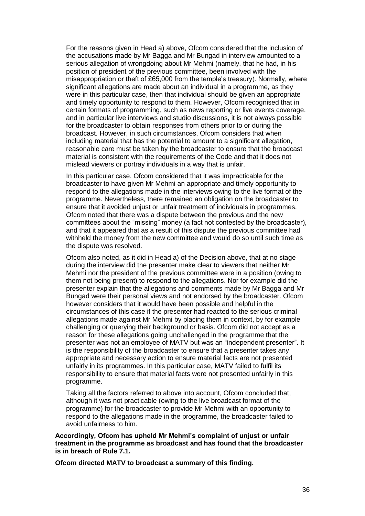For the reasons given in Head a) above, Ofcom considered that the inclusion of the accusations made by Mr Bagga and Mr Bungad in interview amounted to a serious allegation of wrongdoing about Mr Mehmi (namely, that he had, in his position of president of the previous committee, been involved with the misappropriation or theft of £65,000 from the temple"s treasury). Normally, where significant allegations are made about an individual in a programme, as they were in this particular case, then that individual should be given an appropriate and timely opportunity to respond to them. However, Ofcom recognised that in certain formats of programming, such as news reporting or live events coverage, and in particular live interviews and studio discussions, it is not always possible for the broadcaster to obtain responses from others prior to or during the broadcast. However, in such circumstances, Ofcom considers that when including material that has the potential to amount to a significant allegation, reasonable care must be taken by the broadcaster to ensure that the broadcast material is consistent with the requirements of the Code and that it does not mislead viewers or portray individuals in a way that is unfair.

In this particular case, Ofcom considered that it was impracticable for the broadcaster to have given Mr Mehmi an appropriate and timely opportunity to respond to the allegations made in the interviews owing to the live format of the programme. Nevertheless, there remained an obligation on the broadcaster to ensure that it avoided unjust or unfair treatment of individuals in programmes. Ofcom noted that there was a dispute between the previous and the new committees about the "missing" money (a fact not contested by the broadcaster), and that it appeared that as a result of this dispute the previous committee had withheld the money from the new committee and would do so until such time as the dispute was resolved.

Ofcom also noted, as it did in Head a) of the Decision above, that at no stage during the interview did the presenter make clear to viewers that neither Mr Mehmi nor the president of the previous committee were in a position (owing to them not being present) to respond to the allegations. Nor for example did the presenter explain that the allegations and comments made by Mr Bagga and Mr Bungad were their personal views and not endorsed by the broadcaster. Ofcom however considers that it would have been possible and helpful in the circumstances of this case if the presenter had reacted to the serious criminal allegations made against Mr Mehmi by placing them in context, by for example challenging or querying their background or basis. Ofcom did not accept as a reason for these allegations going unchallenged in the programme that the presenter was not an employee of MATV but was an "independent presenter". It is the responsibility of the broadcaster to ensure that a presenter takes any appropriate and necessary action to ensure material facts are not presented unfairly in its programmes. In this particular case, MATV failed to fulfil its responsibility to ensure that material facts were not presented unfairly in this programme.

Taking all the factors referred to above into account, Ofcom concluded that, although it was not practicable (owing to the live broadcast format of the programme) for the broadcaster to provide Mr Mehmi with an opportunity to respond to the allegations made in the programme, the broadcaster failed to avoid unfairness to him.

**Accordingly, Ofcom has upheld Mr Mehmi's complaint of unjust or unfair treatment in the programme as broadcast and has found that the broadcaster is in breach of Rule 7.1.** 

**Ofcom directed MATV to broadcast a summary of this finding.**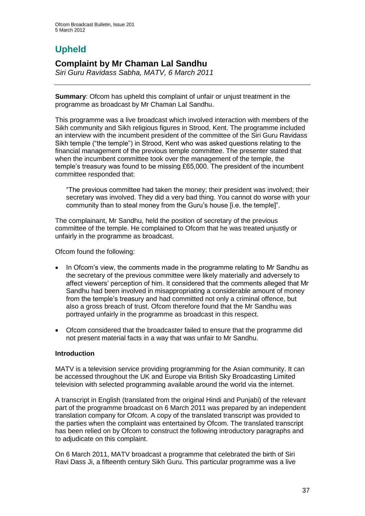# **Upheld**

# **Complaint by Mr Chaman Lal Sandhu**

*Siri Guru Ravidass Sabha, MATV, 6 March 2011*

**Summary**: Ofcom has upheld this complaint of unfair or unjust treatment in the programme as broadcast by Mr Chaman Lal Sandhu.

This programme was a live broadcast which involved interaction with members of the Sikh community and Sikh religious figures in Strood, Kent. The programme included an interview with the incumbent president of the committee of the Siri Guru Ravidass Sikh temple ("the temple") in Strood, Kent who was asked questions relating to the financial management of the previous temple committee. The presenter stated that when the incumbent committee took over the management of the temple, the temple"s treasury was found to be missing £65,000. The president of the incumbent committee responded that:

"The previous committee had taken the money; their president was involved; their secretary was involved. They did a very bad thing. You cannot do worse with your community than to steal money from the Guru"s house [i.e. the temple]".

The complainant, Mr Sandhu, held the position of secretary of the previous committee of the temple. He complained to Ofcom that he was treated unjustly or unfairly in the programme as broadcast.

Ofcom found the following:

- In Ofcom"s view, the comments made in the programme relating to Mr Sandhu as the secretary of the previous committee were likely materially and adversely to affect viewers" perception of him. It considered that the comments alleged that Mr Sandhu had been involved in misappropriating a considerable amount of money from the temple"s treasury and had committed not only a criminal offence, but also a gross breach of trust. Ofcom therefore found that the Mr Sandhu was portrayed unfairly in the programme as broadcast in this respect.
- Ofcom considered that the broadcaster failed to ensure that the programme did not present material facts in a way that was unfair to Mr Sandhu.

## **Introduction**

MATV is a television service providing programming for the Asian community. It can be accessed throughout the UK and Europe via British Sky Broadcasting Limited television with selected programming available around the world via the internet.

A transcript in English (translated from the original Hindi and Punjabi) of the relevant part of the programme broadcast on 6 March 2011 was prepared by an independent translation company for Ofcom. A copy of the translated transcript was provided to the parties when the complaint was entertained by Ofcom. The translated transcript has been relied on by Ofcom to construct the following introductory paragraphs and to adjudicate on this complaint.

On 6 March 2011, MATV broadcast a programme that celebrated the birth of Siri Ravi Dass Ji, a fifteenth century Sikh Guru. This particular programme was a live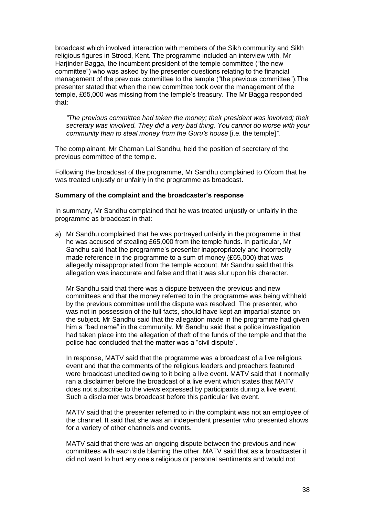broadcast which involved interaction with members of the Sikh community and Sikh religious figures in Strood, Kent. The programme included an interview with, Mr Harjinder Bagga, the incumbent president of the temple committee ("the new committee") who was asked by the presenter questions relating to the financial management of the previous committee to the temple ("the previous committee").The presenter stated that when the new committee took over the management of the temple, £65,000 was missing from the temple"s treasury. The Mr Bagga responded that:

*"The previous committee had taken the money; their president was involved; their secretary was involved. They did a very bad thing. You cannot do worse with your community than to steal money from the Guru"s house* [i.e. the temple]*"*.

The complainant, Mr Chaman Lal Sandhu, held the position of secretary of the previous committee of the temple.

Following the broadcast of the programme, Mr Sandhu complained to Ofcom that he was treated unjustly or unfairly in the programme as broadcast.

#### **Summary of the complaint and the broadcaster's response**

In summary, Mr Sandhu complained that he was treated unjustly or unfairly in the programme as broadcast in that:

a) Mr Sandhu complained that he was portrayed unfairly in the programme in that he was accused of stealing £65,000 from the temple funds. In particular, Mr Sandhu said that the programme's presenter inappropriately and incorrectly made reference in the programme to a sum of money (£65,000) that was allegedly misappropriated from the temple account. Mr Sandhu said that this allegation was inaccurate and false and that it was slur upon his character.

Mr Sandhu said that there was a dispute between the previous and new committees and that the money referred to in the programme was being withheld by the previous committee until the dispute was resolved. The presenter, who was not in possession of the full facts, should have kept an impartial stance on the subject. Mr Sandhu said that the allegation made in the programme had given him a "bad name" in the community. Mr Sandhu said that a police investigation had taken place into the allegation of theft of the funds of the temple and that the police had concluded that the matter was a "civil dispute".

In response, MATV said that the programme was a broadcast of a live religious event and that the comments of the religious leaders and preachers featured were broadcast unedited owing to it being a live event. MATV said that it normally ran a disclaimer before the broadcast of a live event which states that MATV does not subscribe to the views expressed by participants during a live event. Such a disclaimer was broadcast before this particular live event.

MATV said that the presenter referred to in the complaint was not an employee of the channel. It said that she was an independent presenter who presented shows for a variety of other channels and events.

MATV said that there was an ongoing dispute between the previous and new committees with each side blaming the other. MATV said that as a broadcaster it did not want to hurt any one"s religious or personal sentiments and would not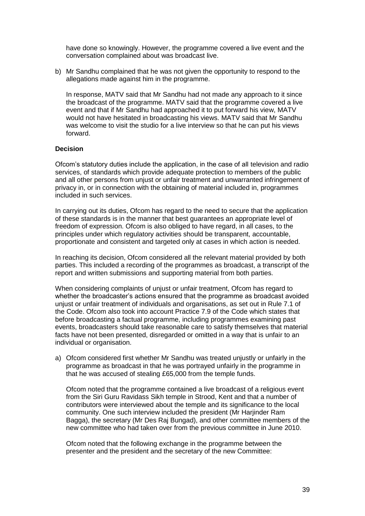have done so knowingly. However, the programme covered a live event and the conversation complained about was broadcast live.

b) Mr Sandhu complained that he was not given the opportunity to respond to the allegations made against him in the programme.

In response, MATV said that Mr Sandhu had not made any approach to it since the broadcast of the programme. MATV said that the programme covered a live event and that if Mr Sandhu had approached it to put forward his view, MATV would not have hesitated in broadcasting his views. MATV said that Mr Sandhu was welcome to visit the studio for a live interview so that he can put his views forward.

## **Decision**

Ofcom"s statutory duties include the application, in the case of all television and radio services, of standards which provide adequate protection to members of the public and all other persons from unjust or unfair treatment and unwarranted infringement of privacy in, or in connection with the obtaining of material included in, programmes included in such services.

In carrying out its duties, Ofcom has regard to the need to secure that the application of these standards is in the manner that best guarantees an appropriate level of freedom of expression. Ofcom is also obliged to have regard, in all cases, to the principles under which regulatory activities should be transparent, accountable, proportionate and consistent and targeted only at cases in which action is needed.

In reaching its decision, Ofcom considered all the relevant material provided by both parties. This included a recording of the programmes as broadcast, a transcript of the report and written submissions and supporting material from both parties.

When considering complaints of unjust or unfair treatment, Ofcom has regard to whether the broadcaster's actions ensured that the programme as broadcast avoided unjust or unfair treatment of individuals and organisations, as set out in Rule 7.1 of the Code. Ofcom also took into account Practice 7.9 of the Code which states that before broadcasting a factual programme, including programmes examining past events, broadcasters should take reasonable care to satisfy themselves that material facts have not been presented, disregarded or omitted in a way that is unfair to an individual or organisation.

a) Ofcom considered first whether Mr Sandhu was treated unjustly or unfairly in the programme as broadcast in that he was portrayed unfairly in the programme in that he was accused of stealing £65,000 from the temple funds.

Ofcom noted that the programme contained a live broadcast of a religious event from the Siri Guru Ravidass Sikh temple in Strood, Kent and that a number of contributors were interviewed about the temple and its significance to the local community. One such interview included the president (Mr Harjinder Ram Bagga), the secretary (Mr Des Raj Bungad), and other committee members of the new committee who had taken over from the previous committee in June 2010.

Ofcom noted that the following exchange in the programme between the presenter and the president and the secretary of the new Committee: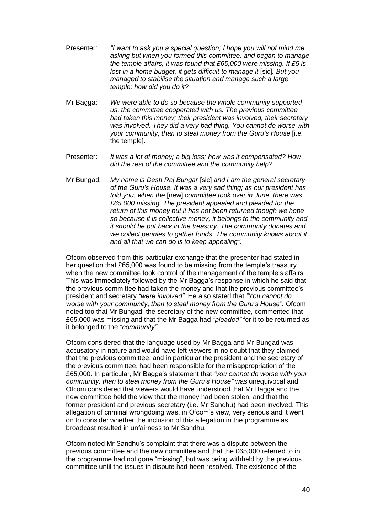- Presenter: *"I want to ask you a special question; I hope you will not mind me asking but when you formed this committee, and began to manage the temple affairs, it was found that £65,000 were missing. If £5 is lost in a home budget, it gets difficult to manage it* [sic]*. But you managed to stabilise the situation and manage such a large temple; how did you do it?*
- Mr Bagga: *We were able to do so because the whole community supported us, the committee cooperated with us. The previous committee had taken this money; their president was involved, their secretary was involved. They did a very bad thing. You cannot do worse with your community, than to steal money from the Guru"s House* [i.e. the temple].
- Presenter: *It was a lot of money; a big loss; how was it compensated? How did the rest of the committee and the community help?*
- Mr Bungad: *My name is Desh Raj Bungar* [sic] *and I am the general secretary of the Guru"s House. It was a very sad thing; as our president has told you, when the* [new] *committee took over in June, there was £65,000 missing. The president appealed and pleaded for the return of this money but it has not been returned though we hope so because it is collective money, it belongs to the community and it should be put back in the treasury. The community donates and we collect pennies to gather funds. The community knows about it and all that we can do is to keep appealing"*.

Ofcom observed from this particular exchange that the presenter had stated in her question that £65,000 was found to be missing from the temple's treasury when the new committee took control of the management of the temple's affairs. This was immediately followed by the Mr Bagga"s response in which he said that the previous committee had taken the money and that the previous committee"s president and secretary *"were involved"*. He also stated that *"You cannot do worse with your community, than to steal money from the Guru"s House".* Ofcom noted too that Mr Bungad, the secretary of the new committee, commented that £65,000 was missing and that the Mr Bagga had *"pleaded"* for it to be returned as it belonged to the *"community"*.

Ofcom considered that the language used by Mr Bagga and Mr Bungad was accusatory in nature and would have left viewers in no doubt that they claimed that the previous committee, and in particular the president and the secretary of the previous committee, had been responsible for the misappropriation of the £65,000. In particular, Mr Bagga"s statement that *"you cannot do worse with your community, than to steal money from the Guru"s House"* was unequivocal and Ofcom considered that viewers would have understood that Mr Bagga and the new committee held the view that the money had been stolen, and that the former president and previous secretary (i.e. Mr Sandhu) had been involved. This allegation of criminal wrongdoing was, in Ofcom"s view, very serious and it went on to consider whether the inclusion of this allegation in the programme as broadcast resulted in unfairness to Mr Sandhu.

Ofcom noted Mr Sandhu"s complaint that there was a dispute between the previous committee and the new committee and that the £65,000 referred to in the programme had not gone "missing", but was being withheld by the previous committee until the issues in dispute had been resolved. The existence of the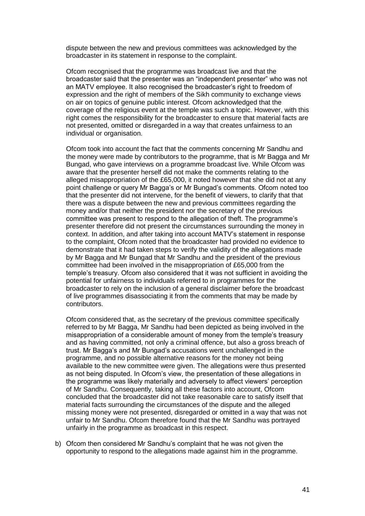dispute between the new and previous committees was acknowledged by the broadcaster in its statement in response to the complaint.

Ofcom recognised that the programme was broadcast live and that the broadcaster said that the presenter was an "independent presenter" who was not an MATV employee. It also recognised the broadcaster"s right to freedom of expression and the right of members of the Sikh community to exchange views on air on topics of genuine public interest. Ofcom acknowledged that the coverage of the religious event at the temple was such a topic. However, with this right comes the responsibility for the broadcaster to ensure that material facts are not presented, omitted or disregarded in a way that creates unfairness to an individual or organisation.

Ofcom took into account the fact that the comments concerning Mr Sandhu and the money were made by contributors to the programme, that is Mr Bagga and Mr Bungad, who gave interviews on a programme broadcast live. While Ofcom was aware that the presenter herself did not make the comments relating to the alleged misappropriation of the £65,000, it noted however that she did not at any point challenge or query Mr Bagga"s or Mr Bungad"s comments. Ofcom noted too that the presenter did not intervene, for the benefit of viewers, to clarify that that there was a dispute between the new and previous committees regarding the money and/or that neither the president nor the secretary of the previous committee was present to respond to the allegation of theft. The programme"s presenter therefore did not present the circumstances surrounding the money in context. In addition, and after taking into account MATV"s statement in response to the complaint, Ofcom noted that the broadcaster had provided no evidence to demonstrate that it had taken steps to verify the validity of the allegations made by Mr Bagga and Mr Bungad that Mr Sandhu and the president of the previous committee had been involved in the misappropriation of £65,000 from the temple"s treasury. Ofcom also considered that it was not sufficient in avoiding the potential for unfairness to individuals referred to in programmes for the broadcaster to rely on the inclusion of a general disclaimer before the broadcast of live programmes disassociating it from the comments that may be made by contributors.

Ofcom considered that, as the secretary of the previous committee specifically referred to by Mr Bagga, Mr Sandhu had been depicted as being involved in the misappropriation of a considerable amount of money from the temple"s treasury and as having committed, not only a criminal offence, but also a gross breach of trust. Mr Bagga"s and Mr Bungad"s accusations went unchallenged in the programme, and no possible alternative reasons for the money not being available to the new committee were given. The allegations were thus presented as not being disputed. In Ofcom"s view, the presentation of these allegations in the programme was likely materially and adversely to affect viewers" perception of Mr Sandhu. Consequently, taking all these factors into account, Ofcom concluded that the broadcaster did not take reasonable care to satisfy itself that material facts surrounding the circumstances of the dispute and the alleged missing money were not presented, disregarded or omitted in a way that was not unfair to Mr Sandhu. Ofcom therefore found that the Mr Sandhu was portrayed unfairly in the programme as broadcast in this respect.

b) Ofcom then considered Mr Sandhu"s complaint that he was not given the opportunity to respond to the allegations made against him in the programme.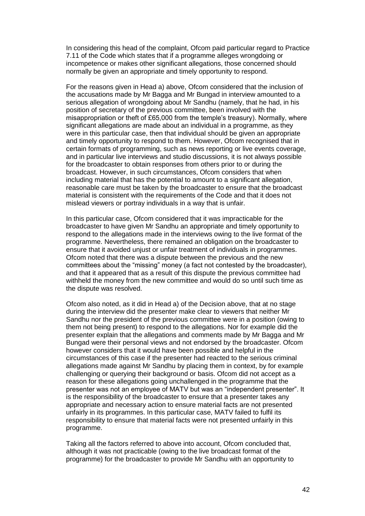In considering this head of the complaint, Ofcom paid particular regard to Practice 7.11 of the Code which states that if a programme alleges wrongdoing or incompetence or makes other significant allegations, those concerned should normally be given an appropriate and timely opportunity to respond.

For the reasons given in Head a) above, Ofcom considered that the inclusion of the accusations made by Mr Bagga and Mr Bungad in interview amounted to a serious allegation of wrongdoing about Mr Sandhu (namely, that he had, in his position of secretary of the previous committee, been involved with the misappropriation or theft of £65,000 from the temple's treasury). Normally, where significant allegations are made about an individual in a programme, as they were in this particular case, then that individual should be given an appropriate and timely opportunity to respond to them. However, Ofcom recognised that in certain formats of programming, such as news reporting or live events coverage, and in particular live interviews and studio discussions, it is not always possible for the broadcaster to obtain responses from others prior to or during the broadcast. However, in such circumstances, Ofcom considers that when including material that has the potential to amount to a significant allegation, reasonable care must be taken by the broadcaster to ensure that the broadcast material is consistent with the requirements of the Code and that it does not mislead viewers or portray individuals in a way that is unfair.

In this particular case, Ofcom considered that it was impracticable for the broadcaster to have given Mr Sandhu an appropriate and timely opportunity to respond to the allegations made in the interviews owing to the live format of the programme. Nevertheless, there remained an obligation on the broadcaster to ensure that it avoided unjust or unfair treatment of individuals in programmes. Ofcom noted that there was a dispute between the previous and the new committees about the "missing" money (a fact not contested by the broadcaster), and that it appeared that as a result of this dispute the previous committee had withheld the money from the new committee and would do so until such time as the dispute was resolved.

Ofcom also noted, as it did in Head a) of the Decision above, that at no stage during the interview did the presenter make clear to viewers that neither Mr Sandhu nor the president of the previous committee were in a position (owing to them not being present) to respond to the allegations. Nor for example did the presenter explain that the allegations and comments made by Mr Bagga and Mr Bungad were their personal views and not endorsed by the broadcaster. Ofcom however considers that it would have been possible and helpful in the circumstances of this case if the presenter had reacted to the serious criminal allegations made against Mr Sandhu by placing them in context, by for example challenging or querying their background or basis. Ofcom did not accept as a reason for these allegations going unchallenged in the programme that the presenter was not an employee of MATV but was an "independent presenter". It is the responsibility of the broadcaster to ensure that a presenter takes any appropriate and necessary action to ensure material facts are not presented unfairly in its programmes. In this particular case, MATV failed to fulfil its responsibility to ensure that material facts were not presented unfairly in this programme.

Taking all the factors referred to above into account, Ofcom concluded that, although it was not practicable (owing to the live broadcast format of the programme) for the broadcaster to provide Mr Sandhu with an opportunity to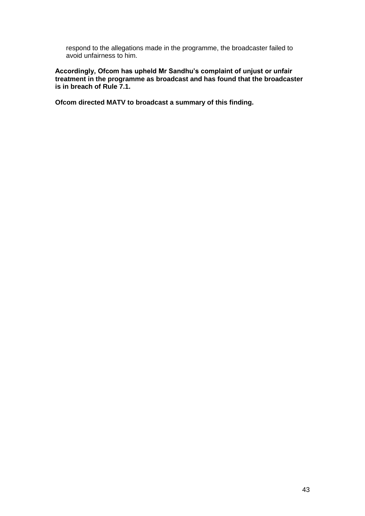respond to the allegations made in the programme, the broadcaster failed to avoid unfairness to him.

**Accordingly, Ofcom has upheld Mr Sandhu's complaint of unjust or unfair treatment in the programme as broadcast and has found that the broadcaster is in breach of Rule 7.1.** 

**Ofcom directed MATV to broadcast a summary of this finding.**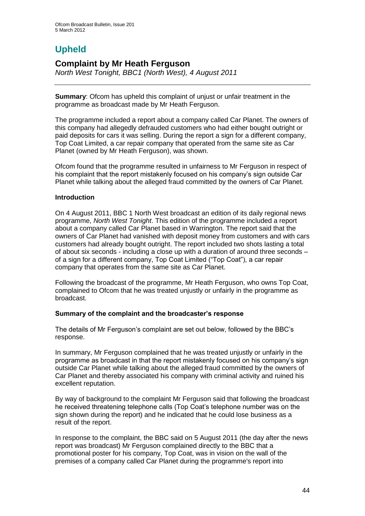# **Upheld**

# **Complaint by Mr Heath Ferguson**

*North West Tonight, BBC1 (North West), 4 August 2011*

**Summary**: Ofcom has upheld this complaint of unjust or unfair treatment in the programme as broadcast made by Mr Heath Ferguson.

The programme included a report about a company called Car Planet. The owners of this company had allegedly defrauded customers who had either bought outright or paid deposits for cars it was selling. During the report a sign for a different company, Top Coat Limited, a car repair company that operated from the same site as Car Planet (owned by Mr Heath Ferguson), was shown.

Ofcom found that the programme resulted in unfairness to Mr Ferguson in respect of his complaint that the report mistakenly focused on his company"s sign outside Car Planet while talking about the alleged fraud committed by the owners of Car Planet.

## **Introduction**

On 4 August 2011, BBC 1 North West broadcast an edition of its daily regional news programme, *North West Tonight*. This edition of the programme included a report about a company called Car Planet based in Warrington. The report said that the owners of Car Planet had vanished with deposit money from customers and with cars customers had already bought outright. The report included two shots lasting a total of about six seconds - including a close up with a duration of around three seconds – of a sign for a different company, Top Coat Limited ("Top Coat"), a car repair company that operates from the same site as Car Planet.

Following the broadcast of the programme, Mr Heath Ferguson, who owns Top Coat, complained to Ofcom that he was treated unjustly or unfairly in the programme as broadcast.

## **Summary of the complaint and the broadcaster's response**

The details of Mr Ferguson's complaint are set out below, followed by the BBC's response.

In summary, Mr Ferguson complained that he was treated unjustly or unfairly in the programme as broadcast in that the report mistakenly focused on his company"s sign outside Car Planet while talking about the alleged fraud committed by the owners of Car Planet and thereby associated his company with criminal activity and ruined his excellent reputation.

By way of background to the complaint Mr Ferguson said that following the broadcast he received threatening telephone calls (Top Coat"s telephone number was on the sign shown during the report) and he indicated that he could lose business as a result of the report.

In response to the complaint, the BBC said on 5 August 2011 (the day after the news report was broadcast) Mr Ferguson complained directly to the BBC that a promotional poster for his company, Top Coat, was in vision on the wall of the premises of a company called Car Planet during the programme's report into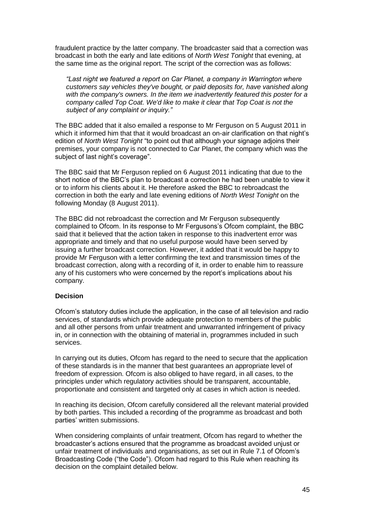fraudulent practice by the latter company. The broadcaster said that a correction was broadcast in both the early and late editions of *North West Tonight* that evening, at the same time as the original report. The script of the correction was as follows:

*"Last night we featured a report on Car Planet, a company in Warrington where customers say vehicles they've bought, or paid deposits for, have vanished along with the company's owners. In the item we inadvertently featured this poster for a company called Top Coat. We'd like to make it clear that Top Coat is not the subject of any complaint or inquiry."*

The BBC added that it also emailed a response to Mr Ferguson on 5 August 2011 in which it informed him that that it would broadcast an on-air clarification on that night's edition of *North West Tonight* "to point out that although your signage adjoins their premises, your company is not connected to Car Planet, the company which was the subject of last night's coverage".

The BBC said that Mr Ferguson replied on 6 August 2011 indicating that due to the short notice of the BBC"s plan to broadcast a correction he had been unable to view it or to inform his clients about it. He therefore asked the BBC to rebroadcast the correction in both the early and late evening editions of *North West Tonight* on the following Monday (8 August 2011).

The BBC did not rebroadcast the correction and Mr Ferguson subsequently complained to Ofcom. In its response to Mr Fergusons"s Ofcom complaint, the BBC said that it believed that the action taken in response to this inadvertent error was appropriate and timely and that no useful purpose would have been served by issuing a further broadcast correction. However, it added that it would be happy to provide Mr Ferguson with a letter confirming the text and transmission times of the broadcast correction, along with a recording of it, in order to enable him to reassure any of his customers who were concerned by the report's implications about his company.

#### **Decision**

Ofcom"s statutory duties include the application, in the case of all television and radio services, of standards which provide adequate protection to members of the public and all other persons from unfair treatment and unwarranted infringement of privacy in, or in connection with the obtaining of material in, programmes included in such services.

In carrying out its duties, Ofcom has regard to the need to secure that the application of these standards is in the manner that best guarantees an appropriate level of freedom of expression. Ofcom is also obliged to have regard, in all cases, to the principles under which regulatory activities should be transparent, accountable, proportionate and consistent and targeted only at cases in which action is needed.

In reaching its decision, Ofcom carefully considered all the relevant material provided by both parties. This included a recording of the programme as broadcast and both parties" written submissions.

When considering complaints of unfair treatment, Ofcom has regard to whether the broadcaster"s actions ensured that the programme as broadcast avoided unjust or unfair treatment of individuals and organisations, as set out in Rule 7.1 of Ofcom"s Broadcasting Code ("the Code"). Ofcom had regard to this Rule when reaching its decision on the complaint detailed below.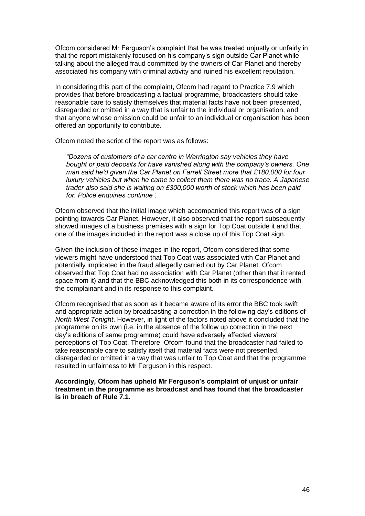Ofcom considered Mr Ferguson"s complaint that he was treated unjustly or unfairly in that the report mistakenly focused on his company"s sign outside Car Planet while talking about the alleged fraud committed by the owners of Car Planet and thereby associated his company with criminal activity and ruined his excellent reputation.

In considering this part of the complaint, Ofcom had regard to Practice 7.9 which provides that before broadcasting a factual programme, broadcasters should take reasonable care to satisfy themselves that material facts have not been presented, disregarded or omitted in a way that is unfair to the individual or organisation, and that anyone whose omission could be unfair to an individual or organisation has been offered an opportunity to contribute.

Ofcom noted the script of the report was as follows:

*"Dozens of customers of a car centre in Warrington say vehicles they have bought or paid deposits for have vanished along with the company"s owners. One man said he"d given the Car Planet on Farrell Street more that £180,000 for four luxury vehicles but when he came to collect them there was no trace. A Japanese trader also said she is waiting on £300,000 worth of stock which has been paid for. Police enquiries continue".*

Ofcom observed that the initial image which accompanied this report was of a sign pointing towards Car Planet. However, it also observed that the report subsequently showed images of a business premises with a sign for Top Coat outside it and that one of the images included in the report was a close up of this Top Coat sign.

Given the inclusion of these images in the report, Ofcom considered that some viewers might have understood that Top Coat was associated with Car Planet and potentially implicated in the fraud allegedly carried out by Car Planet. Ofcom observed that Top Coat had no association with Car Planet (other than that it rented space from it) and that the BBC acknowledged this both in its correspondence with the complainant and in its response to this complaint.

Ofcom recognised that as soon as it became aware of its error the BBC took swift and appropriate action by broadcasting a correction in the following day"s editions of *North West Tonight*. However, in light of the factors noted above it concluded that the programme on its own (i.e. in the absence of the follow up correction in the next day"s editions of same programme) could have adversely affected viewers" perceptions of Top Coat. Therefore, Ofcom found that the broadcaster had failed to take reasonable care to satisfy itself that material facts were not presented, disregarded or omitted in a way that was unfair to Top Coat and that the programme resulted in unfairness to Mr Ferguson in this respect.

**Accordingly, Ofcom has upheld Mr Ferguson's complaint of unjust or unfair treatment in the programme as broadcast and has found that the broadcaster is in breach of Rule 7.1.**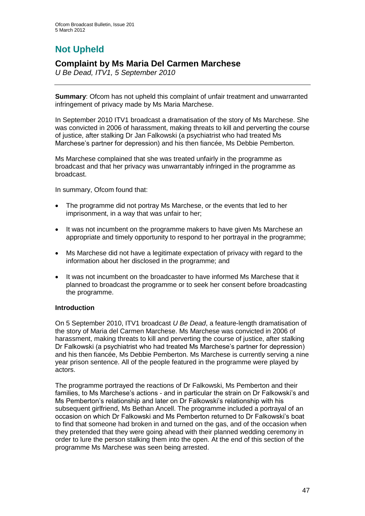# **Not Upheld**

# **Complaint by Ms Maria Del Carmen Marchese**

*U Be Dead, ITV1, 5 September 2010*

**Summary**: Ofcom has not upheld this complaint of unfair treatment and unwarranted infringement of privacy made by Ms Maria Marchese.

In September 2010 ITV1 broadcast a dramatisation of the story of Ms Marchese. She was convicted in 2006 of harassment, making threats to kill and perverting the course of justice, after stalking Dr Jan Falkowski (a psychiatrist who had treated Ms Marchese"s partner for depression) and his then fiancée, Ms Debbie Pemberton.

Ms Marchese complained that she was treated unfairly in the programme as broadcast and that her privacy was unwarrantably infringed in the programme as broadcast.

In summary, Ofcom found that:

- The programme did not portray Ms Marchese, or the events that led to her imprisonment, in a way that was unfair to her;
- It was not incumbent on the programme makers to have given Ms Marchese an appropriate and timely opportunity to respond to her portrayal in the programme;
- Ms Marchese did not have a legitimate expectation of privacy with regard to the information about her disclosed in the programme; and
- It was not incumbent on the broadcaster to have informed Ms Marchese that it planned to broadcast the programme or to seek her consent before broadcasting the programme.

## **Introduction**

On 5 September 2010, ITV1 broadcast *U Be Dead*, a feature-length dramatisation of the story of Maria del Carmen Marchese. Ms Marchese was convicted in 2006 of harassment, making threats to kill and perverting the course of justice, after stalking Dr Falkowski (a psychiatrist who had treated Ms Marchese"s partner for depression) and his then fiancée, Ms Debbie Pemberton. Ms Marchese is currently serving a nine year prison sentence. All of the people featured in the programme were played by actors.

The programme portrayed the reactions of Dr Falkowski, Ms Pemberton and their families, to Ms Marchese's actions - and in particular the strain on Dr Falkowski's and Ms Pemberton"s relationship and later on Dr Falkowski"s relationship with his subsequent girlfriend, Ms Bethan Ancell. The programme included a portrayal of an occasion on which Dr Falkowski and Ms Pemberton returned to Dr Falkowski"s boat to find that someone had broken in and turned on the gas, and of the occasion when they pretended that they were going ahead with their planned wedding ceremony in order to lure the person stalking them into the open. At the end of this section of the programme Ms Marchese was seen being arrested.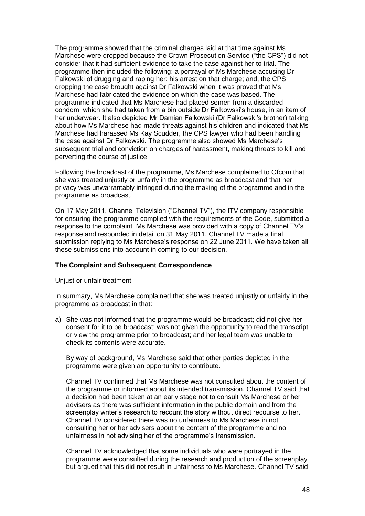The programme showed that the criminal charges laid at that time against Ms Marchese were dropped because the Crown Prosecution Service ("the CPS") did not consider that it had sufficient evidence to take the case against her to trial. The programme then included the following: a portrayal of Ms Marchese accusing Dr Falkowski of drugging and raping her; his arrest on that charge; and, the CPS dropping the case brought against Dr Falkowski when it was proved that Ms Marchese had fabricated the evidence on which the case was based. The programme indicated that Ms Marchese had placed semen from a discarded condom, which she had taken from a bin outside Dr Falkowski"s house, in an item of her underwear. It also depicted Mr Damian Falkowski (Dr Falkowski"s brother) talking about how Ms Marchese had made threats against his children and indicated that Ms Marchese had harassed Ms Kay Scudder, the CPS lawyer who had been handling the case against Dr Falkowski. The programme also showed Ms Marchese"s subsequent trial and conviction on charges of harassment, making threats to kill and perverting the course of justice.

Following the broadcast of the programme, Ms Marchese complained to Ofcom that she was treated unjustly or unfairly in the programme as broadcast and that her privacy was unwarrantably infringed during the making of the programme and in the programme as broadcast.

On 17 May 2011, Channel Television ("Channel TV"), the ITV company responsible for ensuring the programme complied with the requirements of the Code, submitted a response to the complaint. Ms Marchese was provided with a copy of Channel TV"s response and responded in detail on 31 May 2011. Channel TV made a final submission replying to Ms Marchese"s response on 22 June 2011. We have taken all these submissions into account in coming to our decision.

#### **The Complaint and Subsequent Correspondence**

#### Unjust or unfair treatment

In summary, Ms Marchese complained that she was treated unjustly or unfairly in the programme as broadcast in that:

a) She was not informed that the programme would be broadcast; did not give her consent for it to be broadcast; was not given the opportunity to read the transcript or view the programme prior to broadcast; and her legal team was unable to check its contents were accurate.

By way of background, Ms Marchese said that other parties depicted in the programme were given an opportunity to contribute.

Channel TV confirmed that Ms Marchese was not consulted about the content of the programme or informed about its intended transmission. Channel TV said that a decision had been taken at an early stage not to consult Ms Marchese or her advisers as there was sufficient information in the public domain and from the screenplay writer's research to recount the story without direct recourse to her. Channel TV considered there was no unfairness to Ms Marchese in not consulting her or her advisers about the content of the programme and no unfairness in not advising her of the programme"s transmission.

Channel TV acknowledged that some individuals who were portrayed in the programme were consulted during the research and production of the screenplay but argued that this did not result in unfairness to Ms Marchese. Channel TV said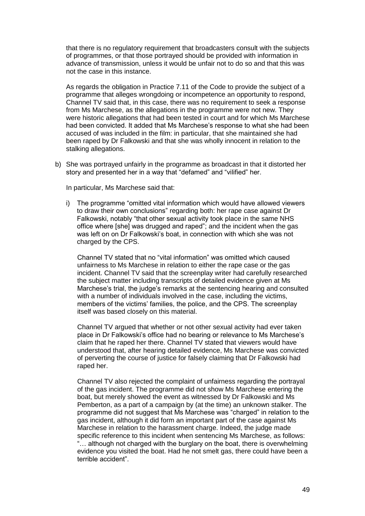that there is no regulatory requirement that broadcasters consult with the subjects of programmes, or that those portrayed should be provided with information in advance of transmission, unless it would be unfair not to do so and that this was not the case in this instance.

As regards the obligation in Practice 7.11 of the Code to provide the subject of a programme that alleges wrongdoing or incompetence an opportunity to respond, Channel TV said that, in this case, there was no requirement to seek a response from Ms Marchese, as the allegations in the programme were not new. They were historic allegations that had been tested in court and for which Ms Marchese had been convicted. It added that Ms Marchese"s response to what she had been accused of was included in the film: in particular, that she maintained she had been raped by Dr Falkowski and that she was wholly innocent in relation to the stalking allegations.

b) She was portrayed unfairly in the programme as broadcast in that it distorted her story and presented her in a way that "defamed" and "vilified" her.

In particular, Ms Marchese said that:

i) The programme "omitted vital information which would have allowed viewers to draw their own conclusions" regarding both: her rape case against Dr Falkowski, notably "that other sexual activity took place in the same NHS office where [she] was drugged and raped"; and the incident when the gas was left on on Dr Falkowski"s boat, in connection with which she was not charged by the CPS.

Channel TV stated that no "vital information" was omitted which caused unfairness to Ms Marchese in relation to either the rape case or the gas incident. Channel TV said that the screenplay writer had carefully researched the subject matter including transcripts of detailed evidence given at Ms Marchese's trial, the judge's remarks at the sentencing hearing and consulted with a number of individuals involved in the case, including the victims, members of the victims" families, the police, and the CPS. The screenplay itself was based closely on this material.

Channel TV argued that whether or not other sexual activity had ever taken place in Dr Falkowski"s office had no bearing or relevance to Ms Marchese"s claim that he raped her there. Channel TV stated that viewers would have understood that, after hearing detailed evidence, Ms Marchese was convicted of perverting the course of justice for falsely claiming that Dr Falkowski had raped her.

Channel TV also rejected the complaint of unfairness regarding the portrayal of the gas incident. The programme did not show Ms Marchese entering the boat, but merely showed the event as witnessed by Dr Falkowski and Ms Pemberton, as a part of a campaign by (at the time) an unknown stalker. The programme did not suggest that Ms Marchese was "charged" in relation to the gas incident, although it did form an important part of the case against Ms Marchese in relation to the harassment charge. Indeed, the judge made specific reference to this incident when sentencing Ms Marchese, as follows: "… although not charged with the burglary on the boat, there is overwhelming evidence you visited the boat. Had he not smelt gas, there could have been a terrible accident".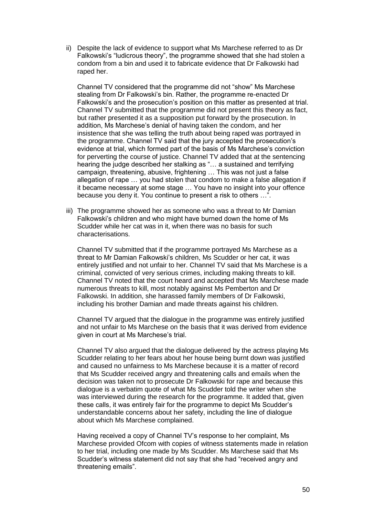ii) Despite the lack of evidence to support what Ms Marchese referred to as Dr Falkowski's "ludicrous theory", the programme showed that she had stolen a condom from a bin and used it to fabricate evidence that Dr Falkowski had raped her.

Channel TV considered that the programme did not "show" Ms Marchese stealing from Dr Falkowski"s bin. Rather, the programme re-enacted Dr Falkowski"s and the prosecution"s position on this matter as presented at trial. Channel TV submitted that the programme did not present this theory as fact, but rather presented it as a supposition put forward by the prosecution. In addition, Ms Marchese"s denial of having taken the condom, and her insistence that she was telling the truth about being raped was portrayed in the programme. Channel TV said that the jury accepted the prosecution"s evidence at trial, which formed part of the basis of Ms Marchese"s conviction for perverting the course of justice. Channel TV added that at the sentencing hearing the judge described her stalking as "… a sustained and terrifying campaign, threatening, abusive, frightening … This was not just a false allegation of rape … you had stolen that condom to make a false allegation if it became necessary at some stage … You have no insight into your offence because you deny it. You continue to present a risk to others …".

iii) The programme showed her as someone who was a threat to Mr Damian Falkowski"s children and who might have burned down the home of Ms Scudder while her cat was in it, when there was no basis for such characterisations.

Channel TV submitted that if the programme portrayed Ms Marchese as a threat to Mr Damian Falkowski"s children, Ms Scudder or her cat, it was entirely justified and not unfair to her. Channel TV said that Ms Marchese is a criminal, convicted of very serious crimes, including making threats to kill. Channel TV noted that the court heard and accepted that Ms Marchese made numerous threats to kill, most notably against Ms Pemberton and Dr Falkowski. In addition, she harassed family members of Dr Falkowski, including his brother Damian and made threats against his children.

Channel TV argued that the dialogue in the programme was entirely justified and not unfair to Ms Marchese on the basis that it was derived from evidence given in court at Ms Marchese"s trial.

Channel TV also argued that the dialogue delivered by the actress playing Ms Scudder relating to her fears about her house being burnt down was justified and caused no unfairness to Ms Marchese because it is a matter of record that Ms Scudder received angry and threatening calls and emails when the decision was taken not to prosecute Dr Falkowski for rape and because this dialogue is a verbatim quote of what Ms Scudder told the writer when she was interviewed during the research for the programme. It added that, given these calls, it was entirely fair for the programme to depict Ms Scudder"s understandable concerns about her safety, including the line of dialogue about which Ms Marchese complained.

Having received a copy of Channel TV"s response to her complaint, Ms Marchese provided Ofcom with copies of witness statements made in relation to her trial, including one made by Ms Scudder. Ms Marchese said that Ms Scudder"s witness statement did not say that she had "received angry and threatening emails".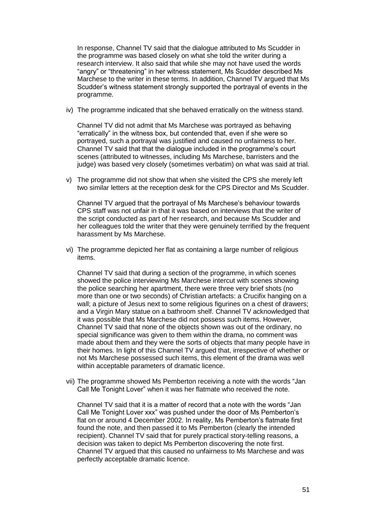In response, Channel TV said that the dialogue attributed to Ms Scudder in the programme was based closely on what she told the writer during a research interview. It also said that while she may not have used the words "angry" or "threatening" in her witness statement, Ms Scudder described Ms Marchese to the writer in these terms. In addition, Channel TV argued that Ms Scudder"s witness statement strongly supported the portrayal of events in the programme.

iv) The programme indicated that she behaved erratically on the witness stand.

Channel TV did not admit that Ms Marchese was portrayed as behaving "erratically" in the witness box, but contended that, even if she were so portrayed, such a portrayal was justified and caused no unfairness to her. Channel TV said that that the dialogue included in the programme"s court scenes (attributed to witnesses, including Ms Marchese, barristers and the judge) was based very closely (sometimes verbatim) on what was said at trial.

v) The programme did not show that when she visited the CPS she merely left two similar letters at the reception desk for the CPS Director and Ms Scudder.

Channel TV argued that the portrayal of Ms Marchese"s behaviour towards CPS staff was not unfair in that it was based on interviews that the writer of the script conducted as part of her research, and because Ms Scudder and her colleagues told the writer that they were genuinely terrified by the frequent harassment by Ms Marchese.

vi) The programme depicted her flat as containing a large number of religious items.

Channel TV said that during a section of the programme, in which scenes showed the police interviewing Ms Marchese intercut with scenes showing the police searching her apartment, there were three very brief shots (no more than one or two seconds) of Christian artefacts: a Crucifix hanging on a wall; a picture of Jesus next to some religious figurines on a chest of drawers; and a Virgin Mary statue on a bathroom shelf. Channel TV acknowledged that it was possible that Ms Marchese did not possess such items. However, Channel TV said that none of the objects shown was out of the ordinary, no special significance was given to them within the drama, no comment was made about them and they were the sorts of objects that many people have in their homes. In light of this Channel TV argued that, irrespective of whether or not Ms Marchese possessed such items, this element of the drama was well within acceptable parameters of dramatic licence.

vii) The programme showed Ms Pemberton receiving a note with the words "Jan Call Me Tonight Lover" when it was her flatmate who received the note.

Channel TV said that it is a matter of record that a note with the words "Jan Call Me Tonight Lover xxx" was pushed under the door of Ms Pemberton"s flat on or around 4 December 2002. In reality, Ms Pemberton's flatmate first found the note, and then passed it to Ms Pemberton (clearly the intended recipient). Channel TV said that for purely practical story-telling reasons, a decision was taken to depict Ms Pemberton discovering the note first. Channel TV argued that this caused no unfairness to Ms Marchese and was perfectly acceptable dramatic licence.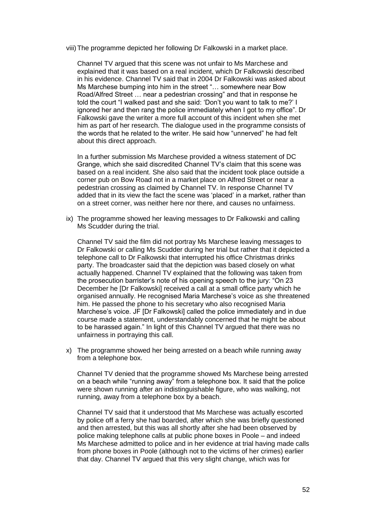viii)The programme depicted her following Dr Falkowski in a market place.

Channel TV argued that this scene was not unfair to Ms Marchese and explained that it was based on a real incident, which Dr Falkowski described in his evidence. Channel TV said that in 2004 Dr Falkowski was asked about Ms Marchese bumping into him in the street "… somewhere near Bow Road/Alfred Street … near a pedestrian crossing" and that in response he told the court "I walked past and she said: "Don"t you want to talk to me?" I ignored her and then rang the police immediately when I got to my office". Dr Falkowski gave the writer a more full account of this incident when she met him as part of her research. The dialogue used in the programme consists of the words that he related to the writer. He said how "unnerved" he had felt about this direct approach.

In a further submission Ms Marchese provided a witness statement of DC Grange, which she said discredited Channel TV"s claim that this scene was based on a real incident. She also said that the incident took place outside a corner pub on Bow Road not in a market place on Alfred Street or near a pedestrian crossing as claimed by Channel TV. In response Channel TV added that in its view the fact the scene was "placed" in a market, rather than on a street corner, was neither here nor there, and causes no unfairness.

ix) The programme showed her leaving messages to Dr Falkowski and calling Ms Scudder during the trial.

Channel TV said the film did not portray Ms Marchese leaving messages to Dr Falkowski or calling Ms Scudder during her trial but rather that it depicted a telephone call to Dr Falkowski that interrupted his office Christmas drinks party. The broadcaster said that the depiction was based closely on what actually happened. Channel TV explained that the following was taken from the prosecution barrister"s note of his opening speech to the jury: "On 23 December he [Dr Falkowski] received a call at a small office party which he organised annually. He recognised Maria Marchese"s voice as she threatened him. He passed the phone to his secretary who also recognised Maria Marchese's voice. JF [Dr Falkowski] called the police immediately and in due course made a statement, understandably concerned that he might be about to be harassed again." In light of this Channel TV argued that there was no unfairness in portraying this call.

x) The programme showed her being arrested on a beach while running away from a telephone box.

Channel TV denied that the programme showed Ms Marchese being arrested on a beach while "running away" from a telephone box. It said that the police were shown running after an indistinguishable figure, who was walking, not running, away from a telephone box by a beach.

Channel TV said that it understood that Ms Marchese was actually escorted by police off a ferry she had boarded, after which she was briefly questioned and then arrested, but this was all shortly after she had been observed by police making telephone calls at public phone boxes in Poole – and indeed Ms Marchese admitted to police and in her evidence at trial having made calls from phone boxes in Poole (although not to the victims of her crimes) earlier that day. Channel TV argued that this very slight change, which was for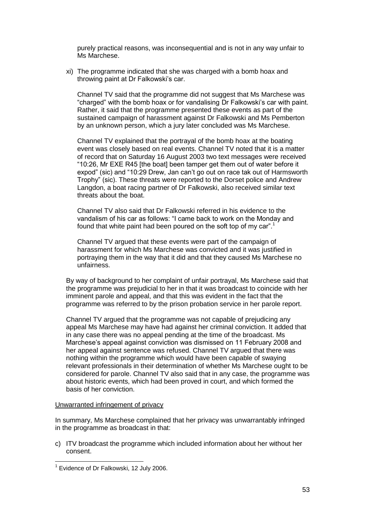purely practical reasons, was inconsequential and is not in any way unfair to Ms Marchese.

xi) The programme indicated that she was charged with a bomb hoax and throwing paint at Dr Falkowski's car.

Channel TV said that the programme did not suggest that Ms Marchese was "charged" with the bomb hoax or for vandalising Dr Falkowski"s car with paint. Rather, it said that the programme presented these events as part of the sustained campaign of harassment against Dr Falkowski and Ms Pemberton by an unknown person, which a jury later concluded was Ms Marchese.

Channel TV explained that the portrayal of the bomb hoax at the boating event was closely based on real events. Channel TV noted that it is a matter of record that on Saturday 16 August 2003 two text messages were received "10:26, Mr EXE R45 [the boat] been tamper get them out of water before it expod" (sic) and "10:29 Drew, Jan can't go out on race tak out of Harmsworth Trophy" (sic). These threats were reported to the Dorset police and Andrew Langdon, a boat racing partner of Dr Falkowski, also received similar text threats about the boat.

Channel TV also said that Dr Falkowski referred in his evidence to the vandalism of his car as follows: "I came back to work on the Monday and found that white paint had been poured on the soft top of my car".<sup>1</sup>

Channel TV argued that these events were part of the campaign of harassment for which Ms Marchese was convicted and it was justified in portraying them in the way that it did and that they caused Ms Marchese no unfairness.

By way of background to her complaint of unfair portrayal, Ms Marchese said that the programme was prejudicial to her in that it was broadcast to coincide with her imminent parole and appeal, and that this was evident in the fact that the programme was referred to by the prison probation service in her parole report.

Channel TV argued that the programme was not capable of prejudicing any appeal Ms Marchese may have had against her criminal conviction. It added that in any case there was no appeal pending at the time of the broadcast. Ms Marchese"s appeal against conviction was dismissed on 11 February 2008 and her appeal against sentence was refused. Channel TV argued that there was nothing within the programme which would have been capable of swaying relevant professionals in their determination of whether Ms Marchese ought to be considered for parole. Channel TV also said that in any case, the programme was about historic events, which had been proved in court, and which formed the basis of her conviction.

#### Unwarranted infringement of privacy

In summary, Ms Marchese complained that her privacy was unwarrantably infringed in the programme as broadcast in that:

c) ITV broadcast the programme which included information about her without her consent.

 1 Evidence of Dr Falkowski, 12 July 2006.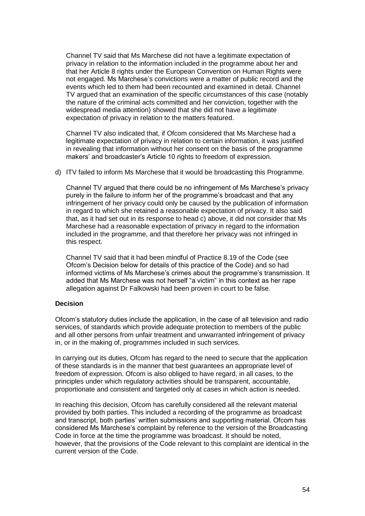Channel TV said that Ms Marchese did not have a legitimate expectation of privacy in relation to the information included in the programme about her and that her Article 8 rights under the European Convention on Human Rights were not engaged. Ms Marchese"s convictions were a matter of public record and the events which led to them had been recounted and examined in detail. Channel TV argued that an examination of the specific circumstances of this case (notably the nature of the criminal acts committed and her conviction, together with the widespread media attention) showed that she did not have a legitimate expectation of privacy in relation to the matters featured.

Channel TV also indicated that, if Ofcom considered that Ms Marchese had a legitimate expectation of privacy in relation to certain information, it was justified in revealing that information without her consent on the basis of the programme makers" and broadcaster"s Article 10 rights to freedom of expression.

d) ITV failed to inform Ms Marchese that it would be broadcasting this Programme.

Channel TV argued that there could be no infringement of Ms Marchese"s privacy purely in the failure to inform her of the programme"s broadcast and that any infringement of her privacy could only be caused by the publication of information in regard to which she retained a reasonable expectation of privacy. It also said that, as it had set out in its response to head c) above, it did not consider that Ms Marchese had a reasonable expectation of privacy in regard to the information included in the programme, and that therefore her privacy was not infringed in this respect.

Channel TV said that it had been mindful of Practice 8.19 of the Code (see Ofcom"s Decision below for details of this practice of the Code) and so had informed victims of Ms Marchese's crimes about the programme's transmission. It added that Ms Marchese was not herself "a victim" in this context as her rape allegation against Dr Falkowski had been proven in court to be false.

## **Decision**

Ofcom"s statutory duties include the application, in the case of all television and radio services, of standards which provide adequate protection to members of the public and all other persons from unfair treatment and unwarranted infringement of privacy in, or in the making of, programmes included in such services.

In carrying out its duties, Ofcom has regard to the need to secure that the application of these standards is in the manner that best guarantees an appropriate level of freedom of expression. Ofcom is also obliged to have regard, in all cases, to the principles under which regulatory activities should be transparent, accountable, proportionate and consistent and targeted only at cases in which action is needed.

In reaching this decision, Ofcom has carefully considered all the relevant material provided by both parties. This included a recording of the programme as broadcast and transcript, both parties' written submissions and supporting material. Ofcom has considered Ms Marchese"s complaint by reference to the version of the Broadcasting Code in force at the time the programme was broadcast. It should be noted, however, that the provisions of the Code relevant to this complaint are identical in the current version of the Code.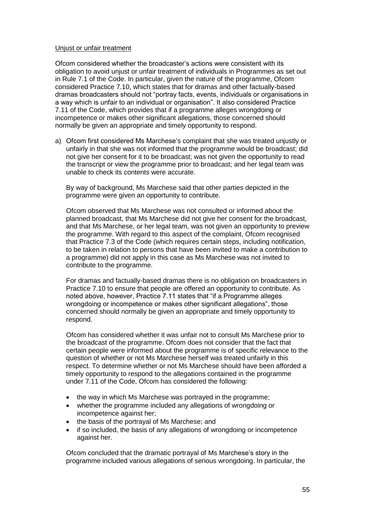#### Unjust or unfair treatment

Ofcom considered whether the broadcaster"s actions were consistent with its obligation to avoid unjust or unfair treatment of individuals in Programmes as set out in Rule 7.1 of the Code. In particular, given the nature of the programme, Ofcom considered Practice 7.10, which states that for dramas and other factually-based dramas broadcasters should not "portray facts, events, individuals or organisations in a way which is unfair to an individual or organisation". It also considered Practice 7.11 of the Code, which provides that if a programme alleges wrongdoing or incompetence or makes other significant allegations, those concerned should normally be given an appropriate and timely opportunity to respond.

a) Ofcom first considered Ms Marchese"s complaint that she was treated unjustly or unfairly in that she was not informed that the programme would be broadcast; did not give her consent for it to be broadcast; was not given the opportunity to read the transcript or view the programme prior to broadcast; and her legal team was unable to check its contents were accurate.

By way of background, Ms Marchese said that other parties depicted in the programme were given an opportunity to contribute.

Ofcom observed that Ms Marchese was not consulted or informed about the planned broadcast, that Ms Marchese did not give her consent for the broadcast, and that Ms Marchese, or her legal team, was not given an opportunity to preview the programme. With regard to this aspect of the complaint, Ofcom recognised that Practice 7.3 of the Code (which requires certain steps, including notification, to be taken in relation to persons that have been invited to make a contribution to a programme) did not apply in this case as Ms Marchese was not invited to contribute to the programme.

For dramas and factually-based dramas there is no obligation on broadcasters in Practice 7.10 to ensure that people are offered an opportunity to contribute. As noted above, however, Practice 7.11 states that "if a Programme alleges wrongdoing or incompetence or makes other significant allegations", those concerned should normally be given an appropriate and timely opportunity to respond.

Ofcom has considered whether it was unfair not to consult Ms Marchese prior to the broadcast of the programme. Ofcom does not consider that the fact that certain people were informed about the programme is of specific relevance to the question of whether or not Ms Marchese herself was treated unfairly in this respect. To determine whether or not Ms Marchese should have been afforded a timely opportunity to respond to the allegations contained in the programme under 7.11 of the Code, Ofcom has considered the following:

- the way in which Ms Marchese was portrayed in the programme;
- whether the programme included any allegations of wrongdoing or incompetence against her;
- the basis of the portrayal of Ms Marchese; and
- if so included, the basis of any allegations of wrongdoing or incompetence against her.

Ofcom concluded that the dramatic portrayal of Ms Marchese"s story in the programme included various allegations of serious wrongdoing. In particular, the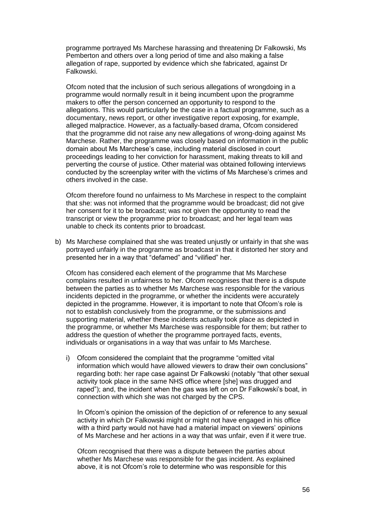programme portrayed Ms Marchese harassing and threatening Dr Falkowski, Ms Pemberton and others over a long period of time and also making a false allegation of rape, supported by evidence which she fabricated, against Dr Falkowski.

Ofcom noted that the inclusion of such serious allegations of wrongdoing in a programme would normally result in it being incumbent upon the programme makers to offer the person concerned an opportunity to respond to the allegations. This would particularly be the case in a factual programme, such as a documentary, news report, or other investigative report exposing, for example, alleged malpractice. However, as a factually-based drama, Ofcom considered that the programme did not raise any new allegations of wrong-doing against Ms Marchese. Rather, the programme was closely based on information in the public domain about Ms Marchese"s case, including material disclosed in court proceedings leading to her conviction for harassment, making threats to kill and perverting the course of justice. Other material was obtained following interviews conducted by the screenplay writer with the victims of Ms Marchese"s crimes and others involved in the case.

Ofcom therefore found no unfairness to Ms Marchese in respect to the complaint that she: was not informed that the programme would be broadcast; did not give her consent for it to be broadcast; was not given the opportunity to read the transcript or view the programme prior to broadcast; and her legal team was unable to check its contents prior to broadcast.

b) Ms Marchese complained that she was treated unjustly or unfairly in that she was portrayed unfairly in the programme as broadcast in that it distorted her story and presented her in a way that "defamed" and "vilified" her.

Ofcom has considered each element of the programme that Ms Marchese complains resulted in unfairness to her. Ofcom recognises that there is a dispute between the parties as to whether Ms Marchese was responsible for the various incidents depicted in the programme, or whether the incidents were accurately depicted in the programme. However, it is important to note that Ofcom"s role is not to establish conclusively from the programme, or the submissions and supporting material, whether these incidents actually took place as depicted in the programme, or whether Ms Marchese was responsible for them; but rather to address the question of whether the programme portrayed facts, events, individuals or organisations in a way that was unfair to Ms Marchese.

i) Ofcom considered the complaint that the programme "omitted vital information which would have allowed viewers to draw their own conclusions" regarding both: her rape case against Dr Falkowski (notably "that other sexual activity took place in the same NHS office where [she] was drugged and raped"); and, the incident when the gas was left on on Dr Falkowski"s boat, in connection with which she was not charged by the CPS.

In Ofcom"s opinion the omission of the depiction of or reference to any sexual activity in which Dr Falkowski might or might not have engaged in his office with a third party would not have had a material impact on viewers' opinions of Ms Marchese and her actions in a way that was unfair, even if it were true.

Ofcom recognised that there was a dispute between the parties about whether Ms Marchese was responsible for the gas incident. As explained above, it is not Ofcom"s role to determine who was responsible for this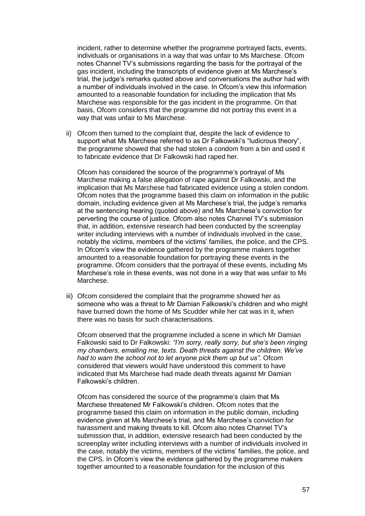incident, rather to determine whether the programme portrayed facts, events, individuals or organisations in a way that was unfair to Ms Marchese. Ofcom notes Channel TV"s submissions regarding the basis for the portrayal of the gas incident, including the transcripts of evidence given at Ms Marchese"s trial, the judge"s remarks quoted above and conversations the author had with a number of individuals involved in the case. In Ofcom"s view this information amounted to a reasonable foundation for including the implication that Ms Marchese was responsible for the gas incident in the programme. On that basis, Ofcom considers that the programme did not portray this event in a way that was unfair to Ms Marchese.

ii) Ofcom then turned to the complaint that, despite the lack of evidence to support what Ms Marchese referred to as Dr Falkowski's "ludicrous theory", the programme showed that she had stolen a condom from a bin and used it to fabricate evidence that Dr Falkowski had raped her.

Ofcom has considered the source of the programme"s portrayal of Ms Marchese making a false allegation of rape against Dr Falkowski, and the implication that Ms Marchese had fabricated evidence using a stolen condom. Ofcom notes that the programme based this claim on information in the public domain, including evidence given at Ms Marchese"s trial, the judge"s remarks at the sentencing hearing (quoted above) and Ms Marchese"s conviction for perverting the course of justice. Ofcom also notes Channel TV"s submission that, in addition, extensive research had been conducted by the screenplay writer including interviews with a number of individuals involved in the case, notably the victims, members of the victims" families, the police, and the CPS. In Ofcom"s view the evidence gathered by the programme makers together amounted to a reasonable foundation for portraying these events in the programme. Ofcom considers that the portrayal of these events, including Ms Marchese"s role in these events, was not done in a way that was unfair to Ms Marchese.

iii) Ofcom considered the complaint that the programme showed her as someone who was a threat to Mr Damian Falkowski's children and who might have burned down the home of Ms Scudder while her cat was in it, when there was no basis for such characterisations.

Ofcom observed that the programme included a scene in which Mr Damian Falkowski said to Dr Falkowski: *"I"m sorry, really sorry, but she"s been ringing my chambers, emailing me, texts. Death threats against the children. We"ve had to warn the school not to let anyone pick them up but us".* Ofcom considered that viewers would have understood this comment to have indicated that Ms Marchese had made death threats against Mr Damian Falkowski"s children.

Ofcom has considered the source of the programme"s claim that Ms Marchese threatened Mr Falkowski"s children. Ofcom notes that the programme based this claim on information in the public domain, including evidence given at Ms Marchese"s trial, and Ms Marchese"s conviction for harassment and making threats to kill. Ofcom also notes Channel TV"s submission that, in addition, extensive research had been conducted by the screenplay writer including interviews with a number of individuals involved in the case, notably the victims, members of the victims" families, the police, and the CPS. In Ofcom"s view the evidence gathered by the programme makers together amounted to a reasonable foundation for the inclusion of this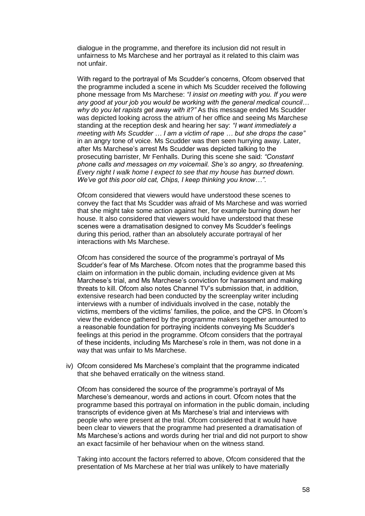dialogue in the programme, and therefore its inclusion did not result in unfairness to Ms Marchese and her portrayal as it related to this claim was not unfair.

With regard to the portrayal of Ms Scudder"s concerns, Ofcom observed that the programme included a scene in which Ms Scudder received the following phone message from Ms Marchese: *"I insist on meeting with you. If you were any good at your job you would be working with the general medical council… why do you let rapists get away with it?"* As this message ended Ms Scudder was depicted looking across the atrium of her office and seeing Ms Marchese standing at the reception desk and hearing her say: *"I want immediately a meeting with Ms Scudder … I am a victim of rape … but she drops the case"* in an angry tone of voice. Ms Scudder was then seen hurrying away. Later, after Ms Marchese"s arrest Ms Scudder was depicted talking to the prosecuting barrister, Mr Fenhalls. During this scene she said: *"Constant phone calls and messages on my voicemail. She"s so angry, so threatening. Every night I walk home I expect to see that my house has burned down. We"ve got this poor old cat, Chips, I keep thinking you know…"*.

Ofcom considered that viewers would have understood these scenes to convey the fact that Ms Scudder was afraid of Ms Marchese and was worried that she might take some action against her, for example burning down her house. It also considered that viewers would have understood that these scenes were a dramatisation designed to convey Ms Scudder's feelings during this period, rather than an absolutely accurate portrayal of her interactions with Ms Marchese.

Ofcom has considered the source of the programme"s portrayal of Ms Scudder"s fear of Ms Marchese. Ofcom notes that the programme based this claim on information in the public domain, including evidence given at Ms Marchese"s trial, and Ms Marchese"s conviction for harassment and making threats to kill. Ofcom also notes Channel TV"s submission that, in addition, extensive research had been conducted by the screenplay writer including interviews with a number of individuals involved in the case, notably the victims, members of the victims" families, the police, and the CPS. In Ofcom"s view the evidence gathered by the programme makers together amounted to a reasonable foundation for portraying incidents conveying Ms Scudder"s feelings at this period in the programme. Ofcom considers that the portrayal of these incidents, including Ms Marchese"s role in them, was not done in a way that was unfair to Ms Marchese.

iv) Ofcom considered Ms Marchese"s complaint that the programme indicated that she behaved erratically on the witness stand.

Ofcom has considered the source of the programme"s portrayal of Ms Marchese"s demeanour, words and actions in court. Ofcom notes that the programme based this portrayal on information in the public domain, including transcripts of evidence given at Ms Marchese"s trial and interviews with people who were present at the trial. Ofcom considered that it would have been clear to viewers that the programme had presented a dramatisation of Ms Marchese"s actions and words during her trial and did not purport to show an exact facsimile of her behaviour when on the witness stand.

Taking into account the factors referred to above, Ofcom considered that the presentation of Ms Marchese at her trial was unlikely to have materially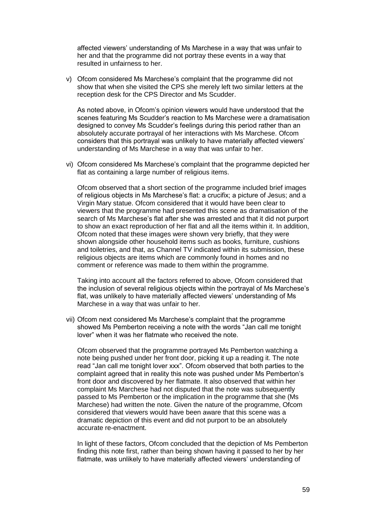affected viewers" understanding of Ms Marchese in a way that was unfair to her and that the programme did not portray these events in a way that resulted in unfairness to her.

v) Ofcom considered Ms Marchese"s complaint that the programme did not show that when she visited the CPS she merely left two similar letters at the reception desk for the CPS Director and Ms Scudder.

As noted above, in Ofcom"s opinion viewers would have understood that the scenes featuring Ms Scudder"s reaction to Ms Marchese were a dramatisation designed to convey Ms Scudder"s feelings during this period rather than an absolutely accurate portrayal of her interactions with Ms Marchese. Ofcom considers that this portrayal was unlikely to have materially affected viewers" understanding of Ms Marchese in a way that was unfair to her.

vi) Ofcom considered Ms Marchese"s complaint that the programme depicted her flat as containing a large number of religious items.

Ofcom observed that a short section of the programme included brief images of religious objects in Ms Marchese"s flat: a crucifix; a picture of Jesus; and a Virgin Mary statue. Ofcom considered that it would have been clear to viewers that the programme had presented this scene as dramatisation of the search of Ms Marchese"s flat after she was arrested and that it did not purport to show an exact reproduction of her flat and all the items within it. In addition, Ofcom noted that these images were shown very briefly, that they were shown alongside other household items such as books, furniture, cushions and toiletries, and that, as Channel TV indicated within its submission, these religious objects are items which are commonly found in homes and no comment or reference was made to them within the programme.

Taking into account all the factors referred to above, Ofcom considered that the inclusion of several religious objects within the portrayal of Ms Marchese"s flat, was unlikely to have materially affected viewers' understanding of Ms Marchese in a way that was unfair to her.

vii) Ofcom next considered Ms Marchese"s complaint that the programme showed Ms Pemberton receiving a note with the words "Jan call me tonight lover" when it was her flatmate who received the note.

Ofcom observed that the programme portrayed Ms Pemberton watching a note being pushed under her front door, picking it up a reading it. The note read "Jan call me tonight lover xxx". Ofcom observed that both parties to the complaint agreed that in reality this note was pushed under Ms Pemberton"s front door and discovered by her flatmate. It also observed that within her complaint Ms Marchese had not disputed that the note was subsequently passed to Ms Pemberton or the implication in the programme that she (Ms Marchese) had written the note. Given the nature of the programme, Ofcom considered that viewers would have been aware that this scene was a dramatic depiction of this event and did not purport to be an absolutely accurate re-enactment.

In light of these factors, Ofcom concluded that the depiction of Ms Pemberton finding this note first, rather than being shown having it passed to her by her flatmate, was unlikely to have materially affected viewers' understanding of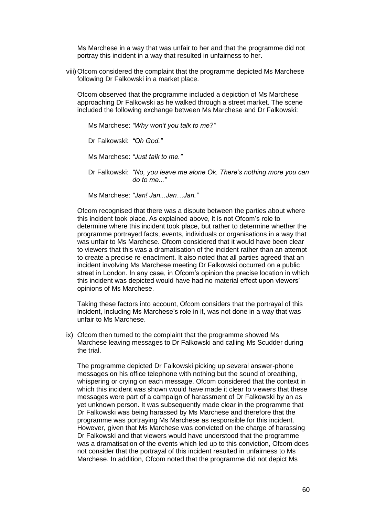Ms Marchese in a way that was unfair to her and that the programme did not portray this incident in a way that resulted in unfairness to her.

viii)Ofcom considered the complaint that the programme depicted Ms Marchese following Dr Falkowski in a market place.

Ofcom observed that the programme included a depiction of Ms Marchese approaching Dr Falkowski as he walked through a street market. The scene included the following exchange between Ms Marchese and Dr Falkowski:

Ms Marchese: *"Why won"t you talk to me?"*

Dr Falkowski: *"Oh God."*

Ms Marchese: *"Just talk to me."*

Dr Falkowski: *"No, you leave me alone Ok. There"s nothing more you can do to me..."*

Ms Marchese: *"Jan! Jan...Jan…Jan."*

Ofcom recognised that there was a dispute between the parties about where this incident took place. As explained above, it is not Ofcom"s role to determine where this incident took place, but rather to determine whether the programme portrayed facts, events, individuals or organisations in a way that was unfair to Ms Marchese. Ofcom considered that it would have been clear to viewers that this was a dramatisation of the incident rather than an attempt to create a precise re-enactment. It also noted that all parties agreed that an incident involving Ms Marchese meeting Dr Falkowski occurred on a public street in London. In any case, in Ofcom"s opinion the precise location in which this incident was depicted would have had no material effect upon viewers" opinions of Ms Marchese.

Taking these factors into account, Ofcom considers that the portrayal of this incident, including Ms Marchese's role in it, was not done in a way that was unfair to Ms Marchese.

ix) Ofcom then turned to the complaint that the programme showed Ms Marchese leaving messages to Dr Falkowski and calling Ms Scudder during the trial.

The programme depicted Dr Falkowski picking up several answer-phone messages on his office telephone with nothing but the sound of breathing, whispering or crying on each message. Ofcom considered that the context in which this incident was shown would have made it clear to viewers that these messages were part of a campaign of harassment of Dr Falkowski by an as yet unknown person. It was subsequently made clear in the programme that Dr Falkowski was being harassed by Ms Marchese and therefore that the programme was portraying Ms Marchese as responsible for this incident. However, given that Ms Marchese was convicted on the charge of harassing Dr Falkowski and that viewers would have understood that the programme was a dramatisation of the events which led up to this conviction, Ofcom does not consider that the portrayal of this incident resulted in unfairness to Ms Marchese. In addition, Ofcom noted that the programme did not depict Ms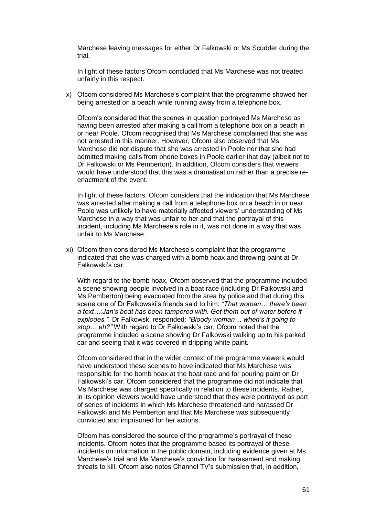Marchese leaving messages for either Dr Falkowski or Ms Scudder during the trial.

In light of these factors Ofcom concluded that Ms Marchese was not treated unfairly in this respect.

x) Ofcom considered Ms Marchese"s complaint that the programme showed her being arrested on a beach while running away from a telephone box.

Ofcom"s considered that the scenes in question portrayed Ms Marchese as having been arrested after making a call from a telephone box on a beach in or near Poole. Ofcom recognised that Ms Marchese complained that she was not arrested in this manner. However, Ofcom also observed that Ms Marchese did not dispute that she was arrested in Poole nor that she had admitted making calls from phone boxes in Poole earlier that day (albeit not to Dr Falkowski or Ms Pemberton). In addition, Ofcom considers that viewers would have understood that this was a dramatisation rather than a precise reenactment of the event.

In light of these factors, Ofcom considers that the indication that Ms Marchese was arrested after making a call from a telephone box on a beach in or near Poole was unlikely to have materially affected viewers' understanding of Ms Marchese in a way that was unfair to her and that the portrayal of this incident, including Ms Marchese's role in it, was not done in a way that was unfair to Ms Marchese.

xi) Ofcom then considered Ms Marchese"s complaint that the programme indicated that she was charged with a bomb hoax and throwing paint at Dr Falkowski's car.

With regard to the bomb hoax, Ofcom observed that the programme included a scene showing people involved in a boat race (including Dr Falkowski and Ms Pemberton) being evacuated from the area by police and that during this scene one of Dr Falkowski"s friends said to him: *"That woman… there"s been a text…:Jan"s boat has been tampered with. Get them out of water before it explodes.".* Dr Falkowski responded: *"Bloody woman… when"s it going to stop… eh?"* With regard to Dr Falkowski"s car, Ofcom noted that the programme included a scene showing Dr Falkowski walking up to his parked car and seeing that it was covered in dripping white paint.

Ofcom considered that in the wider context of the programme viewers would have understood these scenes to have indicated that Ms Marchese was responsible for the bomb hoax at the boat race and for pouring paint on Dr Falkowski"s car. Ofcom considered that the programme did not indicate that Ms Marchese was charged specifically in relation to these incidents. Rather, in its opinion viewers would have understood that they were portrayed as part of series of incidents in which Ms Marchese threatened and harassed Dr Falkowski and Ms Pemberton and that Ms Marchese was subsequently convicted and imprisoned for her actions.

Ofcom has considered the source of the programme"s portrayal of these incidents. Ofcom notes that the programme based its portrayal of these incidents on information in the public domain, including evidence given at Ms Marchese"s trial and Ms Marchese"s conviction for harassment and making threats to kill. Ofcom also notes Channel TV"s submission that, in addition,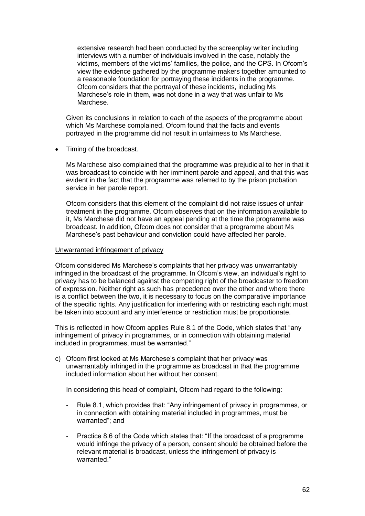extensive research had been conducted by the screenplay writer including interviews with a number of individuals involved in the case, notably the victims, members of the victims" families, the police, and the CPS. In Ofcom"s view the evidence gathered by the programme makers together amounted to a reasonable foundation for portraying these incidents in the programme. Ofcom considers that the portrayal of these incidents, including Ms Marchese"s role in them, was not done in a way that was unfair to Ms Marchese.

Given its conclusions in relation to each of the aspects of the programme about which Ms Marchese complained. Of com found that the facts and events portrayed in the programme did not result in unfairness to Ms Marchese.

• Timing of the broadcast.

Ms Marchese also complained that the programme was prejudicial to her in that it was broadcast to coincide with her imminent parole and appeal, and that this was evident in the fact that the programme was referred to by the prison probation service in her parole report.

Ofcom considers that this element of the complaint did not raise issues of unfair treatment in the programme. Ofcom observes that on the information available to it, Ms Marchese did not have an appeal pending at the time the programme was broadcast. In addition, Ofcom does not consider that a programme about Ms Marchese"s past behaviour and conviction could have affected her parole.

#### Unwarranted infringement of privacy

Ofcom considered Ms Marchese"s complaints that her privacy was unwarrantably infringed in the broadcast of the programme. In Ofcom"s view, an individual"s right to privacy has to be balanced against the competing right of the broadcaster to freedom of expression. Neither right as such has precedence over the other and where there is a conflict between the two, it is necessary to focus on the comparative importance of the specific rights. Any justification for interfering with or restricting each right must be taken into account and any interference or restriction must be proportionate.

This is reflected in how Ofcom applies Rule 8.1 of the Code, which states that "any infringement of privacy in programmes, or in connection with obtaining material included in programmes, must be warranted."

c) Ofcom first looked at Ms Marchese"s complaint that her privacy was unwarrantably infringed in the programme as broadcast in that the programme included information about her without her consent.

In considering this head of complaint, Ofcom had regard to the following:

- Rule 8.1, which provides that: "Any infringement of privacy in programmes, or in connection with obtaining material included in programmes, must be warranted"; and
- Practice 8.6 of the Code which states that: "If the broadcast of a programme would infringe the privacy of a person, consent should be obtained before the relevant material is broadcast, unless the infringement of privacy is warranted."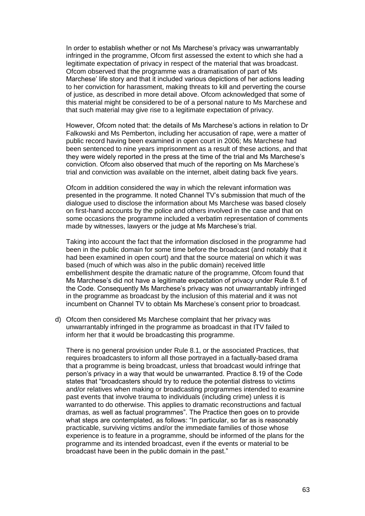In order to establish whether or not Ms Marchese"s privacy was unwarrantably infringed in the programme, Ofcom first assessed the extent to which she had a legitimate expectation of privacy in respect of the material that was broadcast. Ofcom observed that the programme was a dramatisation of part of Ms Marchese" life story and that it included various depictions of her actions leading to her conviction for harassment, making threats to kill and perverting the course of justice, as described in more detail above. Ofcom acknowledged that some of this material might be considered to be of a personal nature to Ms Marchese and that such material may give rise to a legitimate expectation of privacy.

However, Ofcom noted that: the details of Ms Marchese"s actions in relation to Dr Falkowski and Ms Pemberton, including her accusation of rape, were a matter of public record having been examined in open court in 2006; Ms Marchese had been sentenced to nine years imprisonment as a result of these actions, and that they were widely reported in the press at the time of the trial and Ms Marchese"s conviction. Ofcom also observed that much of the reporting on Ms Marchese"s trial and conviction was available on the internet, albeit dating back five years.

Ofcom in addition considered the way in which the relevant information was presented in the programme. It noted Channel TV"s submission that much of the dialogue used to disclose the information about Ms Marchese was based closely on first-hand accounts by the police and others involved in the case and that on some occasions the programme included a verbatim representation of comments made by witnesses, lawyers or the judge at Ms Marchese's trial.

Taking into account the fact that the information disclosed in the programme had been in the public domain for some time before the broadcast (and notably that it had been examined in open court) and that the source material on which it was based (much of which was also in the public domain) received little embellishment despite the dramatic nature of the programme, Ofcom found that Ms Marchese"s did not have a legitimate expectation of privacy under Rule 8.1 of the Code. Consequently Ms Marchese"s privacy was not unwarrantably infringed in the programme as broadcast by the inclusion of this material and it was not incumbent on Channel TV to obtain Ms Marchese"s consent prior to broadcast.

d) Ofcom then considered Ms Marchese complaint that her privacy was unwarrantably infringed in the programme as broadcast in that ITV failed to inform her that it would be broadcasting this programme.

There is no general provision under Rule 8.1, or the associated Practices, that requires broadcasters to inform all those portrayed in a factually-based drama that a programme is being broadcast, unless that broadcast would infringe that person"s privacy in a way that would be unwarranted. Practice 8.19 of the Code states that "broadcasters should try to reduce the potential distress to victims and/or relatives when making or broadcasting programmes intended to examine past events that involve trauma to individuals (including crime) unless it is warranted to do otherwise. This applies to dramatic reconstructions and factual dramas, as well as factual programmes". The Practice then goes on to provide what steps are contemplated, as follows: "In particular, so far as is reasonably practicable, surviving victims and/or the immediate families of those whose experience is to feature in a programme, should be informed of the plans for the programme and its intended broadcast, even if the events or material to be broadcast have been in the public domain in the past."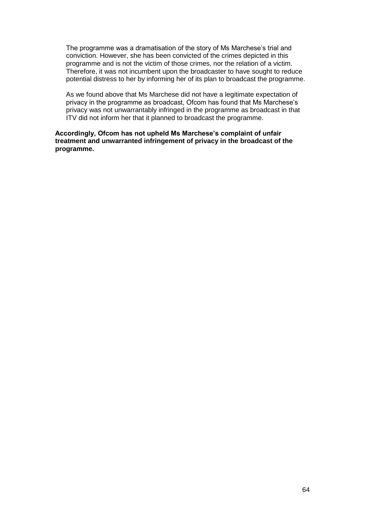The programme was a dramatisation of the story of Ms Marchese"s trial and conviction. However, she has been convicted of the crimes depicted in this programme and is not the victim of those crimes, nor the relation of a victim. Therefore, it was not incumbent upon the broadcaster to have sought to reduce potential distress to her by informing her of its plan to broadcast the programme.

As we found above that Ms Marchese did not have a legitimate expectation of privacy in the programme as broadcast, Ofcom has found that Ms Marchese"s privacy was not unwarrantably infringed in the programme as broadcast in that ITV did not inform her that it planned to broadcast the programme.

**Accordingly, Ofcom has not upheld Ms Marchese's complaint of unfair treatment and unwarranted infringement of privacy in the broadcast of the programme.**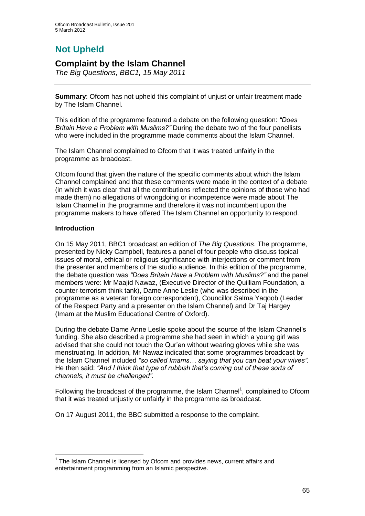# **Not Upheld**

## **Complaint by the Islam Channel**

*The Big Questions, BBC1, 15 May 2011*

**Summary**: Ofcom has not upheld this complaint of unjust or unfair treatment made by The Islam Channel.

This edition of the programme featured a debate on the following question: *"Does Britain Have a Problem with Muslims?"* During the debate two of the four panellists who were included in the programme made comments about the Islam Channel.

The Islam Channel complained to Ofcom that it was treated unfairly in the programme as broadcast.

Ofcom found that given the nature of the specific comments about which the Islam Channel complained and that these comments were made in the context of a debate (in which it was clear that all the contributions reflected the opinions of those who had made them) no allegations of wrongdoing or incompetence were made about The Islam Channel in the programme and therefore it was not incumbent upon the programme makers to have offered The Islam Channel an opportunity to respond.

## **Introduction**

On 15 May 2011, BBC1 broadcast an edition of *The Big Questions*. The programme, presented by Nicky Campbell, features a panel of four people who discuss topical issues of moral, ethical or religious significance with interjections or comment from the presenter and members of the studio audience. In this edition of the programme, the debate question was *"Does Britain Have a Problem with Muslims?"* and the panel members were: Mr Maajid Nawaz, (Executive Director of the Quilliam Foundation, a counter-terrorism think tank), Dame Anne Leslie (who was described in the programme as a veteran foreign correspondent), Councillor Salma Yaqoob (Leader of the Respect Party and a presenter on the Islam Channel) and Dr Taj Hargey (Imam at the Muslim Educational Centre of Oxford).

During the debate Dame Anne Leslie spoke about the source of the Islam Channel"s funding. She also described a programme she had seen in which a young girl was advised that she could not touch the Qur"an without wearing gloves while she was menstruating. In addition, Mr Nawaz indicated that some programmes broadcast by the Islam Channel included *"so called Imams… saying that you can beat your wives".*  He then said: *"And I think that type of rubbish that"s coming out of these sorts of channels, it must be challenged".*

Following the broadcast of the programme, the Islam Channel<sup>1</sup>, complained to Ofcom that it was treated unjustly or unfairly in the programme as broadcast.

On 17 August 2011, the BBC submitted a response to the complaint.

<sup>1</sup>  $1$  The Islam Channel is licensed by Ofcom and provides news, current affairs and entertainment programming from an Islamic perspective.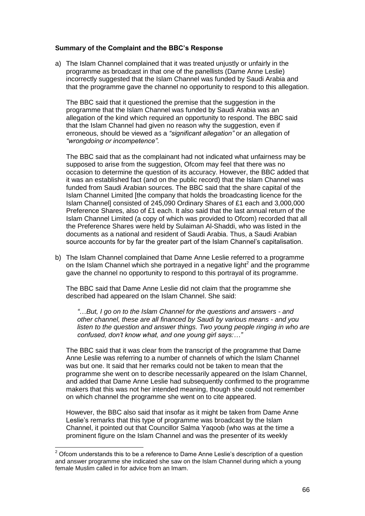#### **Summary of the Complaint and the BBC's Response**

a) The Islam Channel complained that it was treated unjustly or unfairly in the programme as broadcast in that one of the panellists (Dame Anne Leslie) incorrectly suggested that the Islam Channel was funded by Saudi Arabia and that the programme gave the channel no opportunity to respond to this allegation.

The BBC said that it questioned the premise that the suggestion in the programme that the Islam Channel was funded by Saudi Arabia was an allegation of the kind which required an opportunity to respond. The BBC said that the Islam Channel had given no reason why the suggestion, even if erroneous, should be viewed as a *"significant allegation"* or an allegation of *"wrongdoing or incompetence"*.

The BBC said that as the complainant had not indicated what unfairness may be supposed to arise from the suggestion, Ofcom may feel that there was no occasion to determine the question of its accuracy. However, the BBC added that it was an established fact (and on the public record) that the Islam Channel was funded from Saudi Arabian sources. The BBC said that the share capital of the Islam Channel Limited [the company that holds the broadcasting licence for the Islam Channel] consisted of 245,090 Ordinary Shares of £1 each and 3,000,000 Preference Shares, also of £1 each. It also said that the last annual return of the Islam Channel Limited (a copy of which was provided to Ofcom) recorded that all the Preference Shares were held by Sulaiman Al-Shaddi, who was listed in the documents as a national and resident of Saudi Arabia. Thus, a Saudi Arabian source accounts for by far the greater part of the Islam Channel"s capitalisation.

b) The Islam Channel complained that Dame Anne Leslie referred to a programme on the Islam Channel which she portrayed in a negative light<sup>2</sup> and the programme gave the channel no opportunity to respond to this portrayal of its programme.

The BBC said that Dame Anne Leslie did not claim that the programme she described had appeared on the Islam Channel. She said:

*"*…*But, I go on to the Islam Channel for the questions and answers - and other channel, these are all financed by Saudi by various means - and you*  listen to the question and answer things. Two young people ringing in who are *confused, don"t know what, and one young girl says:…"*

The BBC said that it was clear from the transcript of the programme that Dame Anne Leslie was referring to a number of channels of which the Islam Channel was but one. It said that her remarks could not be taken to mean that the programme she went on to describe necessarily appeared on the Islam Channel, and added that Dame Anne Leslie had subsequently confirmed to the programme makers that this was not her intended meaning, though she could not remember on which channel the programme she went on to cite appeared.

However, the BBC also said that insofar as it might be taken from Dame Anne Leslie"s remarks that this type of programme was broadcast by the Islam Channel, it pointed out that Councillor Salma Yaqoob (who was at the time a prominent figure on the Islam Channel and was the presenter of its weekly

1

 $2$  Ofcom understands this to be a reference to Dame Anne Leslie's description of a question and answer programme she indicated she saw on the Islam Channel during which a young female Muslim called in for advice from an Imam.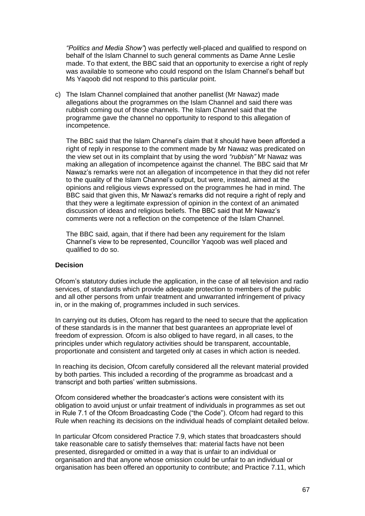*"Politics and Media Show"*) was perfectly well-placed and qualified to respond on behalf of the Islam Channel to such general comments as Dame Anne Leslie made. To that extent, the BBC said that an opportunity to exercise a right of reply was available to someone who could respond on the Islam Channel"s behalf but Ms Yaqoob did not respond to this particular point.

c) The Islam Channel complained that another panellist (Mr Nawaz) made allegations about the programmes on the Islam Channel and said there was rubbish coming out of those channels. The Islam Channel said that the programme gave the channel no opportunity to respond to this allegation of incompetence.

The BBC said that the Islam Channel"s claim that it should have been afforded a right of reply in response to the comment made by Mr Nawaz was predicated on the view set out in its complaint that by using the word *"rubbish"* Mr Nawaz was making an allegation of incompetence against the channel. The BBC said that Mr Nawaz"s remarks were not an allegation of incompetence in that they did not refer to the quality of the Islam Channel"s output, but were, instead, aimed at the opinions and religious views expressed on the programmes he had in mind. The BBC said that given this, Mr Nawaz"s remarks did not require a right of reply and that they were a legitimate expression of opinion in the context of an animated discussion of ideas and religious beliefs. The BBC said that Mr Nawaz"s comments were not a reflection on the competence of the Islam Channel.

The BBC said, again, that if there had been any requirement for the Islam Channel"s view to be represented, Councillor Yaqoob was well placed and qualified to do so.

#### **Decision**

Ofcom"s statutory duties include the application, in the case of all television and radio services, of standards which provide adequate protection to members of the public and all other persons from unfair treatment and unwarranted infringement of privacy in, or in the making of, programmes included in such services.

In carrying out its duties, Ofcom has regard to the need to secure that the application of these standards is in the manner that best guarantees an appropriate level of freedom of expression. Ofcom is also obliged to have regard, in all cases, to the principles under which regulatory activities should be transparent, accountable, proportionate and consistent and targeted only at cases in which action is needed.

In reaching its decision, Ofcom carefully considered all the relevant material provided by both parties. This included a recording of the programme as broadcast and a transcript and both parties" written submissions.

Ofcom considered whether the broadcaster"s actions were consistent with its obligation to avoid unjust or unfair treatment of individuals in programmes as set out in Rule 7.1 of the Ofcom Broadcasting Code ("the Code"). Ofcom had regard to this Rule when reaching its decisions on the individual heads of complaint detailed below.

In particular Ofcom considered Practice 7.9, which states that broadcasters should take reasonable care to satisfy themselves that: material facts have not been presented, disregarded or omitted in a way that is unfair to an individual or organisation and that anyone whose omission could be unfair to an individual or organisation has been offered an opportunity to contribute; and Practice 7.11, which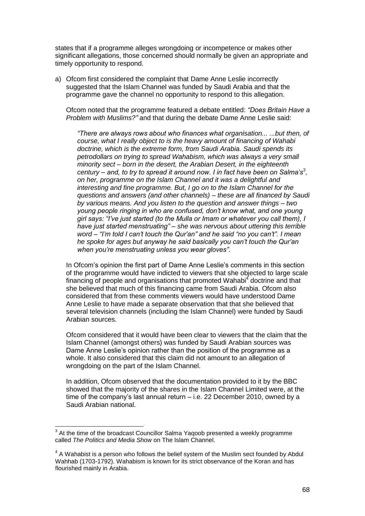states that if a programme alleges wrongdoing or incompetence or makes other significant allegations, those concerned should normally be given an appropriate and timely opportunity to respond.

a) Ofcom first considered the complaint that Dame Anne Leslie incorrectly suggested that the Islam Channel was funded by Saudi Arabia and that the programme gave the channel no opportunity to respond to this allegation.

Ofcom noted that the programme featured a debate entitled: *"Does Britain Have a Problem with Muslims?"* and that during the debate Dame Anne Leslie said:

*"There are always rows about who finances what organisation... ...but then, of course, what I really object to is the heavy amount of financing of Wahabi doctrine, which is the extreme form, from Saudi Arabia. Saudi spends its petrodollars on trying to spread Wahabism, which was always a very small minority sect – born in the desert, the Arabian Desert, in the eighteenth*  century – and, to try to spread it around now. I in fact have been on Salma's<sup>3</sup>, *on her, programme on the Islam Channel and it was a delightful and interesting and fine programme. But, I go on to the Islam Channel for the questions and answers (and other channels) – these are all financed by Saudi by various means. And you listen to the question and answer things – two young people ringing in who are confused, don"t know what, and one young girl says: "I"ve just started (to the Mulla or Imam or whatever you call them), I have just started menstruating" – she was nervous about uttering this terrible word – "I"m told I can"t touch the Qur"an" and he said "no you can"t". I mean he spoke for ages but anyway he said basically you can"t touch the Qur"an when you"re menstruating unless you wear gloves".*

In Ofcom's opinion the first part of Dame Anne Leslie's comments in this section of the programme would have indicted to viewers that she objected to large scale financing of people and organisations that promoted Wahabi $<sup>4</sup>$  doctrine and that</sup> she believed that much of this financing came from Saudi Arabia. Ofcom also considered that from these comments viewers would have understood Dame Anne Leslie to have made a separate observation that that she believed that several television channels (including the Islam Channel) were funded by Saudi Arabian sources.

Ofcom considered that it would have been clear to viewers that the claim that the Islam Channel (amongst others) was funded by Saudi Arabian sources was Dame Anne Leslie"s opinion rather than the position of the programme as a whole. It also considered that this claim did not amount to an allegation of wrongdoing on the part of the Islam Channel.

In addition, Ofcom observed that the documentation provided to it by the BBC showed that the majority of the shares in the Islam Channel Limited were, at the time of the company"s last annual return – i.e. 22 December 2010, owned by a Saudi Arabian national.

1

 $3$  At the time of the broadcast Councillor Salma Yaqoob presented a weekly programme called *The Politics and Media Show* on The Islam Channel.

 $4$  A Wahabist is a person who follows the belief system of the Muslim sect founded by Abdul Wahhab (1703-1792). Wahabism is known for its strict observance of the Koran and has flourished mainly in Arabia.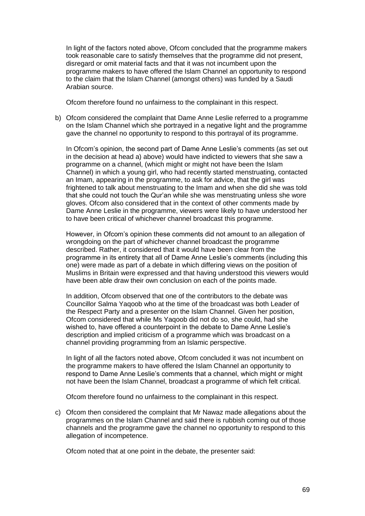In light of the factors noted above, Ofcom concluded that the programme makers took reasonable care to satisfy themselves that the programme did not present, disregard or omit material facts and that it was not incumbent upon the programme makers to have offered the Islam Channel an opportunity to respond to the claim that the Islam Channel (amongst others) was funded by a Saudi Arabian source.

Ofcom therefore found no unfairness to the complainant in this respect.

b) Ofcom considered the complaint that Dame Anne Leslie referred to a programme on the Islam Channel which she portrayed in a negative light and the programme gave the channel no opportunity to respond to this portrayal of its programme.

In Ofcom's opinion, the second part of Dame Anne Leslie's comments (as set out in the decision at head a) above) would have indicted to viewers that she saw a programme on a channel, (which might or might not have been the Islam Channel) in which a young girl, who had recently started menstruating, contacted an Imam, appearing in the programme, to ask for advice, that the girl was frightened to talk about menstruating to the Imam and when she did she was told that she could not touch the Qur"an while she was menstruating unless she wore gloves. Ofcom also considered that in the context of other comments made by Dame Anne Leslie in the programme, viewers were likely to have understood her to have been critical of whichever channel broadcast this programme.

However, in Ofcom"s opinion these comments did not amount to an allegation of wrongdoing on the part of whichever channel broadcast the programme described. Rather, it considered that it would have been clear from the programme in its entirety that all of Dame Anne Leslie"s comments (including this one) were made as part of a debate in which differing views on the position of Muslims in Britain were expressed and that having understood this viewers would have been able draw their own conclusion on each of the points made.

In addition, Ofcom observed that one of the contributors to the debate was Councillor Salma Yaqoob who at the time of the broadcast was both Leader of the Respect Party and a presenter on the Islam Channel. Given her position, Ofcom considered that while Ms Yaqoob did not do so, she could, had she wished to, have offered a counterpoint in the debate to Dame Anne Leslie"s description and implied criticism of a programme which was broadcast on a channel providing programming from an Islamic perspective.

In light of all the factors noted above, Ofcom concluded it was not incumbent on the programme makers to have offered the Islam Channel an opportunity to respond to Dame Anne Leslie"s comments that a channel, which might or might not have been the Islam Channel, broadcast a programme of which felt critical.

Ofcom therefore found no unfairness to the complainant in this respect.

c) Ofcom then considered the complaint that Mr Nawaz made allegations about the programmes on the Islam Channel and said there is rubbish coming out of those channels and the programme gave the channel no opportunity to respond to this allegation of incompetence.

Ofcom noted that at one point in the debate, the presenter said: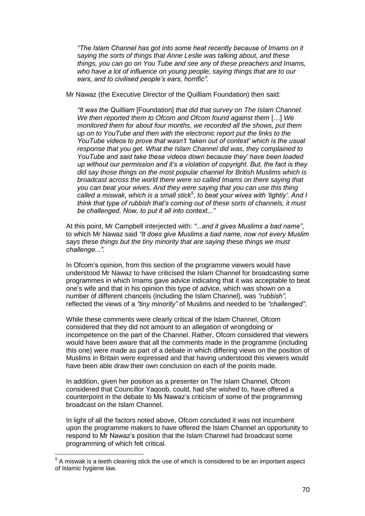*"The Islam Channel has got into some heat recently because of Imams on it saying the sorts of things that Anne Leslie was talking about, and these things, you can go on You Tube and see any of these preachers and Imams, who have a lot of influence on young people, saying things that are to our ears, and to civilised people"s ears, horrific".*

Mr Nawaz (the Executive Director of the Quilliam Foundation) then said:

*"It was the Quilliam* [Foundation] *that did that survey on The Islam Channel. We then reported them to Ofcom and Ofcom found against them* [*…*] *We monitored them for about four months, we recorded all the shows, put them up on to YouTube and then with the electronic report put the links to the YouTube videos to prove that wasn"t "taken out of context" which is the usual response that you get. What the Islam Channel did was, they complained to YouTube and said take these videos down because they" have been loaded up without our permission and it"s a violation of copyright. But, the fact is they did say those things on the most popular channel for British Muslims which is broadcast across the world there were so called Imams on there saying that you can beat your wives. And they were saying that you can use this thing called a miswak, which is a small stick<sup>5</sup> , to beat your wives with "lightly". And I think that type of rubbish that"s coming out of these sorts of channels, it must be challenged. Now, to put it all into context..."*

At this point, Mr Campbell interjected with: *"...and it gives Muslims a bad name"*, to which Mr Nawaz said *"It does give Muslims a bad name, now not every Muslim says these things but the tiny minority that are saying these things we must challenge...".*

In Ofcom's opinion, from this section of the programme viewers would have understood Mr Nawaz to have criticised the Islam Channel for broadcasting some programmes in which Imams gave advice indicating that it was acceptable to beat one"s wife and that in his opinion this type of advice, which was shown on a number of different chancels (including the Islam Channel), was *"rubbish"*, reflected the views of a *"tiny minority"* of Muslims and needed to be *"challenged"*.

While these comments were clearly critical of the Islam Channel, Ofcom considered that they did not amount to an allegation of wrongdoing or incompetence on the part of the Channel. Rather, Ofcom considered that viewers would have been aware that all the comments made in the programme (including this one) were made as part of a debate in which differing views on the position of Muslims in Britain were expressed and that having understood this viewers would have been able draw their own conclusion on each of the points made.

In addition, given her position as a presenter on The Islam Channel, Ofcom considered that Councillor Yaqoob, could, had she wished to, have offered a counterpoint in the debate to Ms Nawaz"s criticism of some of the programming broadcast on the Islam Channel.

In light of all the factors noted above, Ofcom concluded it was not incumbent upon the programme makers to have offered the Islam Channel an opportunity to respond to Mr Nawaz"s position that the Islam Channel had broadcast some programming of which felt critical.

 5 A miswak is a teeth cleaning stick the use of which is considered to be an important aspect of Islamic hygiene law.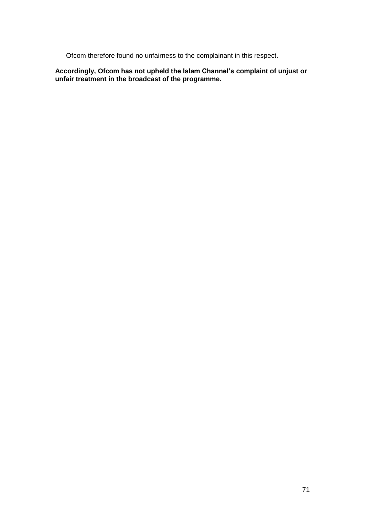Ofcom therefore found no unfairness to the complainant in this respect.

**Accordingly, Ofcom has not upheld the Islam Channel's complaint of unjust or unfair treatment in the broadcast of the programme.**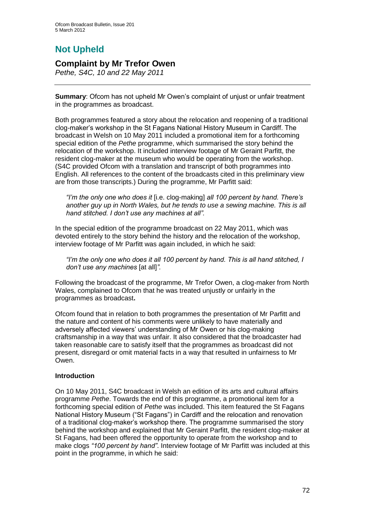# **Not Upheld**

## **Complaint by Mr Trefor Owen**

*Pethe, S4C, 10 and 22 May 2011*

**Summary**: Ofcom has not upheld Mr Owen"s complaint of unjust or unfair treatment in the programmes as broadcast.

Both programmes featured a story about the relocation and reopening of a traditional clog-maker"s workshop in the St Fagans National History Museum in Cardiff. The broadcast in Welsh on 10 May 2011 included a promotional item for a forthcoming special edition of the *Pethe* programme, which summarised the story behind the relocation of the workshop. It included interview footage of Mr Geraint Parfitt, the resident clog-maker at the museum who would be operating from the workshop. (S4C provided Ofcom with a translation and transcript of both programmes into English. All references to the content of the broadcasts cited in this preliminary view are from those transcripts.) During the programme, Mr Parfitt said:

*"I"m the only one who does it* [i.e. clog-making] *all 100 percent by hand. There"s another guy up in North Wales, but he tends to use a sewing machine. This is all hand stitched. I don"t use any machines at all".*

In the special edition of the programme broadcast on 22 May 2011, which was devoted entirely to the story behind the history and the relocation of the workshop, interview footage of Mr Parfitt was again included, in which he said:

*"I"m the only one who does it all 100 percent by hand. This is all hand stitched, I don"t use any machines* [at all]*".*

Following the broadcast of the programme, Mr Trefor Owen, a clog-maker from North Wales, complained to Ofcom that he was treated unjustly or unfairly in the programmes as broadcast**.**

Ofcom found that in relation to both programmes the presentation of Mr Parfitt and the nature and content of his comments were unlikely to have materially and adversely affected viewers" understanding of Mr Owen or his clog-making craftsmanship in a way that was unfair. It also considered that the broadcaster had taken reasonable care to satisfy itself that the programmes as broadcast did not present, disregard or omit material facts in a way that resulted in unfairness to Mr Owen.

## **Introduction**

On 10 May 2011, S4C broadcast in Welsh an edition of its arts and cultural affairs programme *Pethe*. Towards the end of this programme, a promotional item for a forthcoming special edition of *Pethe* was included. This item featured the St Fagans National History Museum ("St Fagans") in Cardiff and the relocation and renovation of a traditional clog-maker"s workshop there. The programme summarised the story behind the workshop and explained that Mr Geraint Parfitt, the resident clog-maker at St Fagans, had been offered the opportunity to operate from the workshop and to make clogs *"100 percent by hand"*. Interview footage of Mr Parfitt was included at this point in the programme, in which he said: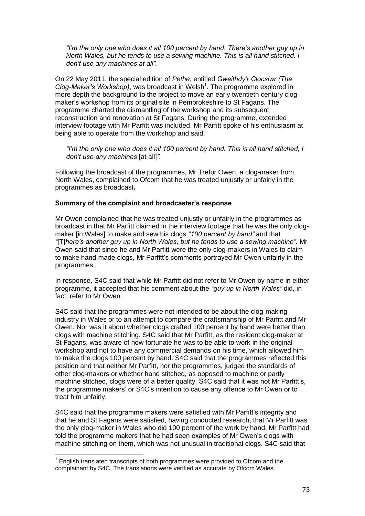*"I"m the only one who does it all 100 percent by hand. There"s another guy up in North Wales, but he tends to use a sewing machine. This is all hand stitched. I don"t use any machines at all".*

On 22 May 2011, the special edition of *Pethe*, entitled *Gweithdy"r Clocsiwr (The*  Clog-Maker's Workshop), was broadcast in Welsh<sup>1</sup>. The programme explored in more depth the background to the project to move an early twentieth century clogmaker"s workshop from its original site in Pembrokeshire to St Fagans. The programme charted the dismantling of the workshop and its subsequent reconstruction and renovation at St Fagans. During the programme, extended interview footage with Mr Parfitt was included. Mr Parfitt spoke of his enthusiasm at being able to operate from the workshop and said:

*"I"m the only one who does it all 100 percent by hand. This is all hand stitched, I don"t use any machines* [at all]*".*

Following the broadcast of the programmes, Mr Trefor Owen, a clog-maker from North Wales, complained to Ofcom that he was treated unjustly or unfairly in the programmes as broadcast**.**

#### **Summary of the complaint and broadcaster's response**

Mr Owen complained that he was treated unjustly or unfairly in the programmes as broadcast in that Mr Parfitt claimed in the interview footage that he was the only clogmaker [in Wales] to make and sew his clogs *"100 percent by hand"* and that *"*[T]*here"s another guy up in North Wales, but he tends to use a sewing machine"*. Mr Owen said that since he and Mr Parfitt were the only clog-makers in Wales to claim to make hand-made clogs, Mr Parfitt"s comments portrayed Mr Owen unfairly in the programmes.

In response, S4C said that while Mr Parfitt did not refer to Mr Owen by name in either programme, it accepted that his comment about the *"guy up in North Wales"* did, in fact, refer to Mr Owen.

S4C said that the programmes were not intended to be about the clog-making industry in Wales or to an attempt to compare the craftsmanship of Mr Parfitt and Mr Owen. Nor was it about whether clogs crafted 100 percent by hand were better than clogs with machine stitching. S4C said that Mr Parfitt, as the resident clog-maker at St Fagans, was aware of how fortunate he was to be able to work in the original workshop and not to have any commercial demands on his time, which allowed him to make the clogs 100 percent by hand. S4C said that the programmes reflected this position and that neither Mr Parfitt, nor the programmes, judged the standards of other clog-makers or whether hand stitched, as opposed to machine or partly machine stitched, clogs were of a better quality. S4C said that it was not Mr Parfitt"s, the programme makers" or S4C"s intention to cause any offence to Mr Owen or to treat him unfairly.

S4C said that the programme makers were satisfied with Mr Parfitt's integrity and that he and St Fagans were satisfied, having conducted research, that Mr Parfitt was the only clog-maker in Wales who did 100 percent of the work by hand. Mr Parfitt had told the programme makers that he had seen examples of Mr Owen"s clogs with machine stitching on them, which was not unusual in traditional clogs. S4C said that

1

 $1$  English translated transcripts of both programmes were provided to Ofcom and the complainant by S4C. The translations were verified as accurate by Ofcom Wales.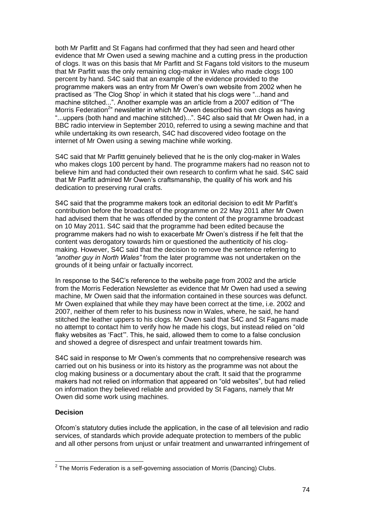both Mr Parfitt and St Fagans had confirmed that they had seen and heard other evidence that Mr Owen used a sewing machine and a cutting press in the production of clogs. It was on this basis that Mr Parfitt and St Fagans told visitors to the museum that Mr Parfitt was the only remaining clog-maker in Wales who made clogs 100 percent by hand. S4C said that an example of the evidence provided to the programme makers was an entry from Mr Owen"s own website from 2002 when he practised as "The Clog Shop" in which it stated that his clogs were "...hand and machine stitched...". Another example was an article from a 2007 edition of "The Morris Federation<sup>2</sup>" newsletter in which Mr Owen described his own clogs as having "...uppers (both hand and machine stitched)...". S4C also said that Mr Owen had, in a BBC radio interview in September 2010, referred to using a sewing machine and that while undertaking its own research, S4C had discovered video footage on the internet of Mr Owen using a sewing machine while working.

S4C said that Mr Parfitt genuinely believed that he is the only clog-maker in Wales who makes clogs 100 percent by hand. The programme makers had no reason not to believe him and had conducted their own research to confirm what he said. S4C said that Mr Parfitt admired Mr Owen's craftsmanship, the quality of his work and his dedication to preserving rural crafts.

S4C said that the programme makers took an editorial decision to edit Mr Parfitt"s contribution before the broadcast of the programme on 22 May 2011 after Mr Owen had advised them that he was offended by the content of the programme broadcast on 10 May 2011. S4C said that the programme had been edited because the programme makers had no wish to exacerbate Mr Owen"s distress if he felt that the content was derogatory towards him or questioned the authenticity of his clogmaking. However, S4C said that the decision to remove the sentence referring to *"another guy in North Wales"* from the later programme was not undertaken on the grounds of it being unfair or factually incorrect.

In response to the S4C"s reference to the website page from 2002 and the article from the Morris Federation Newsletter as evidence that Mr Owen had used a sewing machine, Mr Owen said that the information contained in these sources was defunct. Mr Owen explained that while they may have been correct at the time, i.e. 2002 and 2007, neither of them refer to his business now in Wales, where, he said, he hand stitched the leather uppers to his clogs. Mr Owen said that S4C and St Fagans made no attempt to contact him to verify how he made his clogs, but instead relied on "old flaky websites as "Fact"". This, he said, allowed them to come to a false conclusion and showed a degree of disrespect and unfair treatment towards him.

S4C said in response to Mr Owen"s comments that no comprehensive research was carried out on his business or into its history as the programme was not about the clog making business or a documentary about the craft. It said that the programme makers had not relied on information that appeared on "old websites", but had relied on information they believed reliable and provided by St Fagans, namely that Mr Owen did some work using machines.

#### **Decision**

Ofcom"s statutory duties include the application, in the case of all television and radio services, of standards which provide adequate protection to members of the public and all other persons from unjust or unfair treatment and unwarranted infringement of

 2 The Morris Federation is a self-governing association of Morris (Dancing) Clubs.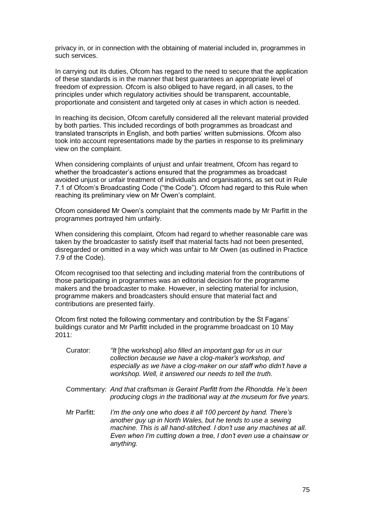privacy in, or in connection with the obtaining of material included in, programmes in such services.

In carrying out its duties, Ofcom has regard to the need to secure that the application of these standards is in the manner that best guarantees an appropriate level of freedom of expression. Ofcom is also obliged to have regard, in all cases, to the principles under which regulatory activities should be transparent, accountable, proportionate and consistent and targeted only at cases in which action is needed.

In reaching its decision, Ofcom carefully considered all the relevant material provided by both parties. This included recordings of both programmes as broadcast and translated transcripts in English, and both parties" written submissions. Ofcom also took into account representations made by the parties in response to its preliminary view on the complaint.

When considering complaints of unjust and unfair treatment, Ofcom has regard to whether the broadcaster"s actions ensured that the programmes as broadcast avoided unjust or unfair treatment of individuals and organisations, as set out in Rule 7.1 of Ofcom"s Broadcasting Code ("the Code"). Ofcom had regard to this Rule when reaching its preliminary view on Mr Owen"s complaint.

Ofcom considered Mr Owen"s complaint that the comments made by Mr Parfitt in the programmes portrayed him unfairly.

When considering this complaint, Ofcom had regard to whether reasonable care was taken by the broadcaster to satisfy itself that material facts had not been presented, disregarded or omitted in a way which was unfair to Mr Owen (as outlined in Practice 7.9 of the Code).

Ofcom recognised too that selecting and including material from the contributions of those participating in programmes was an editorial decision for the programme makers and the broadcaster to make. However, in selecting material for inclusion, programme makers and broadcasters should ensure that material fact and contributions are presented fairly.

Ofcom first noted the following commentary and contribution by the St Fagans" buildings curator and Mr Parfitt included in the programme broadcast on 10 May  $2011$ 

- Curator: *"It* [the workshop] *also filled an important gap for us in our collection because we have a clog-maker"s workshop, and especially as we have a clog-maker on our staff who didn"t have a workshop. Well, it answered our needs to tell the truth.*
- Commentary: *And that craftsman is Geraint Parfitt from the Rhondda. He"s been producing clogs in the traditional way at the museum for five years.*
- Mr Parfitt: *I"m the only one who does it all 100 percent by hand. There"s another guy up in North Wales, but he tends to use a sewing machine. This is all hand-stitched. I don"t use any machines at all. Even when I"m cutting down a tree, I don"t even use a chainsaw or anything.*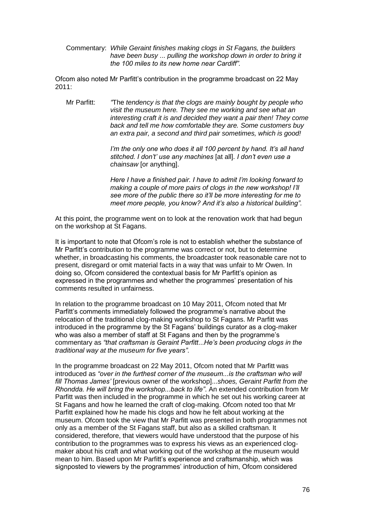Commentary: *While Geraint finishes making clogs in St Fagans, the builders have been busy* ... *pulling the workshop down in order to bring it the 100 miles to its new home near Cardiff".*

Ofcom also noted Mr Parfitt"s contribution in the programme broadcast on 22 May 2011:

Mr Parfitt: *"*The *tendency is that the clogs are mainly bought by people who visit the museum here. They see me working and see what an interesting craft it is and decided they want a pair then! They come back and tell me how comfortable they are. Some customers buy an extra pair, a second and third pair sometimes, which is good!*

> *I"m the only one who does it all 100 percent by hand. It"s all hand stitched. I don"t" use any machines* [at all]*. I don"t even use a chainsaw* [or anything].

> *Here I have a finished pair. I have to admit I"m looking forward to making a couple of more pairs of clogs in the new workshop! I"ll see more of the public there so it"ll be more interesting for me to meet more people, you know? And it"s also a historical building".*

At this point, the programme went on to look at the renovation work that had begun on the workshop at St Fagans.

It is important to note that Ofcom"s role is not to establish whether the substance of Mr Parfitt"s contribution to the programme was correct or not, but to determine whether, in broadcasting his comments, the broadcaster took reasonable care not to present, disregard or omit material facts in a way that was unfair to Mr Owen. In doing so, Ofcom considered the contextual basis for Mr Parfitt"s opinion as expressed in the programmes and whether the programmes" presentation of his comments resulted in unfairness.

In relation to the programme broadcast on 10 May 2011, Ofcom noted that Mr Parfitt's comments immediately followed the programme's narrative about the relocation of the traditional clog-making workshop to St Fagans. Mr Parfitt was introduced in the programme by the St Fagans" buildings curator as a clog-maker who was also a member of staff at St Fagans and then by the programme"s commentary as *"that craftsman is Geraint Parfitt*...*He"s been producing clogs in the traditional way at the museum for five years"*.

In the programme broadcast on 22 May 2011, Ofcom noted that Mr Parfitt was introduced as *"over in the furthest corner of the museum...is the craftsman who will fill Thomas James"* [previous owner of the workshop]...*shoes, Geraint Parfitt from the Rhondda. He will bring the workshop...back to life"*. An extended contribution from Mr Parfitt was then included in the programme in which he set out his working career at St Fagans and how he learned the craft of clog-making. Ofcom noted too that Mr Parfitt explained how he made his clogs and how he felt about working at the museum. Ofcom took the view that Mr Parfitt was presented in both programmes not only as a member of the St Fagans staff, but also as a skilled craftsman. It considered, therefore, that viewers would have understood that the purpose of his contribution to the programmes was to express his views as an experienced clogmaker about his craft and what working out of the workshop at the museum would mean to him. Based upon Mr Parfitt"s experience and craftsmanship, which was signposted to viewers by the programmes' introduction of him, Ofcom considered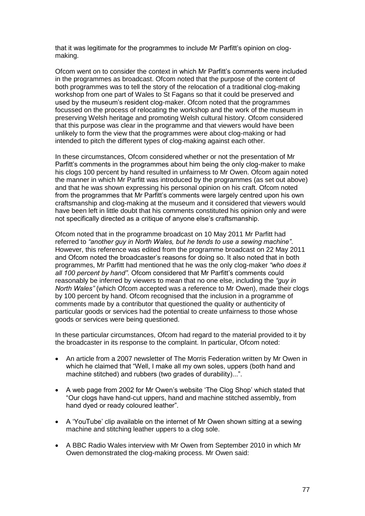that it was legitimate for the programmes to include Mr Parfitt"s opinion on clogmaking.

Ofcom went on to consider the context in which Mr Parfitt"s comments were included in the programmes as broadcast. Ofcom noted that the purpose of the content of both programmes was to tell the story of the relocation of a traditional clog-making workshop from one part of Wales to St Fagans so that it could be preserved and used by the museum"s resident clog-maker. Ofcom noted that the programmes focussed on the process of relocating the workshop and the work of the museum in preserving Welsh heritage and promoting Welsh cultural history. Ofcom considered that this purpose was clear in the programme and that viewers would have been unlikely to form the view that the programmes were about clog-making or had intended to pitch the different types of clog-making against each other.

In these circumstances, Ofcom considered whether or not the presentation of Mr Parfitt's comments in the programmes about him being the only clog-maker to make his clogs 100 percent by hand resulted in unfairness to Mr Owen. Ofcom again noted the manner in which Mr Parfitt was introduced by the programmes (as set out above) and that he was shown expressing his personal opinion on his craft. Ofcom noted from the programmes that Mr Parfitt"s comments were largely centred upon his own craftsmanship and clog-making at the museum and it considered that viewers would have been left in little doubt that his comments constituted his opinion only and were not specifically directed as a critique of anyone else"s craftsmanship.

Ofcom noted that in the programme broadcast on 10 May 2011 Mr Parfitt had referred to *"another guy in North Wales, but he tends to use a sewing machine"*. However, this reference was edited from the programme broadcast on 22 May 2011 and Ofcom noted the broadcaster"s reasons for doing so. It also noted that in both programmes, Mr Parfitt had mentioned that he was the only clog-maker *"who does it*  all 100 percent by hand". Ofcom considered that Mr Parfitt's comments could reasonably be inferred by viewers to mean that no one else, including the *"guy in North Wales"* (which Ofcom accepted was a reference to Mr Owen), made their clogs by 100 percent by hand. Ofcom recognised that the inclusion in a programme of comments made by a contributor that questioned the quality or authenticity of particular goods or services had the potential to create unfairness to those whose goods or services were being questioned.

In these particular circumstances, Ofcom had regard to the material provided to it by the broadcaster in its response to the complaint. In particular, Ofcom noted:

- An article from a 2007 newsletter of The Morris Federation written by Mr Owen in which he claimed that "Well, I make all my own soles, uppers (both hand and machine stitched) and rubbers (two grades of durability)...".
- A web page from 2002 for Mr Owen"s website "The Clog Shop" which stated that "Our clogs have hand-cut uppers, hand and machine stitched assembly, from hand dyed or ready coloured leather".
- A "YouTube" clip available on the internet of Mr Owen shown sitting at a sewing machine and stitching leather uppers to a clog sole.
- A BBC Radio Wales interview with Mr Owen from September 2010 in which Mr Owen demonstrated the clog-making process. Mr Owen said: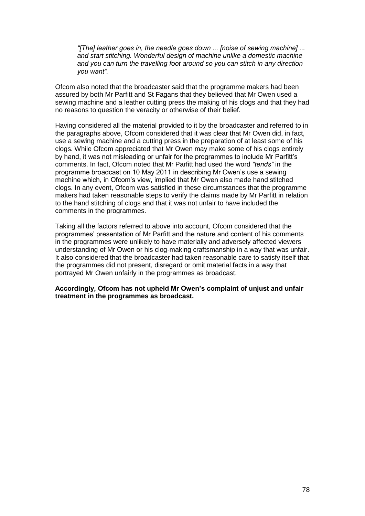*"[The] leather goes in, the needle goes down ... [noise of sewing machine] ... and start stitching. Wonderful design of machine unlike a domestic machine and you can turn the travelling foot around so you can stitch in any direction you want".* 

Ofcom also noted that the broadcaster said that the programme makers had been assured by both Mr Parfitt and St Fagans that they believed that Mr Owen used a sewing machine and a leather cutting press the making of his clogs and that they had no reasons to question the veracity or otherwise of their belief.

Having considered all the material provided to it by the broadcaster and referred to in the paragraphs above, Ofcom considered that it was clear that Mr Owen did, in fact, use a sewing machine and a cutting press in the preparation of at least some of his clogs. While Ofcom appreciated that Mr Owen may make some of his clogs entirely by hand, it was not misleading or unfair for the programmes to include Mr Parfitt"s comments. In fact, Ofcom noted that Mr Parfitt had used the word *"tends"* in the programme broadcast on 10 May 2011 in describing Mr Owen"s use a sewing machine which, in Ofcom"s view, implied that Mr Owen also made hand stitched clogs. In any event, Ofcom was satisfied in these circumstances that the programme makers had taken reasonable steps to verify the claims made by Mr Parfitt in relation to the hand stitching of clogs and that it was not unfair to have included the comments in the programmes.

Taking all the factors referred to above into account, Ofcom considered that the programmes" presentation of Mr Parfitt and the nature and content of his comments in the programmes were unlikely to have materially and adversely affected viewers understanding of Mr Owen or his clog-making craftsmanship in a way that was unfair. It also considered that the broadcaster had taken reasonable care to satisfy itself that the programmes did not present, disregard or omit material facts in a way that portrayed Mr Owen unfairly in the programmes as broadcast.

#### **Accordingly, Ofcom has not upheld Mr Owen's complaint of unjust and unfair treatment in the programmes as broadcast.**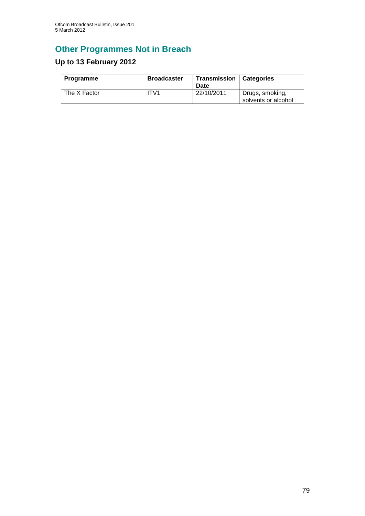# **Other Programmes Not in Breach**

# **Up to 13 February 2012**

| Programme    | <b>Broadcaster</b> | Transmission   Categories<br>Date |                                        |
|--------------|--------------------|-----------------------------------|----------------------------------------|
| The X Factor | TV1                | 22/10/2011                        | Drugs, smoking,<br>solvents or alcohol |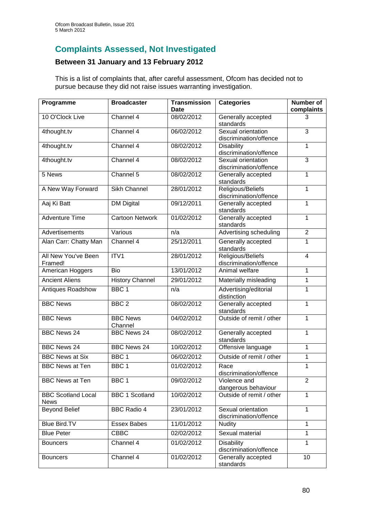### **Complaints Assessed, Not Investigated**

### **Between 31 January and 13 February 2012**

This is a list of complaints that, after careful assessment, Ofcom has decided not to pursue because they did not raise issues warranting investigation.

| Programme                         | <b>Broadcaster</b>         | <b>Transmission</b><br>Date | <b>Categories</b>                            | Number of<br>complaints |
|-----------------------------------|----------------------------|-----------------------------|----------------------------------------------|-------------------------|
| 10 O'Clock Live                   | Channel 4                  | 08/02/2012                  | Generally accepted<br>standards              | 3                       |
| 4thought.tv                       | Channel 4                  | 06/02/2012                  | Sexual orientation<br>discrimination/offence | $\overline{3}$          |
| 4thought.tv                       | Channel 4                  | 08/02/2012                  | <b>Disability</b><br>discrimination/offence  | 1                       |
| 4thought.tv                       | Channel 4                  | 08/02/2012                  | Sexual orientation<br>discrimination/offence | 3                       |
| 5 News                            | Channel 5                  | 08/02/2012                  | Generally accepted<br>standards              | 1                       |
| A New Way Forward                 | <b>Sikh Channel</b>        | 28/01/2012                  | Religious/Beliefs<br>discrimination/offence  | 1                       |
| Aaj Ki Batt                       | <b>DM Digital</b>          | 09/12/2011                  | Generally accepted<br>standards              | 1                       |
| <b>Adventure Time</b>             | <b>Cartoon Network</b>     | 01/02/2012                  | Generally accepted<br>standards              | 1                       |
| Advertisements                    | Various                    | n/a                         | Advertising scheduling                       | $\overline{2}$          |
| Alan Carr: Chatty Man             | Channel 4                  | 25/12/2011                  | Generally accepted<br>standards              | 1                       |
| All New You've Been<br>Framed!    | ITV1                       | 28/01/2012                  | Religious/Beliefs<br>discrimination/offence  | 4                       |
| American Hoggers                  | <b>Bio</b>                 | 13/01/2012                  | Animal welfare                               | $\mathbf{1}$            |
| <b>Ancient Aliens</b>             | <b>History Channel</b>     | 29/01/2012                  | Materially misleading                        | 1                       |
| Antiques Roadshow                 | BBC <sub>1</sub>           | n/a                         | Advertising/editorial<br>distinction         | 1                       |
| <b>BBC News</b>                   | BBC <sub>2</sub>           | 08/02/2012                  | Generally accepted<br>standards              | 1                       |
| <b>BBC News</b>                   | <b>BBC News</b><br>Channel | 04/02/2012                  | Outside of remit / other                     | $\mathbf{1}$            |
| <b>BBC News 24</b>                | <b>BBC News 24</b>         | 08/02/2012                  | Generally accepted<br>standards              | 1                       |
| <b>BBC News 24</b>                | <b>BBC News 24</b>         | 10/02/2012                  | Offensive language                           | 1                       |
| <b>BBC</b> News at Six            | BBC <sub>1</sub>           | 06/02/2012                  | Outside of remit / other                     | 1                       |
| <b>BBC News at Ten</b>            | BBC <sub>1</sub>           | 01/02/2012                  | Race<br>discrimination/offence               | 1                       |
| <b>BBC News at Ten</b>            | BBC 1                      | 09/02/2012                  | Violence and<br>dangerous behaviour          | $\overline{2}$          |
| <b>BBC Scotland Local</b><br>News | <b>BBC 1 Scotland</b>      | 10/02/2012                  | Outside of remit / other                     | 1                       |
| <b>Beyond Belief</b>              | <b>BBC Radio 4</b>         | 23/01/2012                  | Sexual orientation<br>discrimination/offence | 1                       |
| <b>Blue Bird.TV</b>               | <b>Essex Babes</b>         | 11/01/2012                  | <b>Nudity</b>                                | 1                       |
| <b>Blue Peter</b>                 | <b>CBBC</b>                | 02/02/2012                  | Sexual material                              | $\mathbf{1}$            |
| <b>Bouncers</b>                   | Channel 4                  | 01/02/2012                  | Disability<br>discrimination/offence         | 1                       |
| <b>Bouncers</b>                   | Channel 4                  | 01/02/2012                  | Generally accepted<br>standards              | 10                      |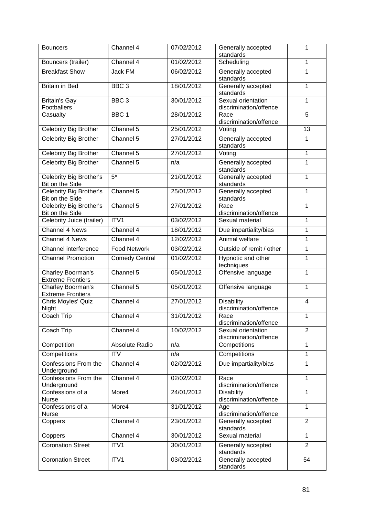| <b>Bouncers</b>                                   | Channel 4             | 07/02/2012 | Generally accepted<br>standards              | 1              |
|---------------------------------------------------|-----------------------|------------|----------------------------------------------|----------------|
| Bouncers (trailer)                                | Channel 4             | 01/02/2012 | Scheduling                                   | $\mathbf{1}$   |
| <b>Breakfast Show</b>                             | Jack FM               | 06/02/2012 | Generally accepted<br>standards              | 1              |
| <b>Britain in Bed</b>                             | BBC <sub>3</sub>      | 18/01/2012 | Generally accepted<br>standards              | 1              |
| Britain's Gay<br>Footballers                      | BBC <sub>3</sub>      | 30/01/2012 | Sexual orientation<br>discrimination/offence | 1              |
| Casualty                                          | BBC <sub>1</sub>      | 28/01/2012 | Race<br>discrimination/offence               | 5              |
| Celebrity Big Brother                             | Channel 5             | 25/01/2012 | Voting                                       | 13             |
| <b>Celebrity Big Brother</b>                      | Channel 5             | 27/01/2012 | Generally accepted<br>standards              | 1              |
| Celebrity Big Brother                             | Channel 5             | 27/01/2012 | Voting                                       | 1              |
| <b>Celebrity Big Brother</b>                      | Channel 5             | n/a        | Generally accepted<br>standards              | $\mathbf{1}$   |
| Celebrity Big Brother's<br>Bit on the Side        | $5*$                  | 21/01/2012 | Generally accepted<br>standards              | $\mathbf{1}$   |
| <b>Celebrity Big Brother's</b><br>Bit on the Side | Channel 5             | 25/01/2012 | Generally accepted<br>standards              | $\mathbf{1}$   |
| <b>Celebrity Big Brother's</b><br>Bit on the Side | Channel 5             | 27/01/2012 | Race<br>discrimination/offence               | $\mathbf{1}$   |
| Celebrity Juice (trailer)                         | ITV1                  | 03/02/2012 | Sexual material                              | 1              |
| Channel 4 News                                    | Channel 4             | 18/01/2012 | Due impartiality/bias                        | 1              |
| Channel 4 News                                    | Channel 4             | 12/02/2012 | Animal welfare                               | 1              |
| Channel interference                              | <b>Food Network</b>   | 03/02/2012 | Outside of remit / other                     | 1              |
| <b>Channel Promotion</b>                          | <b>Comedy Central</b> | 01/02/2012 | Hypnotic and other<br>techniques             | $\mathbf{1}$   |
| Charley Boorman's<br><b>Extreme Frontiers</b>     | Channel 5             | 05/01/2012 | Offensive language                           | 1              |
| Charley Boorman's<br><b>Extreme Frontiers</b>     | Channel 5             | 05/01/2012 | Offensive language                           | 1              |
| Chris Moyles' Quiz<br>Night                       | Channel 4             | 27/01/2012 | <b>Disability</b><br>discrimination/offence  | 4              |
| Coach Trip                                        | Channel 4             | 31/01/2012 | Race<br>discrimination/offence               | 1              |
| Coach Trip                                        | Channel 4             | 10/02/2012 | Sexual orientation<br>discrimination/offence | $\overline{2}$ |
| Competition                                       | Absolute Radio        | n/a        | Competitions                                 | $\mathbf{1}$   |
| Competitions                                      | <b>ITV</b>            | n/a        | Competitions                                 | 1              |
| Confessions From the<br>Underground               | Channel 4             | 02/02/2012 | Due impartiality/bias                        | $\mathbf{1}$   |
| Confessions From the<br>Underground               | Channel 4             | 02/02/2012 | Race<br>discrimination/offence               | 1              |
| Confessions of a<br>Nurse                         | More4                 | 24/01/2012 | <b>Disability</b><br>discrimination/offence  | $\mathbf 1$    |
| Confessions of a<br><b>Nurse</b>                  | More4                 | 31/01/2012 | Age<br>discrimination/offence                | $\mathbf{1}$   |
| Coppers                                           | Channel 4             | 23/01/2012 | Generally accepted<br>standards              | $\overline{2}$ |
| Coppers                                           | Channel 4             | 30/01/2012 | Sexual material                              | $\mathbf{1}$   |
| <b>Coronation Street</b>                          | ITV1                  | 30/01/2012 | Generally accepted<br>standards              | $\overline{2}$ |
| <b>Coronation Street</b>                          | ITV1                  | 03/02/2012 | Generally accepted<br>standards              | 54             |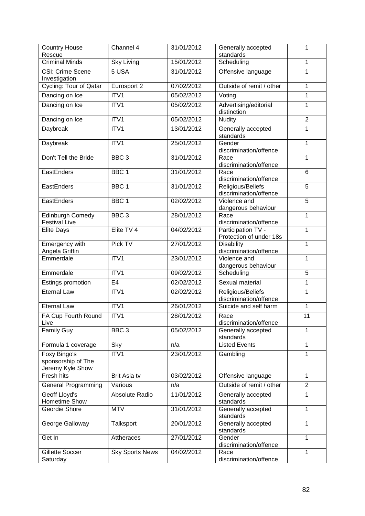| <b>Country House</b><br>Rescue                         | Channel 4              | 31/01/2012 | Generally accepted<br>standards               | 1              |
|--------------------------------------------------------|------------------------|------------|-----------------------------------------------|----------------|
| <b>Criminal Minds</b>                                  | <b>Sky Living</b>      | 15/01/2012 | Scheduling                                    | $\mathbf{1}$   |
| <b>CSI: Crime Scene</b><br>Investigation               | 5 USA                  | 31/01/2012 | Offensive language                            | 1              |
| Cycling: Tour of Qatar                                 | Eurosport 2            | 07/02/2012 | Outside of remit / other                      | 1              |
| Dancing on Ice                                         | ITV1                   | 05/02/2012 | Voting                                        | $\mathbf{1}$   |
| Dancing on Ice                                         | ITV1                   | 05/02/2012 | Advertising/editorial<br>distinction          | 1              |
| Dancing on Ice                                         | ITV1                   | 05/02/2012 | Nudity                                        | $\overline{2}$ |
| Daybreak                                               | ITV1                   | 13/01/2012 | Generally accepted<br>standards               | 1              |
| Daybreak                                               | ITV1                   | 25/01/2012 | Gender<br>discrimination/offence              | $\mathbf{1}$   |
| Don't Tell the Bride                                   | BBC <sub>3</sub>       | 31/01/2012 | Race<br>discrimination/offence                | 1              |
| EastEnders                                             | BBC <sub>1</sub>       | 31/01/2012 | Race<br>discrimination/offence                | 6              |
| EastEnders                                             | BBC <sub>1</sub>       | 31/01/2012 | Religious/Beliefs<br>discrimination/offence   | $\overline{5}$ |
| EastEnders                                             | BBC <sub>1</sub>       | 02/02/2012 | Violence and<br>dangerous behaviour           | 5              |
| <b>Edinburgh Comedy</b><br><b>Festival Live</b>        | BBC <sub>3</sub>       | 28/01/2012 | Race<br>discrimination/offence                | 1              |
| <b>Elite Days</b>                                      | Elite TV 4             | 04/02/2012 | Participation TV -<br>Protection of under 18s | $\mathbf 1$    |
| Emergency with<br>Angela Griffin                       | Pick TV                | 27/01/2012 | <b>Disability</b><br>discrimination/offence   | $\mathbf 1$    |
| Emmerdale                                              | ITV1                   | 23/01/2012 | Violence and<br>dangerous behaviour           | 1              |
| Emmerdale                                              | ITV1                   | 09/02/2012 | Scheduling                                    | 5              |
| Estings promotion                                      | E <sub>4</sub>         | 02/02/2012 | Sexual material                               | 1              |
| <b>Eternal Law</b>                                     | ITV1                   | 02/02/2012 | Religious/Beliefs<br>discrimination/offence   | 1              |
| <b>Eternal Law</b>                                     | ITV1                   | 26/01/2012 | Suicide and self harm                         | 1              |
| FA Cup Fourth Round<br>Live                            | ITV1                   | 28/01/2012 | Race<br>discrimination/offence                | 11             |
| <b>Family Guy</b>                                      | BBC <sub>3</sub>       | 05/02/2012 | Generally accepted<br>standards               | 1              |
| Formula 1 coverage                                     | Sky                    | n/a        | <b>Listed Events</b>                          | $\mathbf{1}$   |
| Foxy Bingo's<br>sponsorship of The<br>Jeremy Kyle Show | ITV1                   | 23/01/2012 | Gambling                                      | 1              |
| Fresh hits                                             | Brit Asia tv           | 03/02/2012 | Offensive language                            | $\mathbf{1}$   |
| <b>General Programming</b>                             | Various                | n/a        | Outside of remit / other                      | $\overline{2}$ |
| Geoff Lloyd's<br>Hometime Show                         | Absolute Radio         | 11/01/2012 | Generally accepted<br>standards               | 1              |
| Geordie Shore                                          | <b>MTV</b>             | 31/01/2012 | Generally accepted<br>standards               | 1              |
| George Galloway                                        | Talksport              | 20/01/2012 | Generally accepted<br>standards               | 1              |
| Get In                                                 | Attheraces             | 27/01/2012 | Gender<br>discrimination/offence              | $\mathbf{1}$   |
| Gillette Soccer<br>Saturday                            | <b>Sky Sports News</b> | 04/02/2012 | Race<br>discrimination/offence                | 1              |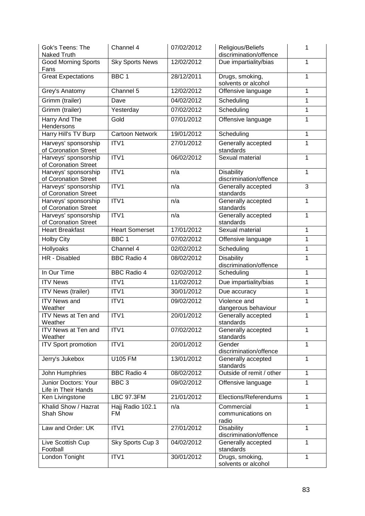| Gok's Teens: The<br><b>Naked Truth</b>       | Channel 4              | 07/02/2012 | Religious/Beliefs<br>discrimination/offence | 1            |
|----------------------------------------------|------------------------|------------|---------------------------------------------|--------------|
| <b>Good Morning Sports</b><br>Fans           | <b>Sky Sports News</b> | 12/02/2012 | Due impartiality/bias                       | 1            |
| <b>Great Expectations</b>                    | BBC <sub>1</sub>       | 28/12/2011 | Drugs, smoking,<br>solvents or alcohol      | 1            |
| Grey's Anatomy                               | Channel 5              | 12/02/2012 | Offensive language                          | 1            |
| Grimm (trailer)                              | Dave                   | 04/02/2012 | Scheduling                                  | 1            |
| Grimm (trailer)                              | Yesterday              | 07/02/2012 | Scheduling                                  | $\mathbf{1}$ |
| <b>Harry And The</b><br>Hendersons           | Gold                   | 07/01/2012 | Offensive language                          | 1            |
| Harry Hill's TV Burp                         | <b>Cartoon Network</b> | 19/01/2012 | Scheduling                                  | 1            |
| Harveys' sponsorship<br>of Coronation Street | ITV1                   | 27/01/2012 | Generally accepted<br>standards             | 1            |
| Harveys' sponsorship<br>of Coronation Street | ITV1                   | 06/02/2012 | Sexual material                             | 1            |
| Harveys' sponsorship<br>of Coronation Street | ITV1                   | n/a        | <b>Disability</b><br>discrimination/offence | 1            |
| Harveys' sponsorship<br>of Coronation Street | ITV1                   | n/a        | Generally accepted<br>standards             | 3            |
| Harveys' sponsorship<br>of Coronation Street | ITV1                   | n/a        | Generally accepted<br>standards             | 1            |
| Harveys' sponsorship<br>of Coronation Street | ITV1                   | n/a        | Generally accepted<br>standards             | 1            |
| <b>Heart Breakfast</b>                       | <b>Heart Somerset</b>  | 17/01/2012 | Sexual material                             | $\mathbf 1$  |
| <b>Holby City</b>                            | BBC <sub>1</sub>       | 07/02/2012 | Offensive language                          | 1            |
| <b>Hollyoaks</b>                             | Channel 4              | 02/02/2012 | Scheduling                                  | 1            |
| HR - Disabled                                | <b>BBC Radio 4</b>     | 08/02/2012 | <b>Disability</b><br>discrimination/offence | 1            |
| In Our Time                                  | <b>BBC Radio 4</b>     | 02/02/2012 | Scheduling                                  | 1            |
| <b>ITV News</b>                              | ITV1                   | 11/02/2012 | Due impartiality/bias                       | 1            |
| <b>ITV News (trailer)</b>                    | ITV1                   | 30/01/2012 | Due accuracy                                | 1            |
| <b>ITV News and</b><br>Weather               | ITV1                   | 09/02/2012 | Violence and<br>dangerous behaviour         | 1            |
| ITV News at Ten and<br>Weather               | ITV1                   | 20/01/2012 | Generally accepted<br>standards             | 1            |
| ITV News at Ten and<br>Weather               | ITV1                   | 07/02/2012 | Generally accepted<br>standards             | $\mathbf{1}$ |
| <b>ITV Sport promotion</b>                   | ITV1                   | 20/01/2012 | Gender<br>discrimination/offence            | 1            |
| Jerry's Jukebox                              | U105 FM                | 13/01/2012 | Generally accepted<br>standards             | 1            |
| John Humphries                               | <b>BBC Radio 4</b>     | 08/02/2012 | Outside of remit / other                    | 1            |
| Junior Doctors: Your<br>Life in Their Hands  | BBC <sub>3</sub>       | 09/02/2012 | Offensive language                          | 1            |
| Ken Livingstone                              | <b>LBC 97.3FM</b>      | 21/01/2012 | Elections/Referendums                       | $\mathbf{1}$ |
| Khalid Show / Hazrat<br>Shah Show            | Hajj Radio 102.1<br>FM | n/a        | Commercial<br>communications on<br>radio    | 1            |
| Law and Order: UK                            | ITV1                   | 27/01/2012 | <b>Disability</b><br>discrimination/offence | 1            |
| Live Scottish Cup<br>Football                | Sky Sports Cup 3       | 04/02/2012 | Generally accepted<br>standards             | 1            |
| London Tonight                               | ITV1                   | 30/01/2012 | Drugs, smoking,<br>solvents or alcohol      | $\mathbf{1}$ |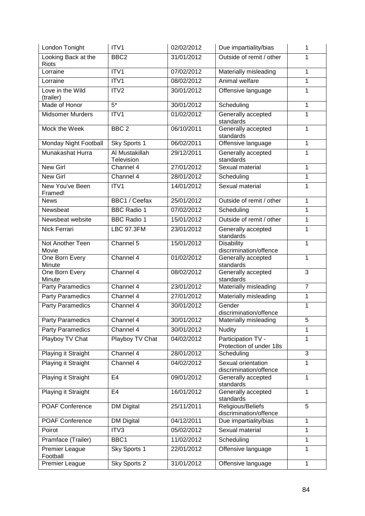| London Tonight                      | ITV1                         | 02/02/2012 | Due impartiality/bias                         | 1              |
|-------------------------------------|------------------------------|------------|-----------------------------------------------|----------------|
| Looking Back at the<br><b>Riots</b> | BBC <sub>2</sub>             | 31/01/2012 | Outside of remit / other                      | 1              |
| Lorraine                            | ITV1                         | 07/02/2012 | Materially misleading                         | 1              |
| Lorraine                            | ITV1                         | 08/02/2012 | Animal welfare                                | 1              |
| Love in the Wild<br>(trailer)       | ITV2                         | 30/01/2012 | Offensive language                            | 1              |
| Made of Honor                       | $\overline{5^*}$             | 30/01/2012 | Scheduling                                    | 1              |
| <b>Midsomer Murders</b>             | ITV1                         | 01/02/2012 | Generally accepted<br>standards               | 1              |
| Mock the Week                       | BBC <sub>2</sub>             | 06/10/2011 | Generally accepted<br>standards               | 1              |
| Monday Night Football               | Sky Sports 1                 | 06/02/2011 | Offensive language                            | $\mathbf{1}$   |
| Munakashat Hurra                    | Al Mustakillah<br>Television | 29/12/2011 | Generally accepted<br>standards               | 1              |
| <b>New Girl</b>                     | Channel 4                    | 27/01/2012 | Sexual material                               | 1              |
| <b>New Girl</b>                     | Channel 4                    | 28/01/2012 | Scheduling                                    | 1              |
| New You've Been<br>Framed!          | ITV1                         | 14/01/2012 | Sexual material                               | 1              |
| <b>News</b>                         | <b>BBC1 / Ceefax</b>         | 25/01/2012 | Outside of remit / other                      | 1              |
| Newsbeat                            | <b>BBC Radio 1</b>           | 07/02/2012 | Scheduling                                    | 1              |
| Newsbeat website                    | <b>BBC Radio 1</b>           | 15/01/2012 | Outside of remit / other                      | 1              |
| Nick Ferrari                        | <b>LBC 97.3FM</b>            | 23/01/2012 | Generally accepted<br>standards               | 1              |
| Not Another Teen<br>Movie           | Channel 5                    | 15/01/2012 | <b>Disability</b><br>discrimination/offence   | $\mathbf 1$    |
| One Born Every<br>Minute            | Channel 4                    | 01/02/2012 | Generally accepted<br>standards               | 1              |
| One Born Every<br>Minute            | Channel 4                    | 08/02/2012 | Generally accepted<br>standards               | 3              |
| <b>Party Paramedics</b>             | Channel 4                    | 23/01/2012 | Materially misleading                         | $\overline{7}$ |
| <b>Party Paramedics</b>             | Channel 4                    | 27/01/2012 | Materially misleading                         | 1              |
| <b>Party Paramedics</b>             | Channel 4                    | 30/01/2012 | Gender<br>discrimination/offence              | 1              |
| <b>Party Paramedics</b>             | Channel 4                    | 30/01/2012 | Materially misleading                         | 5              |
| <b>Party Paramedics</b>             | Channel 4                    | 30/01/2012 | <b>Nudity</b>                                 | 1              |
| Playboy TV Chat                     | Playboy TV Chat              | 04/02/2012 | Participation TV -<br>Protection of under 18s | 1              |
| Playing it Straight                 | Channel 4                    | 28/01/2012 | Scheduling                                    | 3              |
| Playing it Straight                 | Channel 4                    | 04/02/2012 | Sexual orientation<br>discrimination/offence  | 1              |
| <b>Playing it Straight</b>          | E <sub>4</sub>               | 09/01/2012 | Generally accepted<br>standards               | 1              |
| Playing it Straight                 | E <sub>4</sub>               | 16/01/2012 | Generally accepted<br>standards               | 1              |
| POAF Conference                     | <b>DM Digital</b>            | 25/11/2011 | Religious/Beliefs<br>discrimination/offence   | 5              |
| POAF Conference                     | <b>DM Digital</b>            | 04/12/2011 | Due impartiality/bias                         | 1              |
| Poirot                              | ITV3                         | 05/02/2012 | Sexual material                               | 1              |
| Pramface (Trailer)                  | BBC1                         | 11/02/2012 | Scheduling                                    | 1              |
| Premier League<br>Football          | Sky Sports 1                 | 22/01/2012 | Offensive language                            | 1              |
| Premier League                      | Sky Sports 2                 | 31/01/2012 | Offensive language                            | 1              |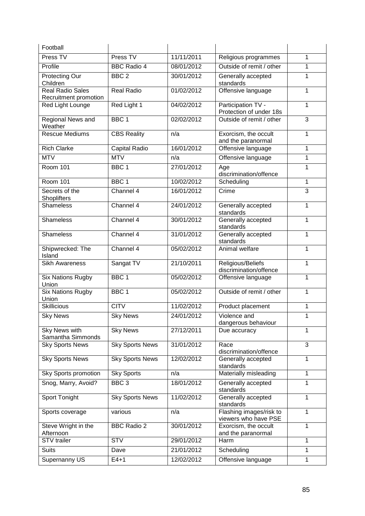| Football                                         |                        |            |                                                 |              |
|--------------------------------------------------|------------------------|------------|-------------------------------------------------|--------------|
| Press TV                                         | Press TV               | 11/11/2011 | Religious programmes                            | 1            |
| Profile                                          | <b>BBC Radio 4</b>     | 08/01/2012 | Outside of remit / other                        | 1            |
| <b>Protecting Our</b><br>Children                | BBC <sub>2</sub>       | 30/01/2012 | Generally accepted<br>standards                 | 1            |
| <b>Real Radio Sales</b><br>Recruitment promotion | <b>Real Radio</b>      | 01/02/2012 | Offensive language                              | 1            |
| Red Light Lounge                                 | Red Light 1            | 04/02/2012 | Participation TV -<br>Protection of under 18s   | 1            |
| <b>Regional News and</b><br>Weather              | BBC <sub>1</sub>       | 02/02/2012 | Outside of remit / other                        | 3            |
| <b>Rescue Mediums</b>                            | <b>CBS Reality</b>     | n/a        | Exorcism, the occult<br>and the paranormal      | 1            |
| <b>Rich Clarke</b>                               | Capital Radio          | 16/01/2012 | Offensive language                              | 1            |
| <b>MTV</b>                                       | <b>MTV</b>             | n/a        | Offensive language                              | 1            |
| <b>Room 101</b>                                  | BBC 1                  | 27/01/2012 | Age<br>discrimination/offence                   | 1            |
| <b>Room 101</b>                                  | BBC <sub>1</sub>       | 10/02/2012 | Scheduling                                      | 1            |
| Secrets of the<br>Shoplifters                    | Channel 4              | 16/01/2012 | Crime                                           | 3            |
| <b>Shameless</b>                                 | Channel 4              | 24/01/2012 | Generally accepted<br>standards                 | 1            |
| Shameless                                        | Channel 4              | 30/01/2012 | Generally accepted<br>standards                 | 1            |
| <b>Shameless</b>                                 | Channel 4              | 31/01/2012 | Generally accepted<br>standards                 | $\mathbf{1}$ |
| Shipwrecked: The<br>Island                       | Channel 4              | 05/02/2012 | Animal welfare                                  | 1            |
| <b>Sikh Awareness</b>                            | Sangat TV              | 21/10/2011 | Religious/Beliefs<br>discrimination/offence     | 1            |
| <b>Six Nations Rugby</b><br>Union                | BBC <sub>1</sub>       | 05/02/2012 | Offensive language                              | 1            |
| <b>Six Nations Rugby</b><br>Union                | BBC <sub>1</sub>       | 05/02/2012 | Outside of remit / other                        | 1            |
| <b>Skillicious</b>                               | <b>CITV</b>            | 11/02/2012 | Product placement                               | 1            |
| <b>Sky News</b>                                  | <b>Sky News</b>        | 24/01/2012 | Violence and<br>dangerous behaviour             | 1            |
| <b>Sky News with</b><br>Samantha Simmonds        | <b>Sky News</b>        | 27/12/2011 | Due accuracy                                    | 1            |
| <b>Sky Sports News</b>                           | <b>Sky Sports News</b> | 31/01/2012 | Race<br>discrimination/offence                  | 3            |
| <b>Sky Sports News</b>                           | <b>Sky Sports News</b> | 12/02/2012 | Generally accepted<br>standards                 | 1            |
| <b>Sky Sports promotion</b>                      | Sky Sports             | n/a        | Materially misleading                           | 1            |
| Snog, Marry, Avoid?                              | BBC <sub>3</sub>       | 18/01/2012 | Generally accepted<br>standards                 | 1            |
| Sport Tonight                                    | <b>Sky Sports News</b> | 11/02/2012 | Generally accepted<br>standards                 | 1            |
| Sports coverage                                  | various                | n/a        | Flashing images/risk to<br>viewers who have PSE | 1            |
| Steve Wright in the<br>Afternoon                 | <b>BBC Radio 2</b>     | 30/01/2012 | Exorcism, the occult<br>and the paranormal      | 1            |
| <b>STV</b> trailer                               | <b>STV</b>             | 29/01/2012 | Harm                                            | 1            |
| <b>Suits</b>                                     | Dave                   | 21/01/2012 | Scheduling                                      | 1            |
| Supernanny US                                    | $E4+1$                 | 12/02/2012 | Offensive language                              | 1            |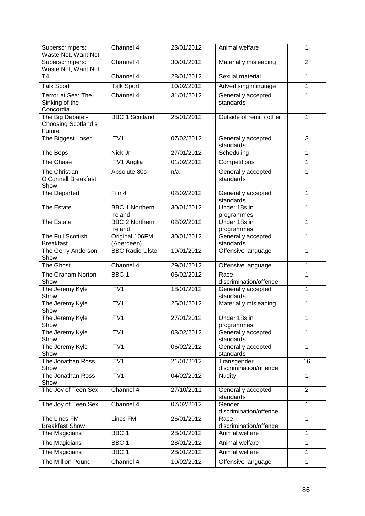| Superscrimpers:<br>Waste Not, Want Not                   | Channel 4                        | 23/01/2012 | Animal welfare                        | 1              |
|----------------------------------------------------------|----------------------------------|------------|---------------------------------------|----------------|
| Superscrimpers:<br>Waste Not, Want Not                   | Channel 4                        | 30/01/2012 | Materially misleading                 | $\overline{2}$ |
| T <sub>4</sub>                                           | Channel 4                        | 28/01/2012 | Sexual material                       | 1              |
| <b>Talk Sport</b>                                        | <b>Talk Sport</b>                | 10/02/2012 | Advertising minutage                  | 1              |
| Terror at Sea: The<br>Sinking of the<br>Concordia        | Channel 4                        | 31/01/2012 | Generally accepted<br>standards       | 1              |
| The Big Debate -<br><b>Choosing Scotland's</b><br>Future | <b>BBC 1 Scotland</b>            | 25/01/2012 | Outside of remit / other              | 1              |
| The Biggest Loser                                        | ITV1                             | 07/02/2012 | Generally accepted<br>standards       | 3              |
| The Bops                                                 | Nick Jr                          | 27/01/2012 | Scheduling                            | 1              |
| The Chase                                                | ITV1 Anglia                      | 01/02/2012 | Competitions                          | 1              |
| The Christian<br><b>O'Connell Breakfast</b><br>Show      | Absolute 80s                     | n/a        | Generally accepted<br>standards       | 1              |
| The Departed                                             | Film4                            | 02/02/2012 | Generally accepted<br>standards       | 1              |
| <b>The Estate</b>                                        | <b>BBC 1 Northern</b><br>Ireland | 30/01/2012 | Under 18s in<br>programmes            | 1              |
| The Estate                                               | <b>BBC 2 Northern</b><br>Ireland | 02/02/2012 | Under 18s in<br>programmes            | $\mathbf{1}$   |
| The Full Scottish<br><b>Breakfast</b>                    | Original 106FM<br>(Aberdeen)     | 30/01/2012 | Generally accepted<br>standards       | 1              |
| The Gerry Anderson<br>Show                               | <b>BBC Radio Ulster</b>          | 19/01/2012 | Offensive language                    | 1              |
| <b>The Ghost</b>                                         | Channel 4                        | 29/01/2012 | Offensive language                    | 1              |
| The Graham Norton<br>Show                                | BBC <sub>1</sub>                 | 06/02/2012 | Race<br>discrimination/offence        | 1              |
| The Jeremy Kyle<br>Show                                  | ITV1                             | 18/01/2012 | Generally accepted<br>standards       | $\mathbf 1$    |
| The Jeremy Kyle<br>Show                                  | ITV1                             | 25/01/2012 | Materially misleading                 | 1              |
| The Jeremy Kyle<br>Show                                  | ITV1                             | 27/01/2012 | Under 18s in<br>programmes            | $\mathbf{1}$   |
| The Jeremy Kyle<br>Show                                  | ITV1                             | 03/02/2012 | Generally accepted<br>standards       | 1              |
| The Jeremy Kyle<br>Show                                  | ITV1                             | 06/02/2012 | Generally accepted<br>standards       | 1              |
| The Jonathan Ross<br>Show                                | ITV1                             | 21/01/2012 | Transgender<br>discrimination/offence | 16             |
| The Jonathan Ross<br>Show                                | ITV1                             | 04/02/2012 | <b>Nudity</b>                         | $\mathbf{1}$   |
| The Joy of Teen Sex                                      | Channel 4                        | 27/10/2011 | Generally accepted<br>standards       | $\overline{2}$ |
| The Joy of Teen Sex                                      | Channel 4                        | 07/02/2012 | Gender<br>discrimination/offence      | $\mathbf{1}$   |
| The Lincs FM<br><b>Breakfast Show</b>                    | Lincs FM                         | 26/01/2012 | Race<br>discrimination/offence        | $\mathbf{1}$   |
| The Magicians                                            | BBC <sub>1</sub>                 | 28/01/2012 | Animal welfare                        | 1              |
| The Magicians                                            | BBC <sub>1</sub>                 | 28/01/2012 | Animal welfare                        | $\mathbf{1}$   |
| The Magicians                                            | BBC 1                            | 28/01/2012 | Animal welfare                        | $\mathbf{1}$   |
| The Million Pound                                        | Channel 4                        | 10/02/2012 | Offensive language                    | 1              |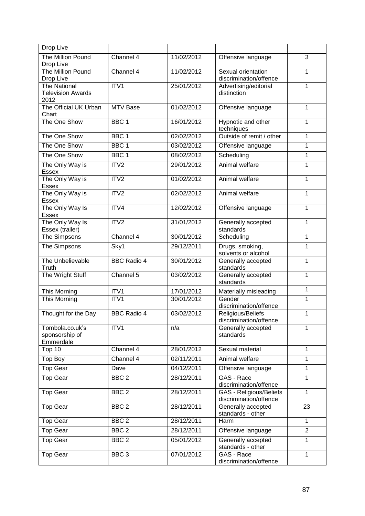| Drop Live                                               |                    |            |                                                   |                 |
|---------------------------------------------------------|--------------------|------------|---------------------------------------------------|-----------------|
| The Million Pound<br>Drop Live                          | Channel 4          | 11/02/2012 | Offensive language                                | 3               |
| The Million Pound<br>Drop Live                          | Channel 4          | 11/02/2012 | Sexual orientation<br>discrimination/offence      | 1               |
| <b>The National</b><br><b>Television Awards</b><br>2012 | ITV1               | 25/01/2012 | Advertising/editorial<br>distinction              | 1               |
| The Official UK Urban<br>Chart                          | <b>MTV Base</b>    | 01/02/2012 | Offensive language                                | 1               |
| The One Show                                            | BBC <sub>1</sub>   | 16/01/2012 | Hypnotic and other<br>techniques                  | 1               |
| The One Show                                            | BBC <sub>1</sub>   | 02/02/2012 | Outside of remit / other                          | 1               |
| The One Show                                            | BBC 1              | 03/02/2012 | Offensive language                                | 1               |
| The One Show                                            | BBC <sub>1</sub>   | 08/02/2012 | Scheduling                                        | 1               |
| The Only Way is<br>Essex                                | ITV2               | 29/01/2012 | Animal welfare                                    | 1               |
| The Only Way is<br>Essex                                | ITV2               | 01/02/2012 | Animal welfare                                    | 1               |
| The Only Way is<br><b>Essex</b>                         | ITV <sub>2</sub>   | 02/02/2012 | Animal welfare                                    | 1               |
| The Only Way Is<br>Essex                                | ITV4               | 12/02/2012 | Offensive language                                | 1               |
| The Only Way Is<br>Essex (trailer)                      | ITV2               | 31/01/2012 | Generally accepted<br>standards                   | 1               |
| The Simpsons                                            | Channel 4          | 30/01/2012 | Scheduling                                        | 1               |
| The Simpsons                                            | Sky1               | 29/12/2011 | Drugs, smoking,<br>solvents or alcohol            | 1               |
| The Unbelievable<br>Truth                               | <b>BBC Radio 4</b> | 30/01/2012 | Generally accepted<br>standards                   | 1               |
| The Wright Stuff                                        | Channel 5          | 03/02/2012 | Generally accepted<br>standards                   | 1               |
| This Morning                                            | ITV1               | 17/01/2012 | Materially misleading                             | 1               |
| <b>This Morning</b>                                     | ITV1               | 30/01/2012 | Gender<br>discrimination/offence                  | 1               |
| Thought for the Day                                     | <b>BBC Radio 4</b> | 03/02/2012 | Religious/Beliefs<br>discrimination/offence       | 1               |
| Tombola.co.uk's<br>sponsorship of<br>Emmerdale          | ITV1               | n/a        | Generally accepted<br>standards                   | 1               |
| Top 10                                                  | Channel 4          | 28/01/2012 | Sexual material                                   | 1               |
| <b>Top Boy</b>                                          | Channel 4          | 02/11/2011 | Animal welfare                                    | 1               |
| <b>Top Gear</b>                                         | Dave               | 04/12/2011 | Offensive language                                | 1               |
| <b>Top Gear</b>                                         | BBC <sub>2</sub>   | 28/12/2011 | GAS - Race<br>discrimination/offence              | 1               |
| <b>Top Gear</b>                                         | BBC <sub>2</sub>   | 28/12/2011 | GAS - Religious/Beliefs<br>discrimination/offence | $\mathbf 1$     |
| <b>Top Gear</b>                                         | BBC <sub>2</sub>   | 28/12/2011 | Generally accepted<br>standards - other           | $\overline{23}$ |
| <b>Top Gear</b>                                         | BBC <sub>2</sub>   | 28/12/2011 | Harm                                              | $\mathbf{1}$    |
| <b>Top Gear</b>                                         | BBC <sub>2</sub>   | 28/12/2011 | Offensive language                                | $\overline{2}$  |
| <b>Top Gear</b>                                         | BBC <sub>2</sub>   | 05/01/2012 | Generally accepted<br>standards - other           | 1               |
| <b>Top Gear</b>                                         | BBC <sub>3</sub>   | 07/01/2012 | GAS - Race<br>discrimination/offence              | 1               |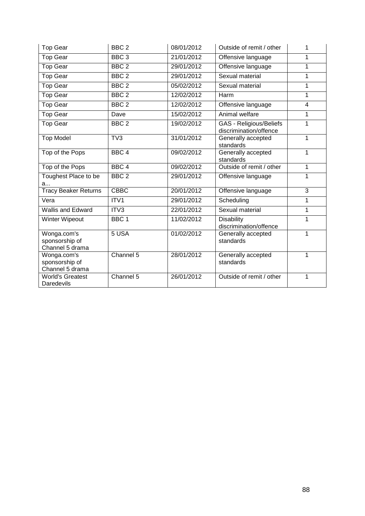| <b>Top Gear</b>                                  | BBC <sub>2</sub> | 08/01/2012 | Outside of remit / other                                 | 1            |
|--------------------------------------------------|------------------|------------|----------------------------------------------------------|--------------|
| Top Gear                                         | BBC <sub>3</sub> | 21/01/2012 | Offensive language                                       | 1            |
| <b>Top Gear</b>                                  | BBC <sub>2</sub> | 29/01/2012 | Offensive language                                       | 1            |
| <b>Top Gear</b>                                  | BBC <sub>2</sub> | 29/01/2012 | Sexual material                                          | 1            |
| <b>Top Gear</b>                                  | BBC <sub>2</sub> | 05/02/2012 | Sexual material                                          | 1            |
| <b>Top Gear</b>                                  | BBC <sub>2</sub> | 12/02/2012 | Harm                                                     | 1            |
| <b>Top Gear</b>                                  | BBC <sub>2</sub> | 12/02/2012 | Offensive language                                       | 4            |
| Top Gear                                         | Dave             | 15/02/2012 | Animal welfare                                           | $\mathbf{1}$ |
| <b>Top Gear</b>                                  | BBC <sub>2</sub> | 19/02/2012 | <b>GAS - Religious/Beliefs</b><br>discrimination/offence | 1            |
| <b>Top Model</b>                                 | TV3              | 31/01/2012 | Generally accepted<br>standards                          | 1            |
| Top of the Pops                                  | BBC <sub>4</sub> | 09/02/2012 | Generally accepted<br>standards                          | 1            |
| Top of the Pops                                  | BBC <sub>4</sub> | 09/02/2012 | Outside of remit / other                                 | 1            |
| Toughest Place to be<br>a                        | BBC <sub>2</sub> | 29/01/2012 | Offensive language                                       | 1            |
| <b>Tracy Beaker Returns</b>                      | <b>CBBC</b>      | 20/01/2012 | Offensive language                                       | 3            |
| Vera                                             | ITV1             | 29/01/2012 | Scheduling                                               | 1            |
| Wallis and Edward                                | ITV3             | 22/01/2012 | Sexual material                                          | 1            |
| Winter Wipeout                                   | BBC <sub>1</sub> | 11/02/2012 | <b>Disability</b><br>discrimination/offence              | 1            |
| Wonga.com's<br>sponsorship of<br>Channel 5 drama | 5 USA            | 01/02/2012 | Generally accepted<br>standards                          | 1            |
| Wonga.com's<br>sponsorship of<br>Channel 5 drama | Channel 5        | 28/01/2012 | Generally accepted<br>standards                          | 1            |
| <b>World's Greatest</b><br>Daredevils            | Channel 5        | 26/01/2012 | Outside of remit / other                                 | 1            |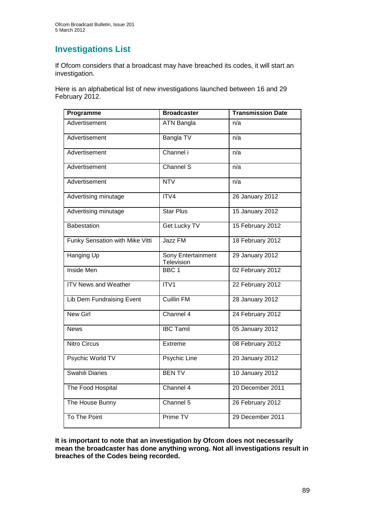### **Investigations List**

If Ofcom considers that a broadcast may have breached its codes, it will start an investigation.

Here is an alphabetical list of new investigations launched between 16 and 29 February 2012.

| Programme                       | <b>Broadcaster</b>               | <b>Transmission Date</b> |
|---------------------------------|----------------------------------|--------------------------|
| Advertisement                   | <b>ATN</b> Bangla                | n/a                      |
| Advertisement                   | Bangla TV                        | n/a                      |
| Advertisement                   | Channel i                        | $\overline{n/a}$         |
| Advertisement                   | Channel S                        | $\overline{n/a}$         |
| Advertisement                   | <b>NTV</b>                       | n/a                      |
| Advertising minutage            | ITV4                             | 26 January 2012          |
| Advertising minutage            | <b>Star Plus</b>                 | 15 January 2012          |
| <b>Babestation</b>              | <b>Get Lucky TV</b>              | 15 February 2012         |
| Funky Sensation with Mike Vitti | Jazz FM                          | 18 February 2012         |
| <b>Hanging Up</b>               | Sony Entertainment<br>Television | 29 January 2012          |
| <b>Inside Men</b>               | BBC <sub>1</sub>                 | 02 February 2012         |
| <b>ITV News and Weather</b>     | ITVI                             | 22 February 2012         |
| Lib Dem Fundraising Event       | <b>Cuillin FM</b>                | 28 January 2012          |
| <b>New Girl</b>                 | Channel 4                        | 24 February 2012         |
| <b>News</b>                     | <b>IBC Tamil</b>                 | 05 January 2012          |
| <b>Nitro Circus</b>             | Extreme                          | 08 February 2012         |
| Psychic World TV                | <b>Psychic Line</b>              | 20 January 2012          |
| Swahili Diaries                 | <b>BENTV</b>                     | 10 January 2012          |
| The Food Hospital               | Channel 4                        | 20 December 2011         |
| The House Bunny                 | Channel 5                        | 26 February 2012         |
| To The Point                    | Prime TV                         | 29 December 2011         |

**It is important to note that an investigation by Ofcom does not necessarily mean the broadcaster has done anything wrong. Not all investigations result in breaches of the Codes being recorded.**